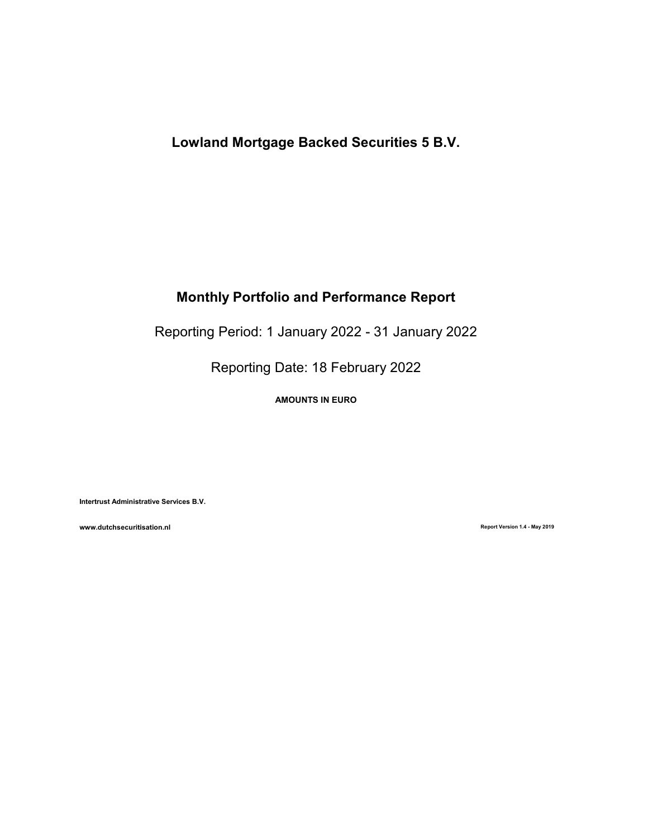# Lowland Mortgage Backed Securities 5 B.V.

# Monthly Portfolio and Performance Report

Reporting Period: 1 January 2022 - 31 January 2022

Reporting Date: 18 February 2022

AMOUNTS IN EURO

Intertrust Administrative Services B.V.

www.dutchsecuritisation.nl **Report Version 1.4 - May 2019** Report Version 1.4 - May 2019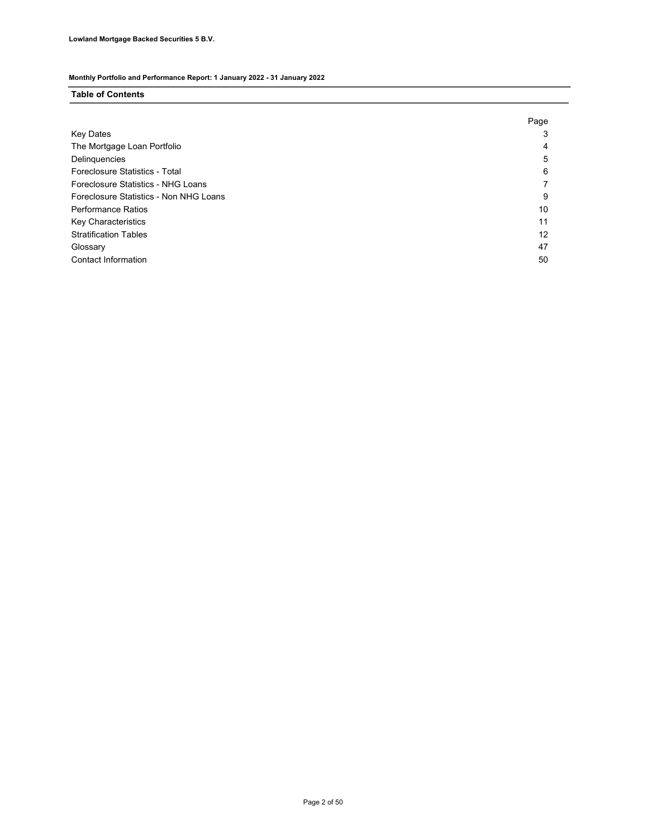### Table of Contents

|                                        | Page |
|----------------------------------------|------|
| Key Dates                              |      |
| The Mortgage Loan Portfolio            | 4    |
| Delinquencies                          | 5    |
| Foreclosure Statistics - Total         | 6    |
| Foreclosure Statistics - NHG Loans     |      |
| Foreclosure Statistics - Non NHG Loans | 9    |
| <b>Performance Ratios</b>              | 10   |
| Key Characteristics                    | 11   |
| <b>Stratification Tables</b>           | 12   |
| Glossary                               | 47   |
| Contact Information                    | 50   |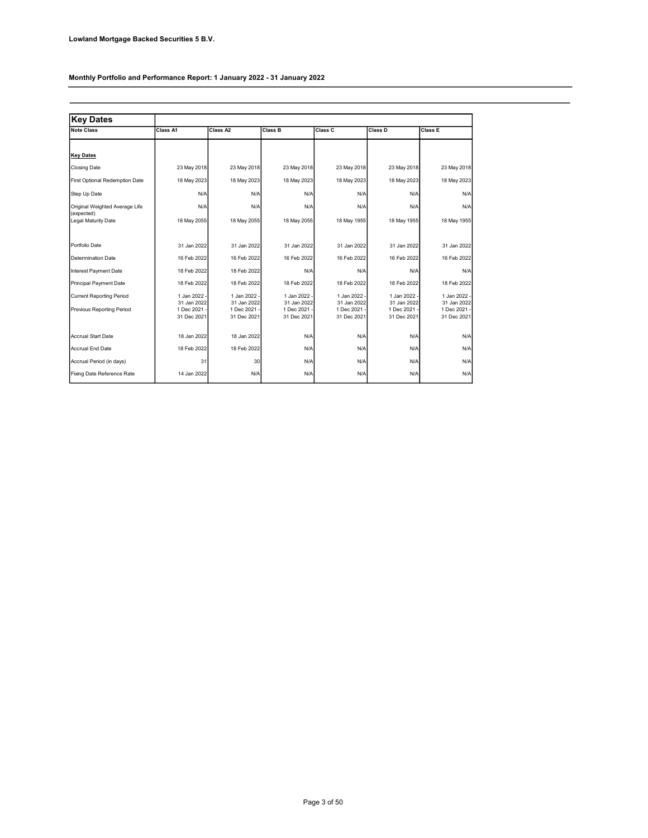| <b>Key Dates</b>                             |                             |                             |                             |                             |                             |                             |
|----------------------------------------------|-----------------------------|-----------------------------|-----------------------------|-----------------------------|-----------------------------|-----------------------------|
| <b>Note Class</b>                            | Class A1                    | Class A2                    | <b>Class B</b>              | Class C                     | Class D                     | <b>Class E</b>              |
|                                              |                             |                             |                             |                             |                             |                             |
| <b>Key Dates</b>                             |                             |                             |                             |                             |                             |                             |
| <b>Closing Date</b>                          | 23 May 2018                 | 23 May 2018                 | 23 May 2018                 | 23 May 2018                 | 23 May 2018                 | 23 May 2018                 |
| First Optional Redemption Date               | 18 May 2023                 | 18 May 2023                 | 18 May 2023                 | 18 May 2023                 | 18 May 2023                 | 18 May 2023                 |
| Step Up Date                                 | N/A                         | N/A                         | N/A                         | N/A                         | N/A                         | N/A                         |
| Original Weighted Average Life<br>(expected) | N/A                         | N/A                         | N/A                         | N/A                         | N/A                         | N/A                         |
| Legal Maturity Date                          | 18 May 2055                 | 18 May 2055                 | 18 May 2055                 | 18 May 1955                 | 18 May 1955                 | 18 May 1955                 |
|                                              |                             |                             |                             |                             |                             |                             |
| Portfolio Date                               | 31 Jan 2022                 | 31 Jan 2022                 | 31 Jan 2022                 | 31 Jan 2022                 | 31 Jan 2022                 | 31 Jan 2022                 |
| Determination Date                           | 16 Feb 2022                 | 16 Feb 2022                 | 16 Feb 2022                 | 16 Feb 2022                 | 16 Feb 2022                 | 16 Feb 2022                 |
| Interest Payment Date                        | 18 Feb 2022                 | 18 Feb 2022                 | N/A                         | N/A                         | N/A                         | N/A                         |
| Principal Payment Date                       | 18 Feb 2022                 | 18 Feb 2022                 | 18 Feb 2022                 | 18 Feb 2022                 | 18 Feb 2022                 | 18 Feb 2022                 |
| <b>Current Reporting Period</b>              | 1 Jan 2022 -<br>31 Jan 2022 | 1 Jan 2022 -<br>31 Jan 2022 | 1 Jan 2022 -<br>31 Jan 2022 | 1 Jan 2022 -<br>31 Jan 2022 | 1 Jan 2022 -<br>31 Jan 2022 | 1 Jan 2022 -<br>31 Jan 2022 |
| Previous Reporting Period                    | 1 Dec 2021 -                | 1 Dec 2021 -                | 1 Dec 2021 -                | 1 Dec 2021 -                | 1 Dec 2021 -                | 1 Dec 2021 -                |
|                                              | 31 Dec 2021                 | 31 Dec 2021                 | 31 Dec 2021                 | 31 Dec 2021                 | 31 Dec 2021                 | 31 Dec 2021                 |
| Accrual Start Date                           | 18 Jan 2022                 | 18 Jan 2022                 | N/A                         | N/A                         | N/A                         | N/A                         |
| Accrual End Date                             | 18 Feb 2022                 | 18 Feb 2022                 | N/A                         | N/A                         | N/A                         | N/A                         |
| Accrual Period (in days)                     | 31                          | 30                          | N/A                         | N/A                         | N/A                         | N/A                         |
| Fixing Date Reference Rate                   | 14 Jan 2022                 | N/A                         | N/A                         | N/A                         | N/A                         | N/A                         |
|                                              |                             |                             |                             |                             |                             |                             |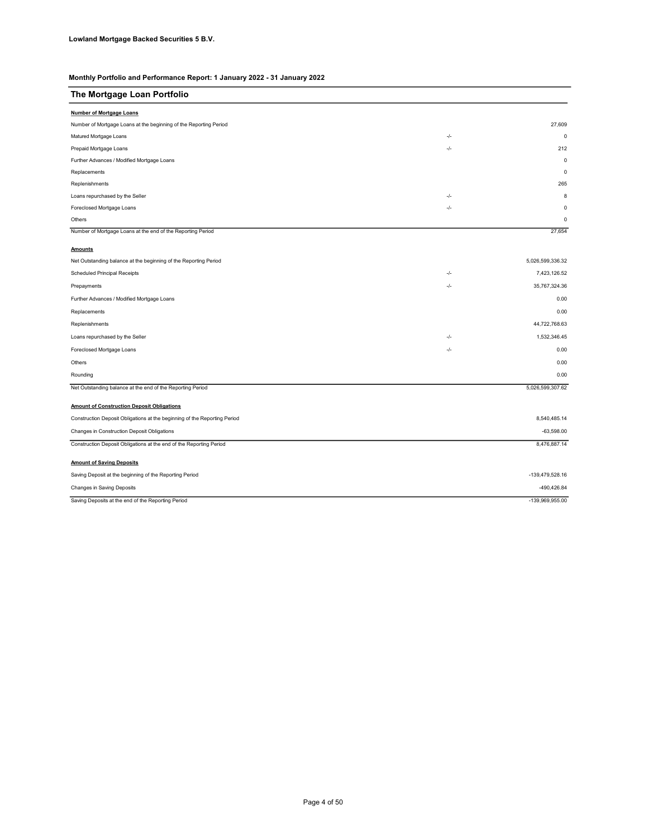| The Mortgage Loan Portfolio                                               |       |                  |
|---------------------------------------------------------------------------|-------|------------------|
| <b>Number of Mortgage Loans</b>                                           |       |                  |
| Number of Mortgage Loans at the beginning of the Reporting Period         |       | 27.609           |
| Matured Mortgage Loans                                                    | -/-   | $\mathbf 0$      |
| Prepaid Mortgage Loans                                                    | $-/-$ | 212              |
| Further Advances / Modified Mortgage Loans                                |       | $\mathbf 0$      |
| Replacements                                                              |       | $\mathbf 0$      |
| Replenishments                                                            |       | 265              |
| Loans repurchased by the Seller                                           | -/-   | 8                |
| Foreclosed Mortgage Loans                                                 | -/-   | $\mathbf 0$      |
| Others                                                                    |       | $\mathbf 0$      |
| Number of Mortgage Loans at the end of the Reporting Period               |       | 27,654           |
| <b>Amounts</b>                                                            |       |                  |
| Net Outstanding balance at the beginning of the Reporting Period          |       | 5,026,599,336.32 |
| Scheduled Principal Receipts                                              | $-/-$ | 7,423,126.52     |
| Prepayments                                                               | -/-   | 35,767,324.36    |
| Further Advances / Modified Mortgage Loans                                |       | 0.00             |
| Replacements                                                              |       | 0.00             |
| Replenishments                                                            |       | 44,722,768.63    |
| Loans repurchased by the Seller                                           | -/-   | 1,532,346.45     |
| Foreclosed Mortgage Loans                                                 | -/-   | 0.00             |
| Others                                                                    |       | 0.00             |
| Rounding                                                                  |       | 0.00             |
| Net Outstanding balance at the end of the Reporting Period                |       | 5,026,599,307.62 |
| <b>Amount of Construction Deposit Obligations</b>                         |       |                  |
| Construction Deposit Obligations at the beginning of the Reporting Period |       | 8,540,485.14     |
| Changes in Construction Deposit Obligations                               |       | $-63,598.00$     |
| Construction Deposit Obligations at the end of the Reporting Period       |       | 8,476,887.14     |
| <b>Amount of Saving Deposits</b>                                          |       |                  |
| Saving Deposit at the beginning of the Reporting Period                   |       | -139,479,528.16  |
| Changes in Saving Deposits                                                |       | -490,426.84      |
| Saving Deposits at the end of the Reporting Period                        |       | -139,969,955.00  |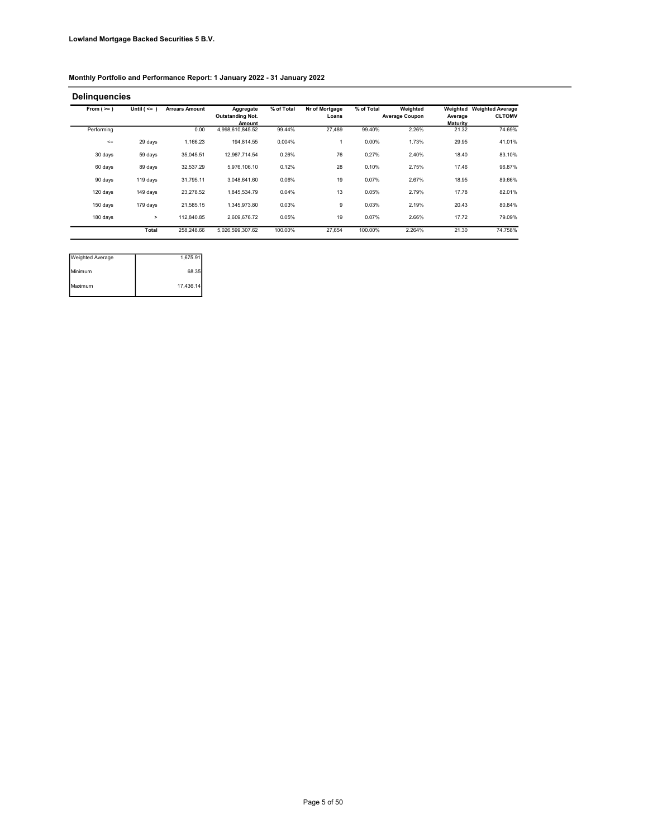#### Delinquencies

| From $(>=)$ | Until $($ <= $)$ | <b>Arrears Amount</b> | Aggregate<br><b>Outstanding Not.</b> | % of Total | Nr of Mortgage<br>Loans | % of Total | Weighted<br><b>Average Coupon</b> | Weighted<br>Average      | <b>Weighted Average</b><br><b>CLTOMV</b> |
|-------------|------------------|-----------------------|--------------------------------------|------------|-------------------------|------------|-----------------------------------|--------------------------|------------------------------------------|
| Performina  |                  | 0.00                  | <b>Amount</b><br>4,998,610,845.52    | 99.44%     | 27.489                  | 99.40%     | 2.26%                             | <b>Maturity</b><br>21.32 | 74.69%                                   |
| $\leq$      | 29 days          | 1.166.23              | 194.814.55                           | 0.004%     |                         | 0.00%      | 1.73%                             | 29.95                    | 41.01%                                   |
| 30 days     | 59 days          | 35.045.51             | 12,967,714.54                        | 0.26%      | 76                      | 0.27%      | 2.40%                             | 18.40                    | 83.10%                                   |
| 60 days     | 89 days          | 32.537.29             | 5.976.106.10                         | 0.12%      | 28                      | 0.10%      | 2.75%                             | 17.46                    | 96.87%                                   |
| 90 days     | 119 days         | 31.795.11             | 3.048.641.60                         | 0.06%      | 19                      | 0.07%      | 2.67%                             | 18.95                    | 89.66%                                   |
| 120 days    | 149 days         | 23.278.52             | 1.845.534.79                         | 0.04%      | 13                      | 0.05%      | 2.79%                             | 17.78                    | 82.01%                                   |
| 150 days    | 179 days         | 21.585.15             | 1.345.973.80                         | 0.03%      | 9                       | 0.03%      | 2.19%                             | 20.43                    | 80.84%                                   |
| 180 days    | $\geq$           | 112.840.85            | 2.609.676.72                         | 0.05%      | 19                      | 0.07%      | 2.66%                             | 17.72                    | 79.09%                                   |
|             | Total            | 258.248.66            | 5.026.599.307.62                     | 100.00%    | 27.654                  | 100.00%    | 2.264%                            | 21.30                    | 74.758%                                  |

| Weighted Average | 1,675.91  |
|------------------|-----------|
| Minimum          | 68.35     |
| Maximum          | 17,436.14 |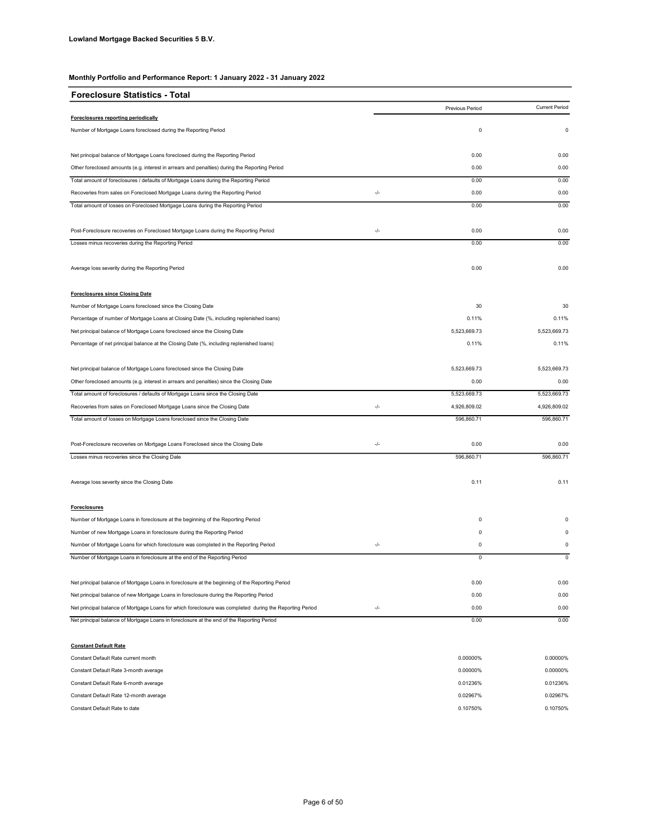| <b>Foreclosure Statistics - Total</b>                                                                   |               |                 |                       |
|---------------------------------------------------------------------------------------------------------|---------------|-----------------|-----------------------|
|                                                                                                         |               | Previous Period | <b>Current Period</b> |
| Foreclosures reporting periodically                                                                     |               |                 |                       |
| Number of Mortgage Loans foreclosed during the Reporting Period                                         |               | $\mathbf 0$     | $\mathsf 0$           |
| Net principal balance of Mortgage Loans foreclosed during the Reporting Period                          |               | 0.00            | 0.00                  |
| Other foreclosed amounts (e.g. interest in arrears and penalties) during the Reporting Period           |               | 0.00            | 0.00                  |
| Total amount of foreclosures / defaults of Mortgage Loans during the Reporting Period                   |               | 0.00            | 0.00                  |
| Recoveries from sales on Foreclosed Mortgage Loans during the Reporting Period                          | $\frac{1}{2}$ | 0.00            | 0.00                  |
| Total amount of losses on Foreclosed Mortgage Loans during the Reporting Period                         |               | 0.00            | 0.00                  |
| Post-Foreclosure recoveries on Foreclosed Mortgage Loans during the Reporting Period                    | -/-           | 0.00            | 0.00                  |
| Losses minus recoveries during the Reporting Period                                                     |               | 0.00            | 0.00                  |
| Average loss severity during the Reporting Period                                                       |               | 0.00            | 0.00                  |
| <b>Foreclosures since Closing Date</b>                                                                  |               |                 |                       |
| Number of Mortgage Loans foreclosed since the Closing Date                                              |               | 30              | 30                    |
| Percentage of number of Mortgage Loans at Closing Date (%, including replenished loans)                 |               | 0.11%           | 0.11%                 |
| Net principal balance of Mortgage Loans foreclosed since the Closing Date                               |               | 5,523,669.73    | 5,523,669.73          |
| Percentage of net principal balance at the Closing Date (%, including replenished loans)                |               | 0.11%           | 0.11%                 |
| Net principal balance of Mortgage Loans foreclosed since the Closing Date                               |               | 5,523,669.73    | 5,523,669.73          |
| Other foreclosed amounts (e.g. interest in arrears and penalties) since the Closing Date                |               | 0.00            | 0.00                  |
| Total amount of foreclosures / defaults of Mortgage Loans since the Closing Date                        |               | 5,523,669.73    | 5,523,669.73          |
| Recoveries from sales on Foreclosed Mortgage Loans since the Closing Date                               | -/-           | 4,926,809.02    | 4,926,809.02          |
| Total amount of losses on Mortgage Loans foreclosed since the Closing Date                              |               | 596,860.71      | 596,860.71            |
| Post-Foreclosure recoveries on Mortgage Loans Foreclosed since the Closing Date                         | $-/-$         | 0.00            | 0.00                  |
| Losses minus recoveries since the Closing Date                                                          |               | 596,860.71      | 596,860.71            |
| Average loss severity since the Closing Date                                                            |               | 0.11            | 0.11                  |
| <b>Foreclosures</b>                                                                                     |               |                 |                       |
| Number of Mortgage Loans in foreclosure at the beginning of the Reporting Period                        |               | 0               | 0                     |
| Number of new Mortgage Loans in foreclosure during the Reporting Period                                 |               | $\mathsf 0$     | $\Omega$              |
| Number of Mortgage Loans for which foreclosure was completed in the Reporting Period                    | -/-           | 0               | 0                     |
| Number of Mortgage Loans in foreclosure at the end of the Reporting Period                              |               | $\overline{0}$  | $\overline{0}$        |
| Net principal balance of Mortgage Loans in foreclosure at the beginning of the Reporting Period         |               | 0.00            | 0.00                  |
| Net principal balance of new Mortgage Loans in foreclosure during the Reporting Period                  |               | 0.00            | 0.00                  |
| Net principal balance of Mortgage Loans for which foreclosure was completed during the Reporting Period | $-/-$         | 0.00            | 0.00                  |
| Net principal balance of Mortgage Loans in foreclosure at the end of the Reporting Period               |               | 0.00            | 0.00                  |
| <b>Constant Default Rate</b>                                                                            |               |                 |                       |

| Constant Default Rate current month    | 0.00000% | 0.00000% |
|----------------------------------------|----------|----------|
| Constant Default Rate 3-month average  | 0.00000% | 0.00000% |
| Constant Default Rate 6-month average  | 0.01236% | 0.01236% |
| Constant Default Rate 12-month average | 0.02967% | 0.02967% |
| Constant Default Rate to date          | 0.10750% | 0.10750% |
|                                        |          |          |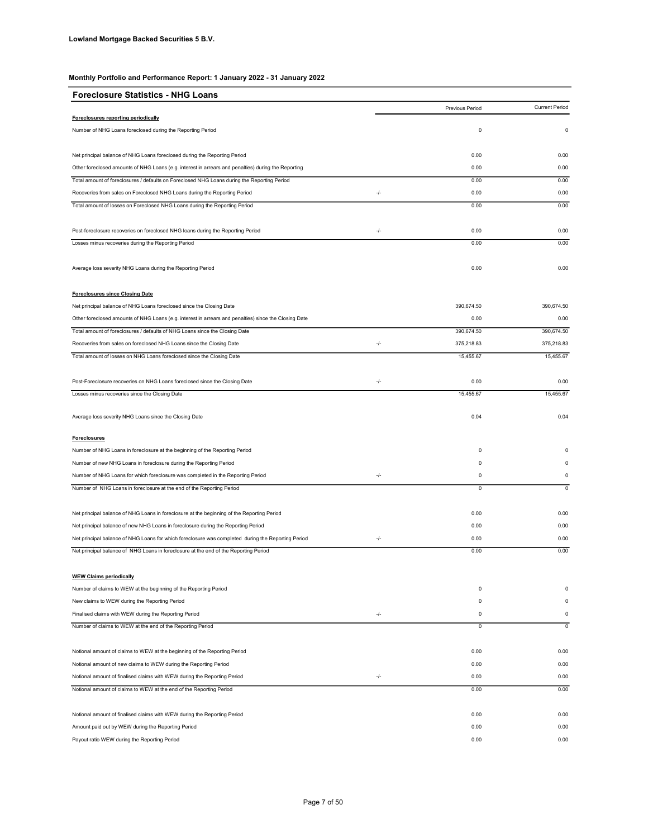| <b>Foreclosure Statistics - NHG Loans</b>                                                             |     |                 |                       |
|-------------------------------------------------------------------------------------------------------|-----|-----------------|-----------------------|
|                                                                                                       |     | Previous Period | <b>Current Period</b> |
| Foreclosures reporting periodically                                                                   |     |                 |                       |
| Number of NHG Loans foreclosed during the Reporting Period                                            |     | 0               | 0                     |
| Net principal balance of NHG Loans foreclosed during the Reporting Period                             |     | 0.00            | 0.00                  |
| Other foreclosed amounts of NHG Loans (e.g. interest in arrears and penalties) during the Reporting   |     | 0.00            | 0.00                  |
| Total amount of foreclosures / defaults on Foreclosed NHG Loans during the Reporting Period           |     | 0.00            | 0.00                  |
| Recoveries from sales on Foreclosed NHG Loans during the Reporting Period                             | -/- | 0.00            | 0.00                  |
| Total amount of losses on Foreclosed NHG Loans during the Reporting Period                            |     | 0.00            | 0.00                  |
| Post-foreclosure recoveries on foreclosed NHG loans during the Reporting Period                       | -/- | 0.00            | 0.00                  |
|                                                                                                       |     | 0.00            | 0.00                  |
| Losses minus recoveries during the Reporting Period                                                   |     |                 |                       |
| Average loss severity NHG Loans during the Reporting Period                                           |     | 0.00            | 0.00                  |
| <b>Foreclosures since Closing Date</b>                                                                |     |                 |                       |
| Net principal balance of NHG Loans foreclosed since the Closing Date                                  |     | 390,674.50      | 390,674.50            |
| Other foreclosed amounts of NHG Loans (e.g. interest in arrears and penalties) since the Closing Date |     | 0.00            | 0.00                  |
| Total amount of foreclosures / defaults of NHG Loans since the Closing Date                           |     | 390,674.50      | 390,674.50            |
| Recoveries from sales on foreclosed NHG Loans since the Closing Date                                  | -/- | 375,218.83      | 375,218.83            |
| Total amount of losses on NHG Loans foreclosed since the Closing Date                                 |     | 15,455.67       | 15,455.67             |
| Post-Foreclosure recoveries on NHG Loans foreclosed since the Closing Date                            | -/- | 0.00            | 0.00                  |
| Losses minus recoveries since the Closing Date                                                        |     | 15.455.67       | 15.455.67             |
| Average loss severity NHG Loans since the Closing Date                                                |     | 0.04            | 0.04                  |
| <b>Foreclosures</b>                                                                                   |     |                 |                       |
| Number of NHG Loans in foreclosure at the beginning of the Reporting Period                           |     | 0               | $\Omega$              |
| Number of new NHG Loans in foreclosure during the Reporting Period                                    |     | 0               | $\Omega$              |
| Number of NHG Loans for which foreclosure was completed in the Reporting Period                       | -/- | 0               | 0                     |
| Number of NHG Loans in foreclosure at the end of the Reporting Period                                 |     | $\overline{0}$  | $\overline{0}$        |
|                                                                                                       |     |                 |                       |
| Net principal balance of NHG Loans in foreclosure at the beginning of the Reporting Period            |     | 0.00            | 0.00                  |
| Net principal balance of new NHG Loans in foreclosure during the Reporting Period                     |     | 0.00            | 0.00                  |
| Net principal balance of NHG Loans for which foreclosure was completed during the Reporting Period    | -/- | 0.00            | 0.00                  |
| Net principal balance of NHG Loans in foreclosure at the end of the Reporting Period                  |     | 0.00            | 0.00                  |
| <b>WEW Claims periodically</b>                                                                        |     |                 |                       |
| Number of claims to WEW at the beginning of the Reporting Period                                      |     | 0               | 0                     |
| New claims to WEW during the Reporting Period                                                         |     | 0               | 0                     |
| Finalised claims with WEW during the Reporting Period                                                 | -/- | 0               | 0                     |
| Number of claims to WEW at the end of the Reporting Period                                            |     | 0               | 0                     |
| Notional amount of claims to WEW at the beginning of the Reporting Period                             |     | 0.00            | 0.00                  |
| Notional amount of new claims to WEW during the Reporting Period                                      |     | 0.00            | 0.00                  |
| Notional amount of finalised claims with WEW during the Reporting Period                              | -/- | 0.00            | 0.00                  |
| Notional amount of claims to WEW at the end of the Reporting Period                                   |     | 0.00            | 0.00                  |
| Notional amount of finalised claims with WEW during the Reporting Period                              |     | 0.00            | 0.00                  |
| Amount paid out by WEW during the Reporting Period                                                    |     | 0.00            | 0.00                  |
| Payout ratio WEW during the Reporting Period                                                          |     | 0.00            | 0.00                  |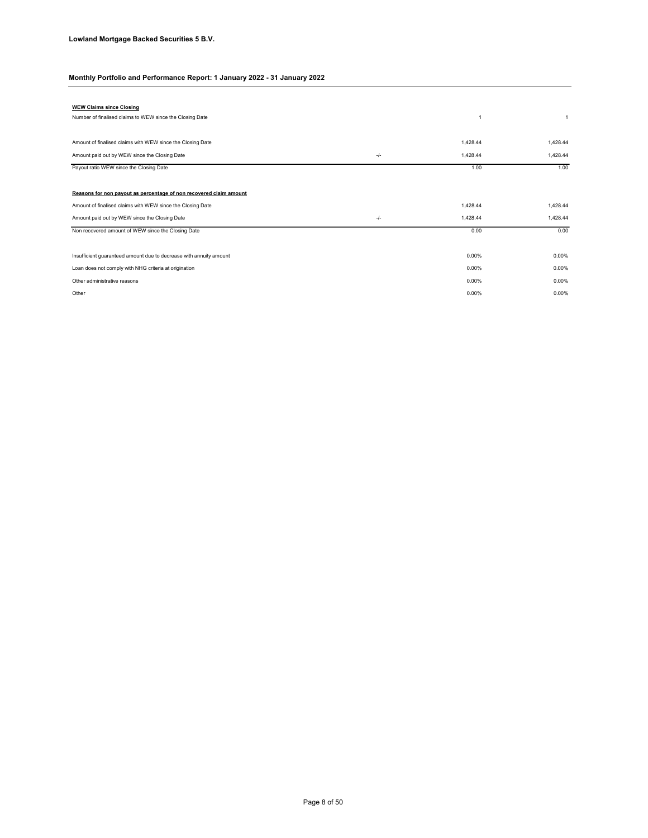| <b>WEW Claims since Closing</b>                                    |       |          |          |
|--------------------------------------------------------------------|-------|----------|----------|
| Number of finalised claims to WEW since the Closing Date           |       | 1        |          |
|                                                                    |       |          |          |
| Amount of finalised claims with WEW since the Closing Date         |       | 1,428.44 | 1.428.44 |
| Amount paid out by WEW since the Closing Date                      | -/-   | 1,428.44 | 1,428.44 |
| Payout ratio WEW since the Closing Date                            |       | 1.00     | 1.00     |
|                                                                    |       |          |          |
| Reasons for non pavout as percentage of non recovered claim amount |       |          |          |
| Amount of finalised claims with WEW since the Closing Date         |       | 1,428.44 | 1,428.44 |
| Amount paid out by WEW since the Closing Date                      | $-/-$ | 1,428.44 | 1,428.44 |
| Non recovered amount of WEW since the Closing Date                 |       | 0.00     | 0.00     |
|                                                                    |       |          |          |
| Insufficient guaranteed amount due to decrease with annuity amount |       | 0.00%    | 0.00%    |
| Loan does not comply with NHG criteria at origination              |       | 0.00%    | 0.00%    |
| Other administrative reasons                                       |       | 0.00%    | 0.00%    |
| Other                                                              |       | 0.00%    | 0.00%    |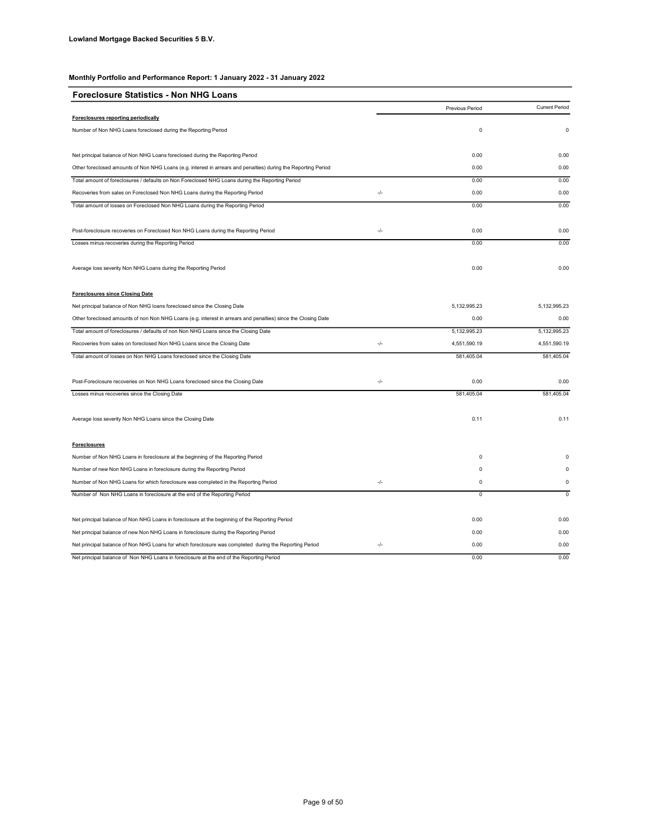| <b>Foreclosure Statistics - Non NHG Loans</b>                                                                  |       |                 |                       |
|----------------------------------------------------------------------------------------------------------------|-------|-----------------|-----------------------|
|                                                                                                                |       | Previous Period | <b>Current Period</b> |
| Foreclosures reporting periodically                                                                            |       |                 |                       |
| Number of Non NHG Loans foreclosed during the Reporting Period                                                 |       | $\pmb{0}$       | 0                     |
| Net principal balance of Non NHG Loans foreclosed during the Reporting Period                                  |       | 0.00            | 0.00                  |
| Other foreclosed amounts of Non NHG Loans (e.g. interest in arrears and penalties) during the Reporting Period |       | 0.00            | 0.00                  |
| Total amount of foreclosures / defaults on Non Foreclosed NHG Loans during the Reporting Period                |       | 0.00            | 0.00                  |
| Recoveries from sales on Foreclosed Non NHG Loans during the Reporting Period                                  | -/-   | 0.00            | 0.00                  |
| Total amount of losses on Foreclosed Non NHG Loans during the Reporting Period                                 |       | 0.00            | 0.00                  |
| Post-foreclosure recoveries on Foreclosed Non NHG Loans during the Reporting Period                            | $-/-$ | 0.00            | 0.00                  |
| Losses minus recoveries during the Reporting Period                                                            |       | 0.00            | 0.00                  |
| Average loss severity Non NHG Loans during the Reporting Period                                                |       | 0.00            | 0.00                  |
| <b>Foreclosures since Closing Date</b>                                                                         |       |                 |                       |
| Net principal balance of Non NHG loans foreclosed since the Closing Date                                       |       | 5,132,995.23    | 5,132,995.23          |
| Other foreclosed amounts of non Non NHG Loans (e.g. interest in arrears and penalties) since the Closing Date  |       | 0.00            | 0.00                  |
| Total amount of foreclosures / defaults of non Non NHG Loans since the Closing Date                            |       | 5,132,995.23    | 5,132,995.23          |
| Recoveries from sales on foreclosed Non NHG Loans since the Closing Date                                       | $-/-$ | 4,551,590.19    | 4,551,590.19          |
| Total amount of losses on Non NHG Loans foreclosed since the Closing Date                                      |       | 581,405.04      | 581,405.04            |
| Post-Foreclosure recoveries on Non NHG Loans foreclosed since the Closing Date                                 | -/-   | 0.00            | 0.00                  |
| Losses minus recoveries since the Closing Date                                                                 |       | 581.405.04      | 581,405.04            |
| Average loss severity Non NHG Loans since the Closing Date                                                     |       | 0.11            | 0.11                  |
| <b>Foreclosures</b>                                                                                            |       |                 |                       |
| Number of Non NHG Loans in foreclosure at the beginning of the Reporting Period                                |       | 0               | Ò                     |
| Number of new Non NHG Loans in foreclosure during the Reporting Period                                         |       | 0               | 0                     |
| Number of Non NHG Loans for which foreclosure was completed in the Reporting Period                            | -/-   | 0               | 0                     |
| Number of Non NHG Loans in foreclosure at the end of the Reporting Period                                      |       | 0               | $\mathsf 0$           |
| Net principal balance of Non NHG Loans in foreclosure at the beginning of the Reporting Period                 |       | 0.00            | 0.00                  |
| Net principal balance of new Non NHG Loans in foreclosure during the Reporting Period                          |       | 0.00            | 0.00                  |
| Net principal balance of Non NHG Loans for which foreclosure was completed during the Reporting Period         | -/-   | 0.00            | 0.00                  |
| Net principal balance of Non NHG Loans in foreclosure at the end of the Reporting Period                       |       | 0.00            | 0.00                  |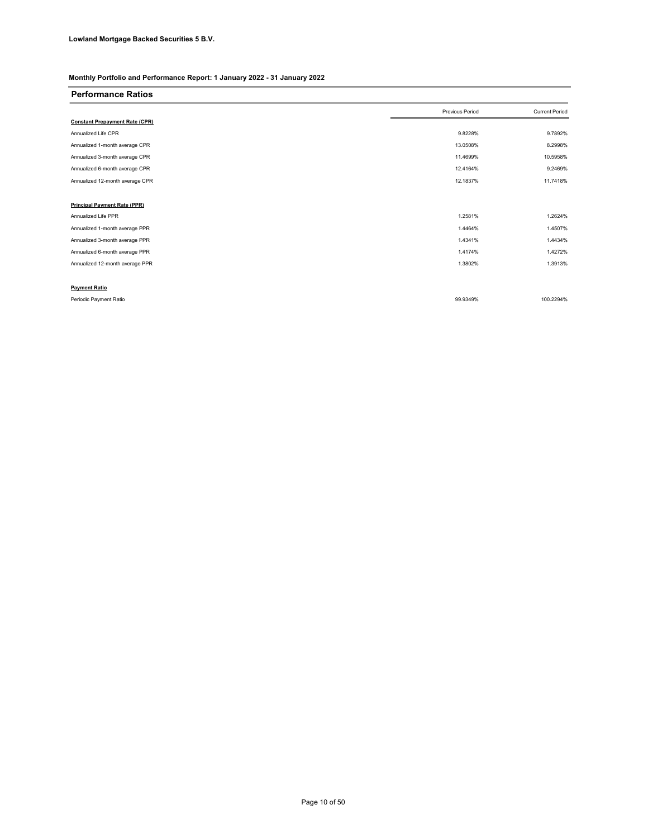#### Performance Ratios

|                                       | Previous Period | <b>Current Period</b> |
|---------------------------------------|-----------------|-----------------------|
| <b>Constant Prepayment Rate (CPR)</b> |                 |                       |
| Annualized Life CPR                   | 9.8228%         | 9.7892%               |
| Annualized 1-month average CPR        | 13.0508%        | 8.2998%               |
| Annualized 3-month average CPR        | 11.4699%        | 10.5958%              |
| Annualized 6-month average CPR        | 12.4164%        | 9.2469%               |
| Annualized 12-month average CPR       | 12.1837%        | 11.7418%              |
|                                       |                 |                       |
| <b>Principal Payment Rate (PPR)</b>   |                 |                       |
| Annualized Life PPR                   | 1.2581%         | 1.2624%               |
| Annualized 1-month average PPR        | 1.4464%         | 1.4507%               |
| Annualized 3-month average PPR        | 1.4341%         | 1.4434%               |
| Annualized 6-month average PPR        | 1.4174%         | 1.4272%               |
| Annualized 12-month average PPR       | 1.3802%         | 1.3913%               |
|                                       |                 |                       |
| <b>Payment Ratio</b>                  |                 |                       |

Periodic Payment Ratio 99.9349% 100.2294%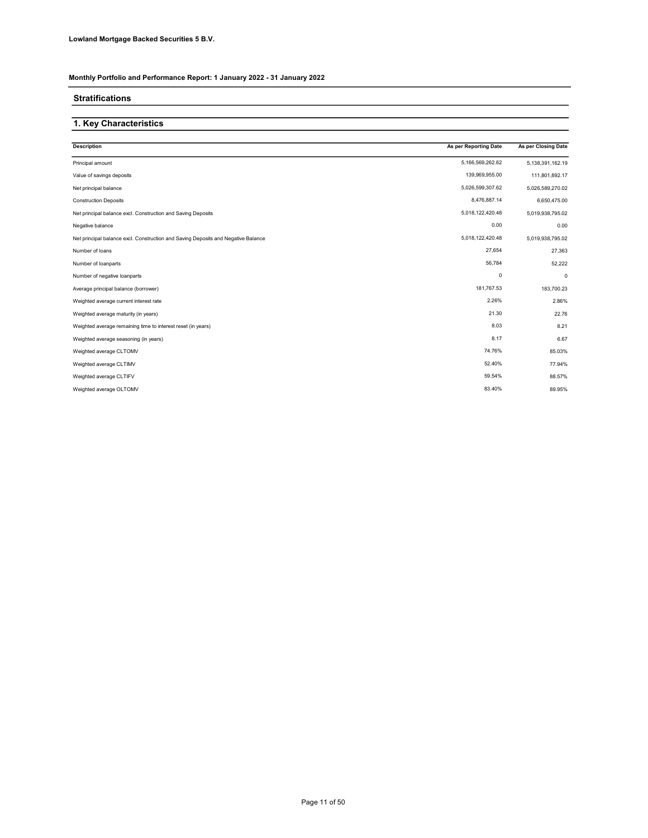### Stratifications

### 1. Key Characteristics

| <b>Description</b>                                                                | As per Reporting Date | As per Closing Date |
|-----------------------------------------------------------------------------------|-----------------------|---------------------|
| Principal amount                                                                  | 5,166,569,262.62      | 5,138,391,162.19    |
| Value of savings deposits                                                         | 139,969,955.00        | 111,801,892.17      |
| Net principal balance                                                             | 5,026,599,307.62      | 5,026,589,270.02    |
| <b>Construction Deposits</b>                                                      | 8,476,887.14          | 6,650,475.00        |
| Net principal balance excl. Construction and Saving Deposits                      | 5,018,122,420.48      | 5,019,938,795.02    |
| Negative balance                                                                  | 0.00                  | 0.00                |
| Net principal balance excl. Construction and Saving Deposits and Negative Balance | 5,018,122,420.48      | 5,019,938,795.02    |
| Number of loans                                                                   | 27,654                | 27,363              |
| Number of loanparts                                                               | 56,784                | 52,222              |
| Number of negative loanparts                                                      | $\pmb{0}$             | $\mathbf 0$         |
| Average principal balance (borrower)                                              | 181,767.53            | 183,700.23          |
| Weighted average current interest rate                                            | 2.26%                 | 2.86%               |
| Weighted average maturity (in years)                                              | 21.30                 | 22.76               |
| Weighted average remaining time to interest reset (in years)                      | 8.03                  | 8.21                |
| Weighted average seasoning (in years)                                             | 8.17                  | 6.67                |
| Weighted average CLTOMV                                                           | 74.76%                | 85.03%              |
| Weighted average CLTIMV                                                           | 52.40%                | 77.94%              |
| Weighted average CLTIFV                                                           | 59.54%                | 88.57%              |
| Weighted average OLTOMV                                                           | 83.40%                | 89.95%              |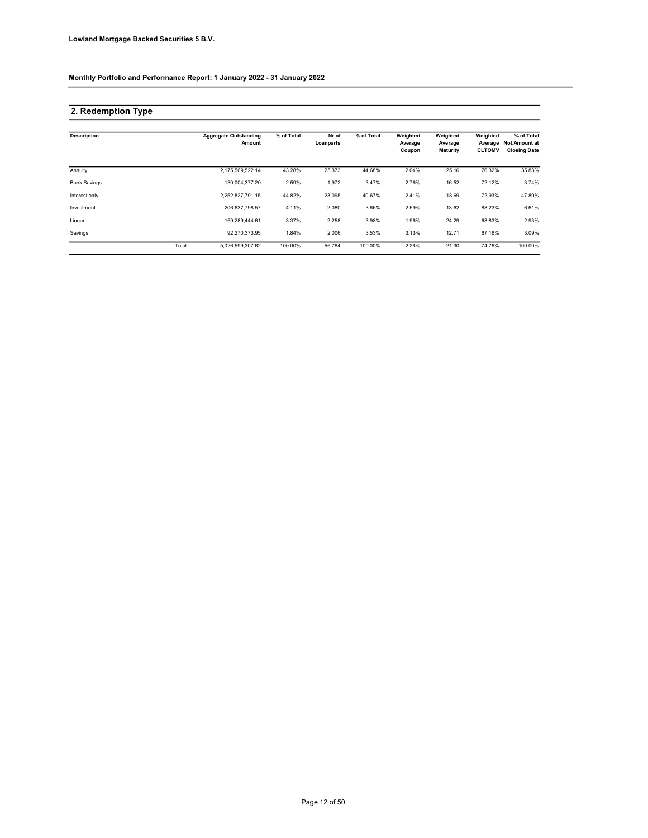### 2. Redemption Type

| <b>Description</b>  |       | <b>Aggregate Outstanding</b><br>Amount | % of Total | Nr of<br>Loanparts | % of Total | Weighted<br>Average<br>Coupon | Weighted<br>Average<br><b>Maturity</b> | Weighted<br>Average<br><b>CLTOMV</b> | % of Total<br><b>Not.Amount at</b><br><b>Closing Date</b> |
|---------------------|-------|----------------------------------------|------------|--------------------|------------|-------------------------------|----------------------------------------|--------------------------------------|-----------------------------------------------------------|
| Annuity             |       | 2.175.569.522.14                       | 43.28%     | 25,373             | 44.68%     | 2.04%                         | 25.16                                  | 76.32%                               | 35.83%                                                    |
| <b>Bank Savings</b> |       | 130.004.377.20                         | 2.59%      | 1,972              | 3.47%      | 2.76%                         | 16.52                                  | 72.12%                               | 3.74%                                                     |
| Interest only       |       | 2.252.827.791.15                       | 44.82%     | 23,095             | 40.67%     | 2.41%                         | 18.69                                  | 72.93%                               | 47.80%                                                    |
| Investment          |       | 206,637,798.57                         | 4.11%      | 2,080              | 3.66%      | 2.59%                         | 13.62                                  | 88.23%                               | 6.61%                                                     |
| Linear              |       | 169.289.444.61                         | 3.37%      | 2,258              | 3.98%      | 1.96%                         | 24.29                                  | 68.83%                               | 2.93%                                                     |
| Savings             |       | 92.270.373.95                          | 1.84%      | 2,006              | 3.53%      | 3.13%                         | 12.71                                  | 67.16%                               | 3.09%                                                     |
|                     | Total | 5,026,599,307.62                       | 100.00%    | 56.784             | 100.00%    | 2.26%                         | 21.30                                  | 74.76%                               | 100.00%                                                   |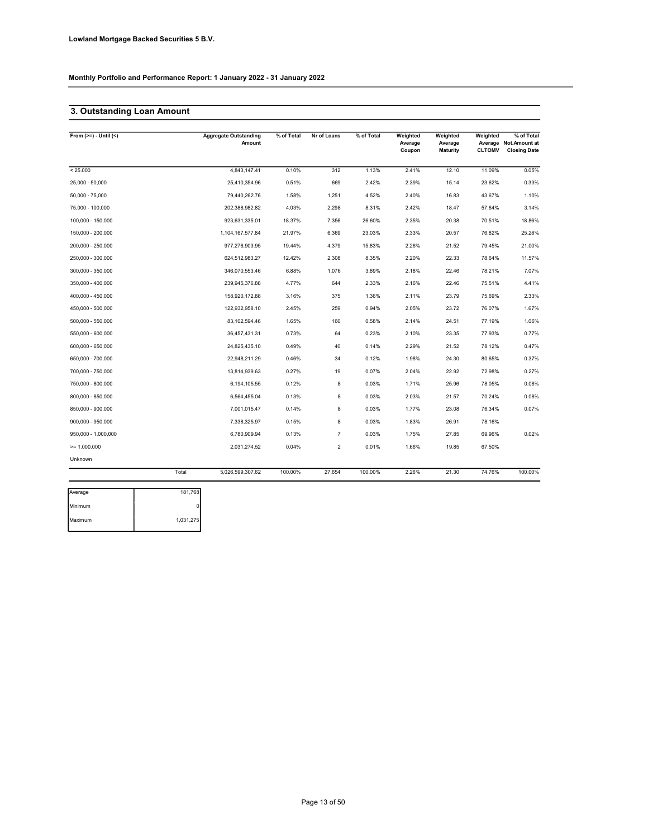### 3. Outstanding Loan Amount

| From $(>=) -$ Until $($ | <b>Aggregate Outstanding</b><br>Amount | % of Total | Nr of Loans    | % of Total | Weighted<br>Average<br>Coupon | Weighted<br>Average<br><b>Maturity</b> | Weighted<br><b>CLTOMV</b> | % of Total<br>Average Not.Amount at<br><b>Closing Date</b> |
|-------------------------|----------------------------------------|------------|----------------|------------|-------------------------------|----------------------------------------|---------------------------|------------------------------------------------------------|
| < 25.000                | 4,843,147.41                           | 0.10%      | 312            | 1.13%      | 2.41%                         | 12.10                                  | 11.09%                    | 0.05%                                                      |
| 25,000 - 50,000         | 25,410,354.96                          | 0.51%      | 669            | 2.42%      | 2.39%                         | 15.14                                  | 23.62%                    | 0.33%                                                      |
| 50,000 - 75,000         | 79,440,262.76                          | 1.58%      | 1,251          | 4.52%      | 2.40%                         | 16.83                                  | 43.67%                    | 1.10%                                                      |
| 75,000 - 100,000        | 202,388,982.82                         | 4.03%      | 2,298          | 8.31%      | 2.42%                         | 18.47                                  | 57.64%                    | 3.14%                                                      |
| 100,000 - 150,000       | 923,631,335.01                         | 18.37%     | 7,356          | 26.60%     | 2.35%                         | 20.38                                  | 70.51%                    | 18.86%                                                     |
| 150,000 - 200,000       | 1,104,167,577.84                       | 21.97%     | 6,369          | 23.03%     | 2.33%                         | 20.57                                  | 76.82%                    | 25.28%                                                     |
| 200,000 - 250,000       | 977,276,903.95                         | 19.44%     | 4,379          | 15.83%     | 2.26%                         | 21.52                                  | 79.45%                    | 21.00%                                                     |
| 250,000 - 300,000       | 624,512,983.27                         | 12.42%     | 2,308          | 8.35%      | 2.20%                         | 22.33                                  | 78.64%                    | 11.57%                                                     |
| 300,000 - 350,000       | 346,070,553.46                         | 6.88%      | 1,076          | 3.89%      | 2.18%                         | 22.46                                  | 78.21%                    | 7.07%                                                      |
| 350,000 - 400,000       | 239,945,376.88                         | 4.77%      | 644            | 2.33%      | 2.16%                         | 22.46                                  | 75.51%                    | 4.41%                                                      |
| 400,000 - 450,000       | 158,920,172.88                         | 3.16%      | 375            | 1.36%      | 2.11%                         | 23.79                                  | 75.69%                    | 2.33%                                                      |
| 450,000 - 500,000       | 122,932,958.10                         | 2.45%      | 259            | 0.94%      | 2.05%                         | 23.72                                  | 76.07%                    | 1.67%                                                      |
| 500,000 - 550,000       | 83,102,594.46                          | 1.65%      | 160            | 0.58%      | 2.14%                         | 24.51                                  | 77.19%                    | 1.06%                                                      |
| 550,000 - 600,000       | 36,457,431.31                          | 0.73%      | 64             | 0.23%      | 2.10%                         | 23.35                                  | 77.93%                    | 0.77%                                                      |
| 600,000 - 650,000       | 24,825,435.10                          | 0.49%      | 40             | 0.14%      | 2.29%                         | 21.52                                  | 78.12%                    | 0.47%                                                      |
| 650,000 - 700,000       | 22,948,211.29                          | 0.46%      | 34             | 0.12%      | 1.98%                         | 24.30                                  | 80.65%                    | 0.37%                                                      |
| 700,000 - 750,000       | 13,814,939.63                          | 0.27%      | 19             | 0.07%      | 2.04%                         | 22.92                                  | 72.98%                    | 0.27%                                                      |
| 750,000 - 800,000       | 6,194,105.55                           | 0.12%      | 8              | 0.03%      | 1.71%                         | 25.96                                  | 78.05%                    | 0.08%                                                      |
| 800,000 - 850,000       | 6,564,455.04                           | 0.13%      | 8              | 0.03%      | 2.03%                         | 21.57                                  | 70.24%                    | 0.08%                                                      |
| 850,000 - 900,000       | 7,001,015.47                           | 0.14%      | 8              | 0.03%      | 1.77%                         | 23.08                                  | 76.34%                    | 0.07%                                                      |
| 900,000 - 950,000       | 7,338,325.97                           | 0.15%      | 8              | 0.03%      | 1.83%                         | 26.91                                  | 78.16%                    |                                                            |
| 950,000 - 1,000,000     | 6,780,909.94                           | 0.13%      | $\overline{7}$ | 0.03%      | 1.75%                         | 27.85                                  | 69.96%                    | 0.02%                                                      |
| $>= 1.000.000$          | 2,031,274.52                           | 0.04%      | $\overline{2}$ | 0.01%      | 1.66%                         | 19.85                                  | 67.50%                    |                                                            |
| Unknown                 |                                        |            |                |            |                               |                                        |                           |                                                            |
|                         | Total<br>5,026,599,307.62              | 100.00%    | 27,654         | 100.00%    | 2.26%                         | 21.30                                  | 74.76%                    | 100.00%                                                    |

| Average | 181,768   |
|---------|-----------|
| Minimum |           |
| Maximum | 1,031,275 |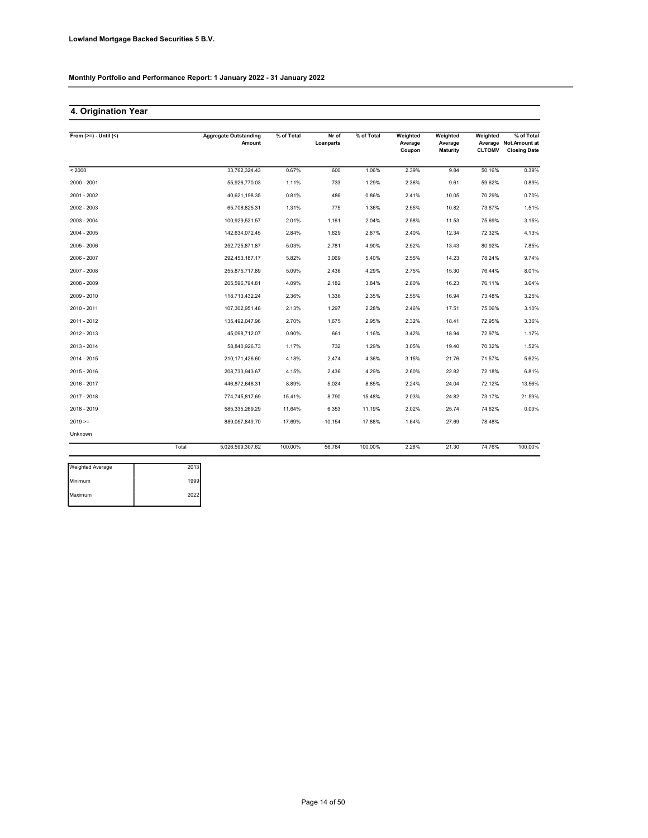### 4. Origination Year

| From $(>=) -$ Until $(<)$ |       | <b>Aggregate Outstanding</b><br>Amount | % of Total | Nr of<br>Loanparts | $%$ of Total | Weighted<br>Average<br>Coupon | Weighted<br>Average<br>Maturity | Weighted<br><b>CLTOMV</b> | % of Total<br>Average Not.Amount at<br><b>Closing Date</b> |
|---------------------------|-------|----------------------------------------|------------|--------------------|--------------|-------------------------------|---------------------------------|---------------------------|------------------------------------------------------------|
| < 2000                    |       | 33,762,324.43                          | 0.67%      | 600                | 1.06%        | 2.39%                         | 9.84                            | 50.16%                    | 0.39%                                                      |
| 2000 - 2001               |       | 55,926,770.03                          | 1.11%      | 733                | 1.29%        | 2.36%                         | 9.61                            | 59.62%                    | 0.89%                                                      |
| 2001 - 2002               |       | 40,621,198.35                          | 0.81%      | 486                | 0.86%        | 2.41%                         | 10.05                           | 70.29%                    | 0.70%                                                      |
| 2002 - 2003               |       | 65,708,825.31                          | 1.31%      | 775                | 1.36%        | 2.55%                         | 10.82                           | 73.67%                    | 1.51%                                                      |
| 2003 - 2004               |       | 100,929,521.57                         | 2.01%      | 1,161              | 2.04%        | 2.58%                         | 11.53                           | 75.69%                    | 3.15%                                                      |
| 2004 - 2005               |       | 142,634,072.45                         | 2.84%      | 1,629              | 2.87%        | 2.40%                         | 12.34                           | 72.32%                    | 4.13%                                                      |
| 2005 - 2006               |       | 252.725.871.87                         | 5.03%      | 2.781              | 4.90%        | 2.52%                         | 13.43                           | 80.92%                    | 7.85%                                                      |
| 2006 - 2007               |       | 292,453,187.17                         | 5.82%      | 3,069              | 5.40%        | 2.55%                         | 14.23                           | 78.24%                    | 9.74%                                                      |
| 2007 - 2008               |       | 255,875,717.89                         | 5.09%      | 2,436              | 4.29%        | 2.75%                         | 15.30                           | 76.44%                    | 8.01%                                                      |
| 2008 - 2009               |       | 205,596,794.81                         | 4.09%      | 2,182              | 3.84%        | 2.80%                         | 16.23                           | 76.11%                    | 3.64%                                                      |
| 2009 - 2010               |       | 118,713,432.24                         | 2.36%      | 1,336              | 2.35%        | 2.55%                         | 16.94                           | 73.48%                    | 3.25%                                                      |
| 2010 - 2011               |       | 107,302,951.48                         | 2.13%      | 1,297              | 2.28%        | 2.46%                         | 17.51                           | 75.06%                    | 3.10%                                                      |
| 2011 - 2012               |       | 135,492,047.96                         | 2.70%      | 1,675              | 2.95%        | 2.32%                         | 18.41                           | 72.95%                    | 3.36%                                                      |
| 2012 - 2013               |       | 45,098,712.07                          | 0.90%      | 661                | 1.16%        | 3.42%                         | 18.94                           | 72.97%                    | 1.17%                                                      |
| 2013 - 2014               |       | 58,840,926.73                          | 1.17%      | 732                | 1.29%        | 3.05%                         | 19.40                           | 70.32%                    | 1.52%                                                      |
| 2014 - 2015               |       | 210,171,426.60                         | 4.18%      | 2,474              | 4.36%        | 3.15%                         | 21.76                           | 71.57%                    | 5.62%                                                      |
| 2015 - 2016               |       | 208,733,943.67                         | 4.15%      | 2,436              | 4.29%        | 2.60%                         | 22.82                           | 72.18%                    | 6.81%                                                      |
| 2016 - 2017               |       | 446,872,646.31                         | 8.89%      | 5,024              | 8.85%        | 2.24%                         | 24.04                           | 72.12%                    | 13.56%                                                     |
| 2017 - 2018               |       | 774,745,817.69                         | 15.41%     | 8,790              | 15.48%       | 2.03%                         | 24.82                           | 73.17%                    | 21.59%                                                     |
| 2018 - 2019               |       | 585,335,269.29                         | 11.64%     | 6,353              | 11.19%       | 2.02%                         | 25.74                           | 74.62%                    | 0.03%                                                      |
| $2019 =$                  |       | 889,057,849.70                         | 17.69%     | 10,154             | 17.88%       | 1.64%                         | 27.69                           | 78.48%                    |                                                            |
| Unknown                   |       |                                        |            |                    |              |                               |                                 |                           |                                                            |
|                           | Total | 5,026,599,307.62                       | 100.00%    | 56,784             | 100.00%      | 2.26%                         | 21.30                           | 74.76%                    | 100.00%                                                    |
| <b>Weighted Average</b>   | 2013  |                                        |            |                    |              |                               |                                 |                           |                                                            |

| 2013 |
|------|
| 1999 |
| 2022 |
|      |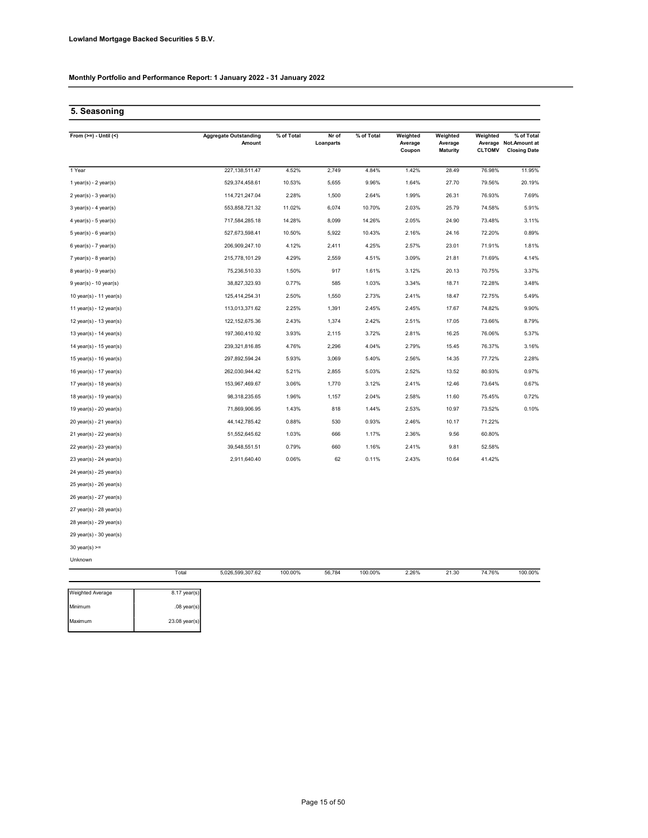### 5. Seasoning

| From $(>=) -$ Until $($   |                | <b>Aggregate Outstanding</b><br>Amount | % of Total | Nr of<br>Loanparts | % of Total | Weighted<br>Average<br>Coupon | Weighted<br>Average<br><b>Maturity</b> | Weighted<br><b>CLTOMV</b> | % of Total<br>Average Not.Amount at<br><b>Closing Date</b> |
|---------------------------|----------------|----------------------------------------|------------|--------------------|------------|-------------------------------|----------------------------------------|---------------------------|------------------------------------------------------------|
| 1 Year                    |                | 227, 138, 511.47                       | 4.52%      | 2,749              | 4.84%      | 1.42%                         | 28.49                                  | 76.98%                    | 11.95%                                                     |
| 1 year(s) - $2$ year(s)   |                | 529,374,458.61                         | 10.53%     | 5,655              | 9.96%      | 1.64%                         | 27.70                                  | 79.56%                    | 20.19%                                                     |
| $2$ year(s) - $3$ year(s) |                | 114,721,247.04                         | 2.28%      | 1,500              | 2.64%      | 1.99%                         | 26.31                                  | 76.93%                    | 7.69%                                                      |
| $3$ year(s) - 4 year(s)   |                | 553,858,721.32                         | 11.02%     | 6,074              | 10.70%     | 2.03%                         | 25.79                                  | 74.58%                    | 5.91%                                                      |
| $4$ year(s) - $5$ year(s) |                | 717,584,285.18                         | 14.28%     | 8,099              | 14.26%     | 2.05%                         | 24.90                                  | 73.48%                    | 3.11%                                                      |
| $5$ year(s) - $6$ year(s) |                | 527,673,598.41                         | 10.50%     | 5,922              | 10.43%     | 2.16%                         | 24.16                                  | 72.20%                    | 0.89%                                                      |
| $6$ year(s) - 7 year(s)   |                | 206,909,247.10                         | 4.12%      | 2,411              | 4.25%      | 2.57%                         | 23.01                                  | 71.91%                    | 1.81%                                                      |
| $7$ year(s) - 8 year(s)   |                | 215,778,101.29                         | 4.29%      | 2,559              | 4.51%      | 3.09%                         | 21.81                                  | 71.69%                    | 4.14%                                                      |
| $8$ year(s) - $9$ year(s) |                | 75,236,510.33                          | 1.50%      | 917                | 1.61%      | 3.12%                         | 20.13                                  | 70.75%                    | 3.37%                                                      |
| $9$ year(s) - 10 year(s)  |                | 38,827,323.93                          | 0.77%      | 585                | 1.03%      | 3.34%                         | 18.71                                  | 72.28%                    | 3.48%                                                      |
| 10 year(s) - 11 year(s)   |                | 125,414,254.31                         | 2.50%      | 1,550              | 2.73%      | 2.41%                         | 18.47                                  | 72.75%                    | 5.49%                                                      |
| 11 year(s) - 12 year(s)   |                | 113,013,371.62                         | 2.25%      | 1,391              | 2.45%      | 2.45%                         | 17.67                                  | 74.82%                    | 9.90%                                                      |
| 12 year(s) - 13 year(s)   |                | 122, 152, 675.36                       | 2.43%      | 1,374              | 2.42%      | 2.51%                         | 17.05                                  | 73.66%                    | 8.79%                                                      |
| 13 year(s) - 14 year(s)   |                | 197,360,410.92                         | 3.93%      | 2,115              | 3.72%      | 2.81%                         | 16.25                                  | 76.06%                    | 5.37%                                                      |
| 14 year(s) - 15 year(s)   |                | 239,321,816.85                         | 4.76%      | 2,296              | 4.04%      | 2.79%                         | 15.45                                  | 76.37%                    | 3.16%                                                      |
| 15 year(s) - 16 year(s)   |                | 297,892,594.24                         | 5.93%      | 3,069              | 5.40%      | 2.56%                         | 14.35                                  | 77.72%                    | 2.28%                                                      |
| 16 year(s) - 17 year(s)   |                | 262,030,944.42                         | 5.21%      | 2,855              | 5.03%      | 2.52%                         | 13.52                                  | 80.93%                    | 0.97%                                                      |
| 17 year(s) - 18 year(s)   |                | 153,967,469.67                         | 3.06%      | 1,770              | 3.12%      | 2.41%                         | 12.46                                  | 73.64%                    | 0.67%                                                      |
| 18 year(s) - 19 year(s)   |                | 98,318,235.65                          | 1.96%      | 1,157              | 2.04%      | 2.58%                         | 11.60                                  | 75.45%                    | 0.72%                                                      |
| 19 year(s) - 20 year(s)   |                | 71,869,906.95                          | 1.43%      | 818                | 1.44%      | 2.53%                         | 10.97                                  | 73.52%                    | 0.10%                                                      |
| 20 year(s) - 21 year(s)   |                | 44, 142, 785. 42                       | 0.88%      | 530                | 0.93%      | 2.46%                         | 10.17                                  | 71.22%                    |                                                            |
| 21 year(s) - 22 year(s)   |                | 51,552,645.62                          | 1.03%      | 666                | 1.17%      | 2.36%                         | 9.56                                   | 60.80%                    |                                                            |
| 22 year(s) - 23 year(s)   |                | 39,548,551.51                          | 0.79%      | 660                | 1.16%      | 2.41%                         | 9.81                                   | 52.58%                    |                                                            |
| 23 year(s) - 24 year(s)   |                | 2,911,640.40                           | 0.06%      | 62                 | 0.11%      | 2.43%                         | 10.64                                  | 41.42%                    |                                                            |
| 24 year(s) - 25 year(s)   |                |                                        |            |                    |            |                               |                                        |                           |                                                            |
| 25 year(s) - 26 year(s)   |                |                                        |            |                    |            |                               |                                        |                           |                                                            |
| 26 year(s) - 27 year(s)   |                |                                        |            |                    |            |                               |                                        |                           |                                                            |
| 27 year(s) - 28 year(s)   |                |                                        |            |                    |            |                               |                                        |                           |                                                            |
| 28 year(s) - 29 year(s)   |                |                                        |            |                    |            |                               |                                        |                           |                                                            |
| 29 year(s) - 30 year(s)   |                |                                        |            |                    |            |                               |                                        |                           |                                                            |
| $30$ year(s) >=           |                |                                        |            |                    |            |                               |                                        |                           |                                                            |
| Unknown                   |                |                                        |            |                    |            |                               |                                        |                           |                                                            |
|                           | Total          | 5,026,599,307.62                       | 100.00%    | 56,784             | 100.00%    | 2.26%                         | 21.30                                  | 74.76%                    | 100.00%                                                    |
| Weighted Average          | $8.17$ year(s) |                                        |            |                    |            |                               |                                        |                           |                                                            |

| Weighted Average | $8.17$ year(s)  |
|------------------|-----------------|
| Minimum          | $.08$ year(s)   |
| Maximum          | $23.08$ year(s) |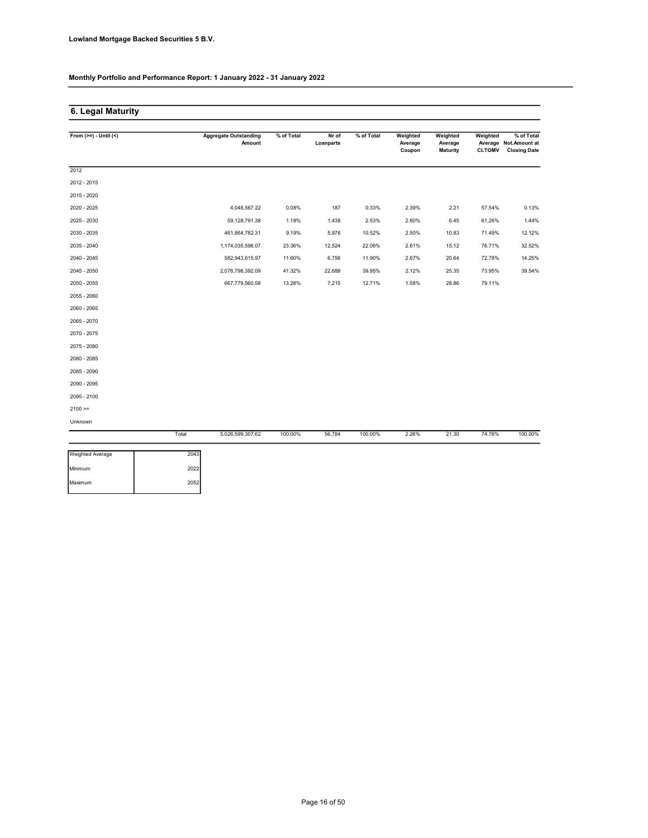Maximum 2052

Monthly Portfolio and Performance Report: 1 January 2022 - 31 January 2022

### 6. Legal Maturity

| From $(>=) -$ Until $($ |       | <b>Aggregate Outstanding</b><br>Amount | % of Total | Nr of<br>Loanparts | % of Total | Weighted<br>Average<br>Coupon | Weighted<br>Average<br><b>Maturity</b> | Weighted<br><b>CLTOMV</b> | % of Total<br>Average Not.Amount at<br><b>Closing Date</b> |
|-------------------------|-------|----------------------------------------|------------|--------------------|------------|-------------------------------|----------------------------------------|---------------------------|------------------------------------------------------------|
| 2012                    |       |                                        |            |                    |            |                               |                                        |                           |                                                            |
| 2012 - 2015             |       |                                        |            |                    |            |                               |                                        |                           |                                                            |
| 2015 - 2020             |       |                                        |            |                    |            |                               |                                        |                           |                                                            |
| 2020 - 2025             |       | 4,048,567.22                           | 0.08%      | 187                | 0.33%      | 2.39%                         | 2.21                                   | 57.54%                    | 0.13%                                                      |
| 2025 - 2030             |       | 59,128,791.38                          | 1.18%      | 1,438              | 2.53%      | 2.60%                         | 6.45                                   | 61.26%                    | 1.44%                                                      |
| 2030 - 2035             |       | 461,864,782.31                         | 9.19%      | 5,976              | 10.52%     | 2.50%                         | 10.83                                  | 71.49%                    | 12.12%                                                     |
| 2035 - 2040             |       | 1,174,035,598.07                       | 23.36%     | 12,524             | 22.06%     | 2.61%                         | 15.12                                  | 76.71%                    | 32.52%                                                     |
| 2040 - 2045             |       | 582,943,615.97                         | 11.60%     | 6,756              | 11.90%     | 2.67%                         | 20.64                                  | 72.78%                    | 14.25%                                                     |
| 2045 - 2050             |       | 2,076,798,392.09                       | 41.32%     | 22,688             | 39.95%     | 2.12%                         | 25.35                                  | 73.95%                    | 39.54%                                                     |
| 2050 - 2055             |       | 667,779,560.58                         | 13.28%     | 7,215              | 12.71%     | 1.58%                         | 28.86                                  | 79.11%                    |                                                            |
| 2055 - 2060             |       |                                        |            |                    |            |                               |                                        |                           |                                                            |
| 2060 - 2065             |       |                                        |            |                    |            |                               |                                        |                           |                                                            |
| 2065 - 2070             |       |                                        |            |                    |            |                               |                                        |                           |                                                            |
| 2070 - 2075             |       |                                        |            |                    |            |                               |                                        |                           |                                                            |
| 2075 - 2080             |       |                                        |            |                    |            |                               |                                        |                           |                                                            |
| 2080 - 2085             |       |                                        |            |                    |            |                               |                                        |                           |                                                            |
| 2085 - 2090             |       |                                        |            |                    |            |                               |                                        |                           |                                                            |
| 2090 - 2095             |       |                                        |            |                    |            |                               |                                        |                           |                                                            |
| 2095 - 2100             |       |                                        |            |                    |            |                               |                                        |                           |                                                            |
| $2100 =$                |       |                                        |            |                    |            |                               |                                        |                           |                                                            |
| Unknown                 |       |                                        |            |                    |            |                               |                                        |                           |                                                            |
|                         | Total | 5,026,599,307.62                       | 100.00%    | 56,784             | 100.00%    | 2.26%                         | 21.30                                  | 74.76%                    | 100.00%                                                    |
| Weighted Average        | 2043  |                                        |            |                    |            |                               |                                        |                           |                                                            |
| Minimum                 | 2022  |                                        |            |                    |            |                               |                                        |                           |                                                            |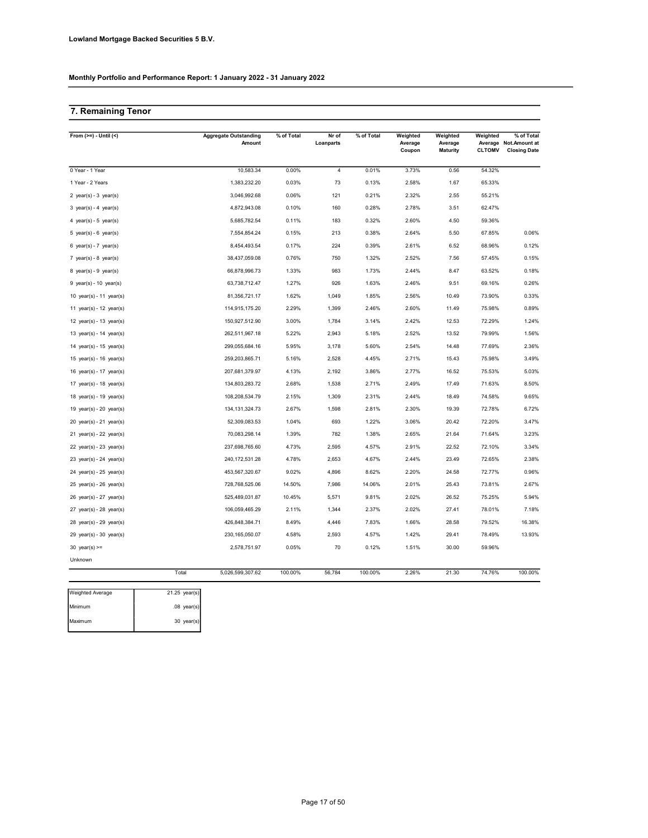### 7. Remaining Tenor

| From $(>=) -$ Until $($     | <b>Aggregate Outstanding</b><br>Amount | % of Total | Nr of<br>Loanparts | % of Total | Weighted<br>Average<br>Coupon | Weighted<br>Average<br><b>Maturity</b> | Weighted<br><b>CLTOMV</b> | % of Total<br>Average Not.Amount at<br><b>Closing Date</b> |
|-----------------------------|----------------------------------------|------------|--------------------|------------|-------------------------------|----------------------------------------|---------------------------|------------------------------------------------------------|
| 0 Year - 1 Year             | 10,583.34                              | 0.00%      | $\overline{4}$     | 0.01%      | 3.73%                         | 0.56                                   | 54.32%                    |                                                            |
| 1 Year - 2 Years            | 1,383,232.20                           | 0.03%      | 73                 | 0.13%      | 2.58%                         | 1.67                                   | 65.33%                    |                                                            |
| 2 year(s) - $3$ year(s)     | 3,046,992.68                           | 0.06%      | 121                | 0.21%      | 2.32%                         | 2.55                                   | 55.21%                    |                                                            |
| 3 year(s) - 4 year(s)       | 4,872,943.08                           | 0.10%      | 160                | 0.28%      | 2.78%                         | 3.51                                   | 62.47%                    |                                                            |
| 4 year(s) - 5 year(s)       | 5,685,782.54                           | 0.11%      | 183                | 0.32%      | 2.60%                         | 4.50                                   | 59.36%                    |                                                            |
| $5$ year(s) - $6$ year(s)   | 7,554,854.24                           | 0.15%      | 213                | 0.38%      | 2.64%                         | 5.50                                   | 67.85%                    | 0.06%                                                      |
| $6$ year(s) - 7 year(s)     | 8,454,493.54                           | 0.17%      | 224                | 0.39%      | 2.61%                         | 6.52                                   | 68.96%                    | 0.12%                                                      |
| 7 year(s) - 8 year(s)       | 38,437,059.08                          | 0.76%      | 750                | 1.32%      | 2.52%                         | 7.56                                   | 57.45%                    | 0.15%                                                      |
| $8$ year(s) - $9$ year(s)   | 66,878,996.73                          | 1.33%      | 983                | 1.73%      | 2.44%                         | 8.47                                   | 63.52%                    | 0.18%                                                      |
| $9$ year(s) - 10 year(s)    | 63,738,712.47                          | 1.27%      | 926                | 1.63%      | 2.46%                         | 9.51                                   | 69.16%                    | 0.26%                                                      |
| 10 year(s) - 11 year(s)     | 81,356,721.17                          | 1.62%      | 1,049              | 1.85%      | 2.56%                         | 10.49                                  | 73.90%                    | 0.33%                                                      |
| 11 year(s) - 12 year(s)     | 114,915,175.20                         | 2.29%      | 1,399              | 2.46%      | 2.60%                         | 11.49                                  | 75.98%                    | 0.89%                                                      |
| 12 year(s) - 13 year(s)     | 150,927,512.90                         | 3.00%      | 1,784              | 3.14%      | 2.42%                         | 12.53                                  | 72.29%                    | 1.24%                                                      |
| 13 year(s) - 14 year(s)     | 262,511,967.18                         | 5.22%      | 2,943              | 5.18%      | 2.52%                         | 13.52                                  | 79.99%                    | 1.56%                                                      |
| 14 year(s) - 15 year(s)     | 299,055,684.16                         | 5.95%      | 3,178              | 5.60%      | 2.54%                         | 14.48                                  | 77.69%                    | 2.36%                                                      |
| 15 year(s) - 16 year(s)     | 259,203,865.71                         | 5.16%      | 2,528              | 4.45%      | 2.71%                         | 15.43                                  | 75.98%                    | 3.49%                                                      |
| 16 year(s) - 17 year(s)     | 207,681,379.97                         | 4.13%      | 2,192              | 3.86%      | 2.77%                         | 16.52                                  | 75.53%                    | 5.03%                                                      |
| 17 year(s) - 18 year(s)     | 134,803,283.72                         | 2.68%      | 1,538              | 2.71%      | 2.49%                         | 17.49                                  | 71.63%                    | 8.50%                                                      |
| 18 year(s) - 19 year(s)     | 108,208,534.79                         | 2.15%      | 1,309              | 2.31%      | 2.44%                         | 18.49                                  | 74.58%                    | 9.65%                                                      |
| 19 year(s) - 20 year(s)     | 134, 131, 324. 73                      | 2.67%      | 1,598              | 2.81%      | 2.30%                         | 19.39                                  | 72.78%                    | 6.72%                                                      |
| 20 year(s) - 21 year(s)     | 52,309,083.53                          | 1.04%      | 693                | 1.22%      | 3.06%                         | 20.42                                  | 72.20%                    | 3.47%                                                      |
| 21 year(s) - 22 year(s)     | 70,083,298.14                          | 1.39%      | 782                | 1.38%      | 2.65%                         | 21.64                                  | 71.64%                    | 3.23%                                                      |
| 22 year(s) - 23 year(s)     | 237,698,765.60                         | 4.73%      | 2,595              | 4.57%      | 2.91%                         | 22.52                                  | 72.10%                    | 3.34%                                                      |
| 23 year(s) - 24 year(s)     | 240, 172, 531.28                       | 4.78%      | 2,653              | 4.67%      | 2.44%                         | 23.49                                  | 72.65%                    | 2.38%                                                      |
| $24$ year(s) - $25$ year(s) | 453,567,320.67                         | 9.02%      | 4,896              | 8.62%      | 2.20%                         | 24.58                                  | 72.77%                    | 0.96%                                                      |
| $25$ year(s) - $26$ year(s) | 728,768,525.06                         | 14.50%     | 7,986              | 14.06%     | 2.01%                         | 25.43                                  | 73.81%                    | 2.67%                                                      |
| $26$ year(s) - 27 year(s)   | 525,489,031.87                         | 10.45%     | 5,571              | 9.81%      | 2.02%                         | 26.52                                  | 75.25%                    | 5.94%                                                      |
| 27 $year(s) - 28$ $year(s)$ | 106,059,465.29                         | 2.11%      | 1,344              | 2.37%      | 2.02%                         | 27.41                                  | 78.01%                    | 7.18%                                                      |
| 28 year(s) - 29 year(s)     | 426,848,384.71                         | 8.49%      | 4,446              | 7.83%      | 1.66%                         | 28.58                                  | 79.52%                    | 16.38%                                                     |
| 29 year(s) - 30 year(s)     | 230, 165, 050.07                       | 4.58%      | 2,593              | 4.57%      | 1.42%                         | 29.41                                  | 78.49%                    | 13.93%                                                     |
| 30 year(s) $>=$             | 2,578,751.97                           | 0.05%      | 70                 | 0.12%      | 1.51%                         | 30.00                                  | 59.96%                    |                                                            |
| Unknown                     |                                        |            |                    |            |                               |                                        |                           |                                                            |
|                             | Total<br>5,026,599,307.62              | 100.00%    | 56,784             | 100.00%    | 2.26%                         | 21.30                                  | 74.76%                    | 100.00%                                                    |

| Weighted Average | $21.25$ year(s) |
|------------------|-----------------|
| Minimum          | $.08$ year(s)   |
| Maximum          | $30$ year(s)    |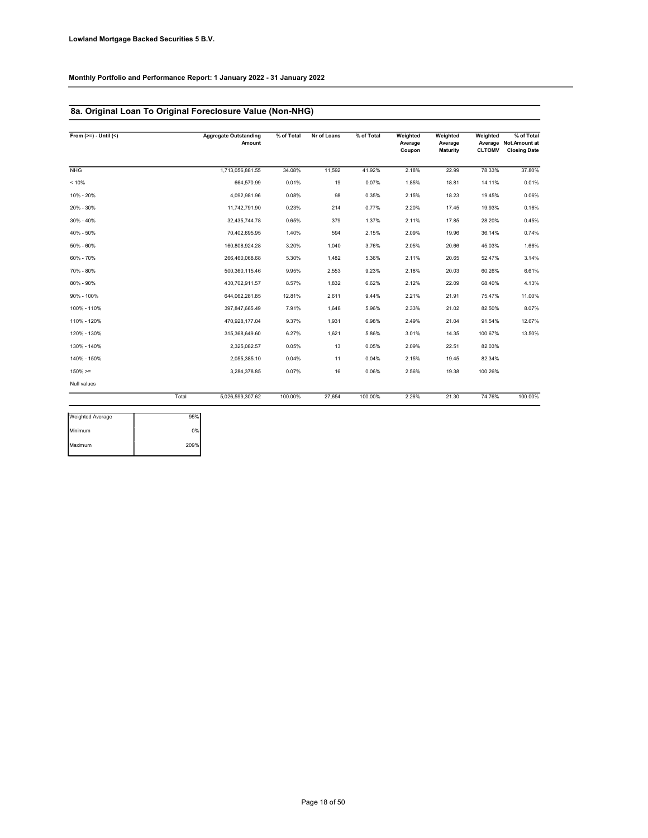### 8a. Original Loan To Original Foreclosure Value (Non-NHG)

| From $(>=) -$ Until $($ |       | <b>Aggregate Outstanding</b><br>Amount | % of Total | Nr of Loans | % of Total | Weighted<br>Average<br>Coupon | Weighted<br>Average<br><b>Maturity</b> | Weighted<br><b>CLTOMV</b> | % of Total<br>Average Not.Amount at<br><b>Closing Date</b> |
|-------------------------|-------|----------------------------------------|------------|-------------|------------|-------------------------------|----------------------------------------|---------------------------|------------------------------------------------------------|
| <b>NHG</b>              |       | 1,713,056,881.55                       | 34.08%     | 11.592      | 41.92%     | 2.18%                         | 22.99                                  | 78.33%                    | 37.80%                                                     |
| < 10%                   |       | 664,570.99                             | 0.01%      | 19          | 0.07%      | 1.85%                         | 18.81                                  | 14.11%                    | 0.01%                                                      |
| 10% - 20%               |       | 4.092.981.96                           | 0.08%      | 98          | 0.35%      | 2.15%                         | 18.23                                  | 19.45%                    | 0.06%                                                      |
| 20% - 30%               |       | 11,742,791.90                          | 0.23%      | 214         | 0.77%      | 2.20%                         | 17.45                                  | 19.93%                    | 0.16%                                                      |
| 30% - 40%               |       | 32,435,744.78                          | 0.65%      | 379         | 1.37%      | 2.11%                         | 17.85                                  | 28.20%                    | 0.45%                                                      |
| 40% - 50%               |       | 70,402,695.95                          | 1.40%      | 594         | 2.15%      | 2.09%                         | 19.96                                  | 36.14%                    | 0.74%                                                      |
| 50% - 60%               |       | 160,808,924.28                         | 3.20%      | 1,040       | 3.76%      | 2.05%                         | 20.66                                  | 45.03%                    | 1.66%                                                      |
| 60% - 70%               |       | 266,460,068.68                         | 5.30%      | 1,482       | 5.36%      | 2.11%                         | 20.65                                  | 52.47%                    | 3.14%                                                      |
| 70% - 80%               |       | 500,360,115.46                         | 9.95%      | 2,553       | 9.23%      | 2.18%                         | 20.03                                  | 60.26%                    | 6.61%                                                      |
| 80% - 90%               |       | 430,702,911.57                         | 8.57%      | 1,832       | 6.62%      | 2.12%                         | 22.09                                  | 68.40%                    | 4.13%                                                      |
| 90% - 100%              |       | 644,062,281.85                         | 12.81%     | 2,611       | 9.44%      | 2.21%                         | 21.91                                  | 75.47%                    | 11.00%                                                     |
| 100% - 110%             |       | 397,847,665.49                         | 7.91%      | 1,648       | 5.96%      | 2.33%                         | 21.02                                  | 82.50%                    | 8.07%                                                      |
| 110% - 120%             |       | 470,928,177.04                         | 9.37%      | 1,931       | 6.98%      | 2.49%                         | 21.04                                  | 91.54%                    | 12.67%                                                     |
| 120% - 130%             |       | 315,368,649.60                         | 6.27%      | 1,621       | 5.86%      | 3.01%                         | 14.35                                  | 100.67%                   | 13.50%                                                     |
| 130% - 140%             |       | 2,325,082.57                           | 0.05%      | 13          | 0.05%      | 2.09%                         | 22.51                                  | 82.03%                    |                                                            |
| 140% - 150%             |       | 2,055,385.10                           | 0.04%      | 11          | 0.04%      | 2.15%                         | 19.45                                  | 82.34%                    |                                                            |
| $150\% > =$             |       | 3,284,378.85                           | 0.07%      | 16          | 0.06%      | 2.56%                         | 19.38                                  | 100.26%                   |                                                            |
| Null values             |       |                                        |            |             |            |                               |                                        |                           |                                                            |
|                         | Total | 5.026.599.307.62                       | 100.00%    | 27.654      | 100.00%    | 2.26%                         | 21.30                                  | 74.76%                    | 100.00%                                                    |

| Weighted Average | 95%  |
|------------------|------|
| Minimum          | 0%   |
| Maximum          | 209% |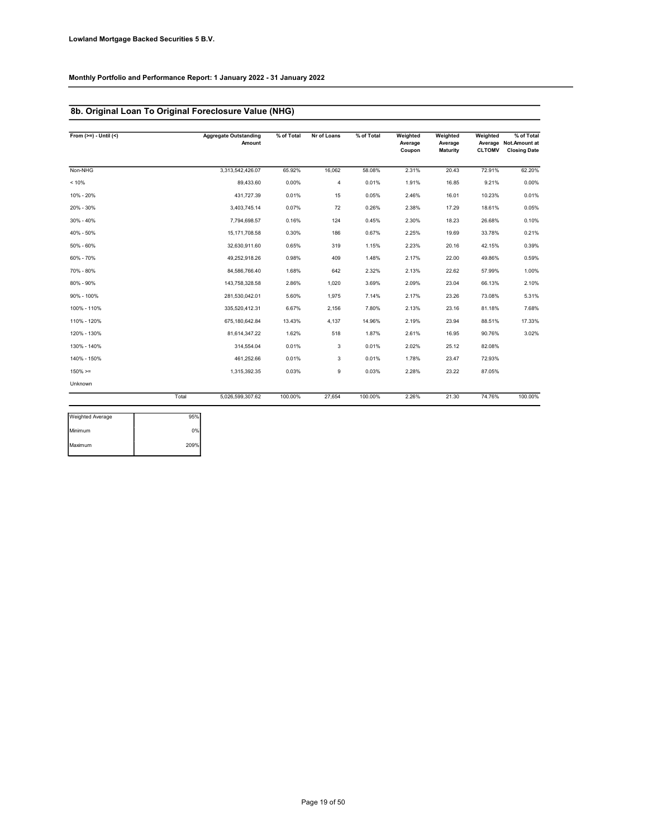### 8b. Original Loan To Original Foreclosure Value (NHG)

| From $(>=) -$ Until $($ |       | <b>Aggregate Outstanding</b><br>Amount | % of Total | Nr of Loans    | % of Total | Weighted<br>Average<br>Coupon | Weighted<br>Average<br>Maturity | Weighted<br><b>CLTOMV</b> | % of Total<br>Average Not.Amount at<br><b>Closing Date</b> |
|-------------------------|-------|----------------------------------------|------------|----------------|------------|-------------------------------|---------------------------------|---------------------------|------------------------------------------------------------|
| Non-NHG                 |       | 3,313,542,426.07                       | 65.92%     | 16,062         | 58.08%     | 2.31%                         | 20.43                           | 72.91%                    | 62.20%                                                     |
| < 10%                   |       | 89,433.60                              | 0.00%      | $\overline{4}$ | 0.01%      | 1.91%                         | 16.85                           | 9.21%                     | 0.00%                                                      |
| 10% - 20%               |       | 431,727.39                             | 0.01%      | 15             | 0.05%      | 2.46%                         | 16.01                           | 10.23%                    | 0.01%                                                      |
| 20% - 30%               |       | 3,403,745.14                           | 0.07%      | 72             | 0.26%      | 2.38%                         | 17.29                           | 18.61%                    | 0.05%                                                      |
| 30% - 40%               |       | 7,794,698.57                           | 0.16%      | 124            | 0.45%      | 2.30%                         | 18.23                           | 26.68%                    | 0.10%                                                      |
| 40% - 50%               |       | 15,171,708.58                          | 0.30%      | 186            | 0.67%      | 2.25%                         | 19.69                           | 33.78%                    | 0.21%                                                      |
| 50% - 60%               |       | 32,630,911.60                          | 0.65%      | 319            | 1.15%      | 2.23%                         | 20.16                           | 42.15%                    | 0.39%                                                      |
| 60% - 70%               |       | 49,252,918.26                          | 0.98%      | 409            | 1.48%      | 2.17%                         | 22.00                           | 49.86%                    | 0.59%                                                      |
| 70% - 80%               |       | 84.586.766.40                          | 1.68%      | 642            | 2.32%      | 2.13%                         | 22.62                           | 57.99%                    | 1.00%                                                      |
| 80% - 90%               |       | 143,758,328.58                         | 2.86%      | 1,020          | 3.69%      | 2.09%                         | 23.04                           | 66.13%                    | 2.10%                                                      |
| 90% - 100%              |       | 281,530,042.01                         | 5.60%      | 1,975          | 7.14%      | 2.17%                         | 23.26                           | 73.08%                    | 5.31%                                                      |
| 100% - 110%             |       | 335,520,412.31                         | 6.67%      | 2,156          | 7.80%      | 2.13%                         | 23.16                           | 81.18%                    | 7.68%                                                      |
| 110% - 120%             |       | 675,180,642.84                         | 13.43%     | 4,137          | 14.96%     | 2.19%                         | 23.94                           | 88.51%                    | 17.33%                                                     |
| 120% - 130%             |       | 81.614.347.22                          | 1.62%      | 518            | 1.87%      | 2.61%                         | 16.95                           | 90.76%                    | 3.02%                                                      |
| 130% - 140%             |       | 314,554.04                             | 0.01%      | 3              | 0.01%      | 2.02%                         | 25.12                           | 82.08%                    |                                                            |
| 140% - 150%             |       | 461,252.66                             | 0.01%      | 3              | 0.01%      | 1.78%                         | 23.47                           | 72.93%                    |                                                            |
| $150\% > =$             |       | 1,315,392.35                           | 0.03%      | 9              | 0.03%      | 2.28%                         | 23.22                           | 87.05%                    |                                                            |
| Unknown                 |       |                                        |            |                |            |                               |                                 |                           |                                                            |
|                         | Total | 5,026,599,307.62                       | 100.00%    | 27,654         | 100.00%    | 2.26%                         | 21.30                           | 74.76%                    | 100.00%                                                    |

| Weighted Average | 95%  |
|------------------|------|
| Minimum          | 0%   |
| Maximum          | 209% |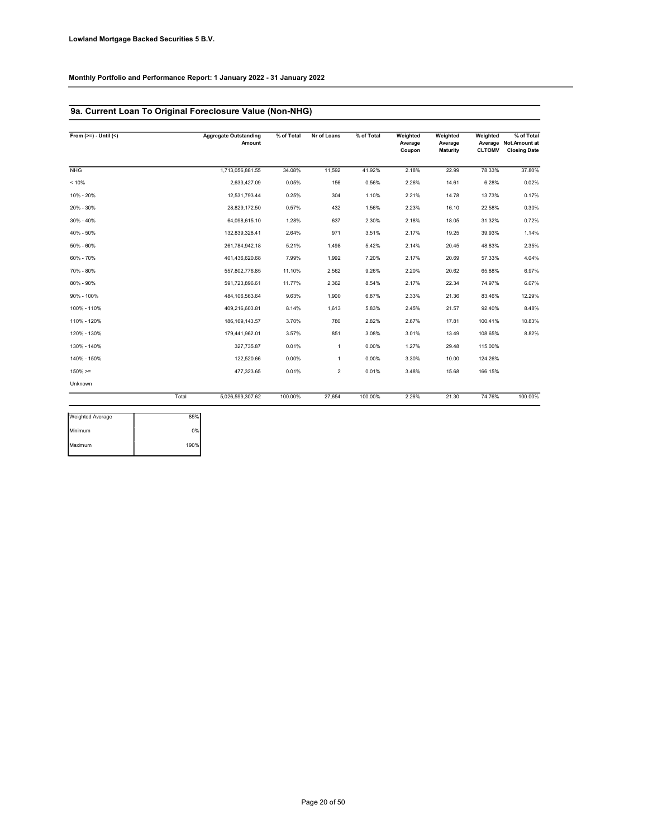### 9a. Current Loan To Original Foreclosure Value (Non-NHG)

| From $(>=) - Uniti($ |       | <b>Aggregate Outstanding</b><br>Amount | % of Total | Nr of Loans    | % of Total | Weighted<br>Average<br>Coupon | Weighted<br>Average<br><b>Maturity</b> | Weighted<br><b>CLTOMV</b> | % of Total<br>Average Not.Amount at<br><b>Closing Date</b> |
|----------------------|-------|----------------------------------------|------------|----------------|------------|-------------------------------|----------------------------------------|---------------------------|------------------------------------------------------------|
| <b>NHG</b>           |       | 1,713,056,881.55                       | 34.08%     | 11,592         | 41.92%     | 2.18%                         | 22.99                                  | 78.33%                    | 37.80%                                                     |
| < 10%                |       | 2,633,427.09                           | 0.05%      | 156            | 0.56%      | 2.26%                         | 14.61                                  | 6.28%                     | 0.02%                                                      |
| 10% - 20%            |       | 12.531.793.44                          | 0.25%      | 304            | 1.10%      | 2.21%                         | 14.78                                  | 13.73%                    | 0.17%                                                      |
| 20% - 30%            |       | 28,829,172.50                          | 0.57%      | 432            | 1.56%      | 2.23%                         | 16.10                                  | 22.58%                    | 0.30%                                                      |
| 30% - 40%            |       | 64,098,615.10                          | 1.28%      | 637            | 2.30%      | 2.18%                         | 18.05                                  | 31.32%                    | 0.72%                                                      |
| 40% - 50%            |       | 132.839.328.41                         | 2.64%      | 971            | 3.51%      | 2.17%                         | 19.25                                  | 39.93%                    | 1.14%                                                      |
| 50% - 60%            |       | 261,784,942.18                         | 5.21%      | 1,498          | 5.42%      | 2.14%                         | 20.45                                  | 48.83%                    | 2.35%                                                      |
| 60% - 70%            |       | 401,436,620.68                         | 7.99%      | 1,992          | 7.20%      | 2.17%                         | 20.69                                  | 57.33%                    | 4.04%                                                      |
| 70% - 80%            |       | 557,802,776.85                         | 11.10%     | 2,562          | 9.26%      | 2.20%                         | 20.62                                  | 65.88%                    | 6.97%                                                      |
| 80% - 90%            |       | 591,723,896.61                         | 11.77%     | 2,362          | 8.54%      | 2.17%                         | 22.34                                  | 74.97%                    | 6.07%                                                      |
| 90% - 100%           |       | 484.106.563.64                         | 9.63%      | 1,900          | 6.87%      | 2.33%                         | 21.36                                  | 83.46%                    | 12.29%                                                     |
| 100% - 110%          |       | 409,216,603.81                         | 8.14%      | 1,613          | 5.83%      | 2.45%                         | 21.57                                  | 92.40%                    | 8.48%                                                      |
| 110% - 120%          |       | 186, 169, 143.57                       | 3.70%      | 780            | 2.82%      | 2.67%                         | 17.81                                  | 100.41%                   | 10.83%                                                     |
| 120% - 130%          |       | 179.441.962.01                         | 3.57%      | 851            | 3.08%      | 3.01%                         | 13.49                                  | 108.65%                   | 8.82%                                                      |
| 130% - 140%          |       | 327,735.87                             | 0.01%      | $\mathbf{1}$   | 0.00%      | 1.27%                         | 29.48                                  | 115.00%                   |                                                            |
| 140% - 150%          |       | 122,520.66                             | 0.00%      | $\mathbf{1}$   | 0.00%      | 3.30%                         | 10.00                                  | 124.26%                   |                                                            |
| $150\% > =$          |       | 477,323.65                             | 0.01%      | $\overline{2}$ | 0.01%      | 3.48%                         | 15.68                                  | 166.15%                   |                                                            |
| Unknown              |       |                                        |            |                |            |                               |                                        |                           |                                                            |
|                      | Total | 5,026,599,307.62                       | 100.00%    | 27,654         | 100.00%    | 2.26%                         | 21.30                                  | 74.76%                    | 100.00%                                                    |

| Weighted Average | 85%  |
|------------------|------|
| Minimum          | 0%   |
| Maximum          | 190% |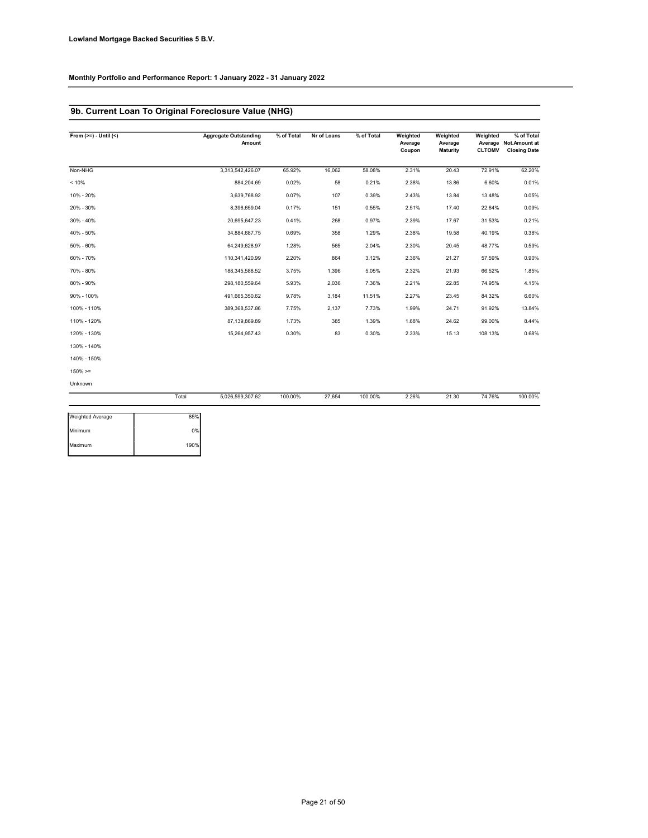### 9b. Current Loan To Original Foreclosure Value (NHG)

| From $(>=) -$ Until $($ |       | <b>Aggregate Outstanding</b><br>Amount | % of Total | Nr of Loans | % of Total | Weighted<br>Average<br>Coupon | Weighted<br>Average<br>Maturity | Weighted<br><b>CLTOMV</b> | % of Total<br>Average Not.Amount at<br><b>Closing Date</b> |
|-------------------------|-------|----------------------------------------|------------|-------------|------------|-------------------------------|---------------------------------|---------------------------|------------------------------------------------------------|
| Non-NHG                 |       | 3,313,542,426.07                       | 65.92%     | 16,062      | 58.08%     | 2.31%                         | 20.43                           | 72.91%                    | 62.20%                                                     |
| < 10%                   |       | 884,204.69                             | 0.02%      | 58          | 0.21%      | 2.38%                         | 13.86                           | 6.60%                     | 0.01%                                                      |
| 10% - 20%               |       | 3,639,768.92                           | 0.07%      | 107         | 0.39%      | 2.43%                         | 13.84                           | 13.48%                    | 0.05%                                                      |
| 20% - 30%               |       | 8,396,659.04                           | 0.17%      | 151         | 0.55%      | 2.51%                         | 17.40                           | 22.64%                    | 0.09%                                                      |
| 30% - 40%               |       | 20,695,647.23                          | 0.41%      | 268         | 0.97%      | 2.39%                         | 17.67                           | 31.53%                    | 0.21%                                                      |
| 40% - 50%               |       | 34,884,687.75                          | 0.69%      | 358         | 1.29%      | 2.38%                         | 19.58                           | 40.19%                    | 0.38%                                                      |
| 50% - 60%               |       | 64,249,628.97                          | 1.28%      | 565         | 2.04%      | 2.30%                         | 20.45                           | 48.77%                    | 0.59%                                                      |
| 60% - 70%               |       | 110,341,420.99                         | 2.20%      | 864         | 3.12%      | 2.36%                         | 21.27                           | 57.59%                    | 0.90%                                                      |
| 70% - 80%               |       | 188,345,588.52                         | 3.75%      | 1,396       | 5.05%      | 2.32%                         | 21.93                           | 66.52%                    | 1.85%                                                      |
| 80% - 90%               |       | 298,180,559.64                         | 5.93%      | 2,036       | 7.36%      | 2.21%                         | 22.85                           | 74.95%                    | 4.15%                                                      |
| 90% - 100%              |       | 491,665,350.62                         | 9.78%      | 3,184       | 11.51%     | 2.27%                         | 23.45                           | 84.32%                    | 6.60%                                                      |
| 100% - 110%             |       | 389,368,537.86                         | 7.75%      | 2,137       | 7.73%      | 1.99%                         | 24.71                           | 91.92%                    | 13.84%                                                     |
| 110% - 120%             |       | 87,139,869.89                          | 1.73%      | 385         | 1.39%      | 1.68%                         | 24.62                           | 99.00%                    | 8.44%                                                      |
| 120% - 130%             |       | 15,264,957.43                          | 0.30%      | 83          | 0.30%      | 2.33%                         | 15.13                           | 108.13%                   | 0.68%                                                      |
| 130% - 140%             |       |                                        |            |             |            |                               |                                 |                           |                                                            |
| 140% - 150%             |       |                                        |            |             |            |                               |                                 |                           |                                                            |
| $150\% > =$             |       |                                        |            |             |            |                               |                                 |                           |                                                            |
| Unknown                 |       |                                        |            |             |            |                               |                                 |                           |                                                            |
|                         | Total | 5,026,599,307.62                       | 100.00%    | 27,654      | 100.00%    | 2.26%                         | 21.30                           | 74.76%                    | 100.00%                                                    |
| <b>Weighted Average</b> | 85%   |                                        |            |             |            |                               |                                 |                           |                                                            |

| <b>Weighted Average</b> | 85%  |  |
|-------------------------|------|--|
| Minimum                 | 0%   |  |
| Maximum                 | 190% |  |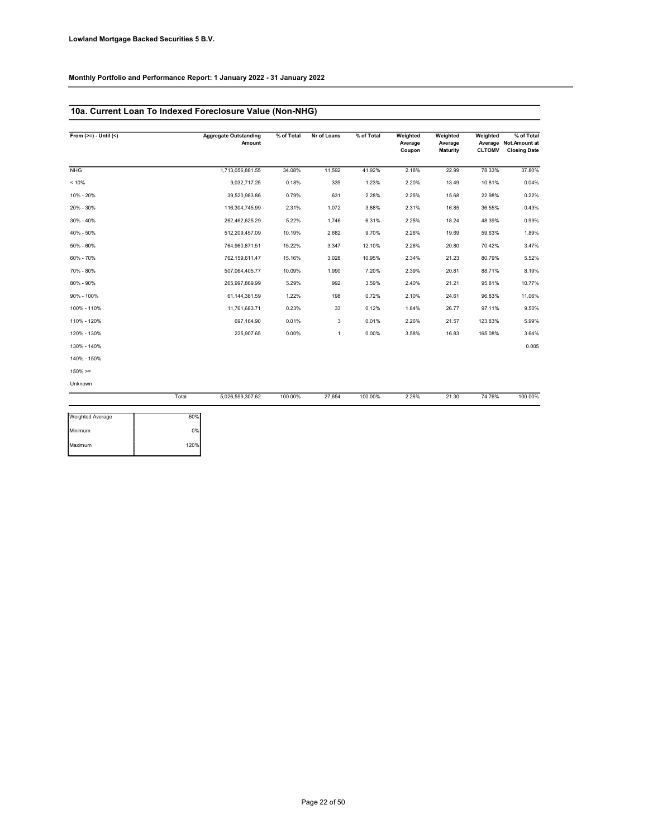### 10a. Current Loan To Indexed Foreclosure Value (Non-NHG)

| From $(>=) - Uniti(<)$ |       | <b>Aggregate Outstanding</b><br>Amount | % of Total | Nr of Loans  | % of Total | Weighted<br>Average<br>Coupon | Weighted<br>Average<br>Maturity | Weighted<br><b>CLTOMV</b> | % of Total<br>Average Not.Amount at<br><b>Closing Date</b> |
|------------------------|-------|----------------------------------------|------------|--------------|------------|-------------------------------|---------------------------------|---------------------------|------------------------------------------------------------|
| <b>NHG</b>             |       | 1,713,056,881.55                       | 34.08%     | 11,592       | 41.92%     | 2.18%                         | 22.99                           | 78.33%                    | 37.80%                                                     |
| < 10%                  |       | 9,032,717.25                           | 0.18%      | 339          | 1.23%      | 2.20%                         | 13.49                           | 10.81%                    | 0.04%                                                      |
| 10% - 20%              |       | 39,520,983.86                          | 0.79%      | 631          | 2.28%      | 2.25%                         | 15.68                           | 22.98%                    | 0.22%                                                      |
| 20% - 30%              |       | 116,304,745.99                         | 2.31%      | 1,072        | 3.88%      | 2.31%                         | 16.85                           | 36.55%                    | 0.43%                                                      |
| 30% - 40%              |       | 262,462,625.29                         | 5.22%      | 1,746        | 6.31%      | 2.25%                         | 18.24                           | 48.39%                    | 0.99%                                                      |
| 40% - 50%              |       | 512,209,457.09                         | 10.19%     | 2,682        | 9.70%      | 2.26%                         | 19.69                           | 59.63%                    | 1.89%                                                      |
| 50% - 60%              |       | 764,960,871.51                         | 15.22%     | 3,347        | 12.10%     | 2.26%                         | 20.80                           | 70.42%                    | 3.47%                                                      |
| 60% - 70%              |       | 762,159,611.47                         | 15.16%     | 3,028        | 10.95%     | 2.34%                         | 21.23                           | 80.79%                    | 5.52%                                                      |
| 70% - 80%              |       | 507,064,405.77                         | 10.09%     | 1,990        | 7.20%      | 2.39%                         | 20.81                           | 88.71%                    | 8.19%                                                      |
| 80% - 90%              |       | 265,997,869.99                         | 5.29%      | 992          | 3.59%      | 2.40%                         | 21.21                           | 95.81%                    | 10.77%                                                     |
| 90% - 100%             |       | 61,144,381.59                          | 1.22%      | 198          | 0.72%      | 2.10%                         | 24.61                           | 96.83%                    | 11.06%                                                     |
| 100% - 110%            |       | 11,761,683.71                          | 0.23%      | 33           | 0.12%      | 1.84%                         | 26.77                           | 97.11%                    | 9.50%                                                      |
| 110% - 120%            |       | 697,164.90                             | 0.01%      | 3            | 0.01%      | 2.26%                         | 21.57                           | 123.83%                   | 5.99%                                                      |
| 120% - 130%            |       | 225,907.65                             | 0.00%      | $\mathbf{1}$ | 0.00%      | 3.58%                         | 16.83                           | 165.08%                   | 3.64%                                                      |
| 130% - 140%            |       |                                        |            |              |            |                               |                                 |                           | 0.005                                                      |
| 140% - 150%            |       |                                        |            |              |            |                               |                                 |                           |                                                            |
| $150\% > =$            |       |                                        |            |              |            |                               |                                 |                           |                                                            |
| Unknown                |       |                                        |            |              |            |                               |                                 |                           |                                                            |
|                        | Total | 5,026,599,307.62                       | 100.00%    | 27,654       | 100.00%    | 2.26%                         | 21.30                           | 74.76%                    | 100.00%                                                    |
| Weighted Average       | 60%   |                                        |            |              |            |                               |                                 |                           |                                                            |

| Weighted Average | 60%  |  |
|------------------|------|--|
| Minimum          | 0%   |  |
| Maximum          | 120% |  |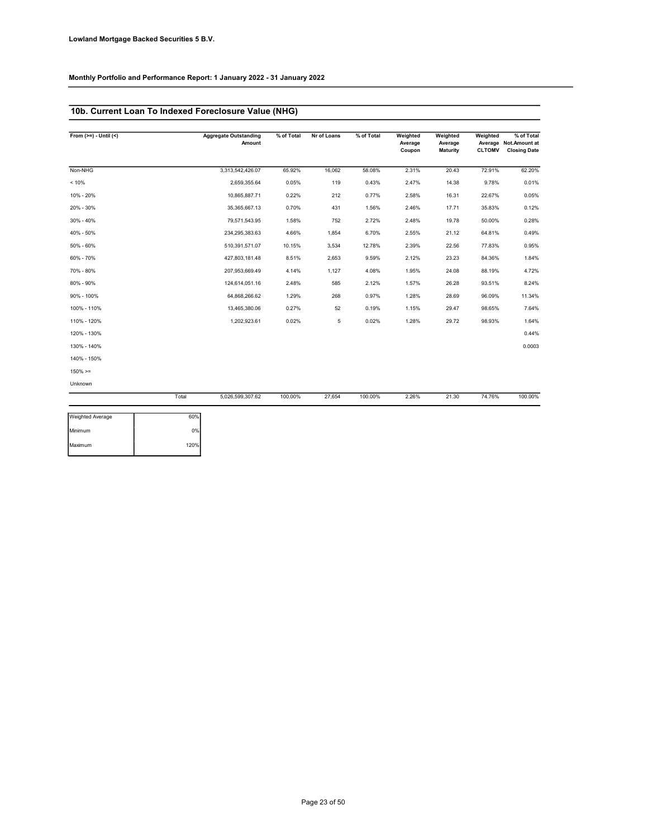### 10b. Current Loan To Indexed Foreclosure Value (NHG)

| From $(>=) -$ Until $($ |       | <b>Aggregate Outstanding</b><br>Amount | % of Total | Nr of Loans | % of Total | Weighted<br>Average<br>Coupon | Weighted<br>Average<br>Maturity | Weighted<br><b>CLTOMV</b> | % of Total<br>Average Not.Amount at<br><b>Closing Date</b> |
|-------------------------|-------|----------------------------------------|------------|-------------|------------|-------------------------------|---------------------------------|---------------------------|------------------------------------------------------------|
| Non-NHG                 |       | 3,313,542,426.07                       | 65.92%     | 16,062      | 58.08%     | 2.31%                         | 20.43                           | 72.91%                    | 62.20%                                                     |
| < 10%                   |       | 2,659,355.64                           | 0.05%      | 119         | 0.43%      | 2.47%                         | 14.38                           | 9.78%                     | 0.01%                                                      |
| 10% - 20%               |       | 10,865,887.71                          | 0.22%      | 212         | 0.77%      | 2.58%                         | 16.31                           | 22.67%                    | 0.05%                                                      |
| 20% - 30%               |       | 35,365,667.13                          | 0.70%      | 431         | 1.56%      | 2.46%                         | 17.71                           | 35.83%                    | 0.12%                                                      |
| $30\% - 40\%$           |       | 79,571,543.95                          | 1.58%      | 752         | 2.72%      | 2.48%                         | 19.78                           | 50.00%                    | 0.28%                                                      |
| 40% - 50%               |       | 234,295,383.63                         | 4.66%      | 1,854       | 6.70%      | 2.55%                         | 21.12                           | 64.81%                    | 0.49%                                                      |
| 50% - 60%               |       | 510,391,571.07                         | 10.15%     | 3,534       | 12.78%     | 2.39%                         | 22.56                           | 77.83%                    | 0.95%                                                      |
| 60% - 70%               |       | 427,803,181.48                         | 8.51%      | 2,653       | 9.59%      | 2.12%                         | 23.23                           | 84.36%                    | 1.84%                                                      |
| 70% - 80%               |       | 207,953,669.49                         | 4.14%      | 1,127       | 4.08%      | 1.95%                         | 24.08                           | 88.19%                    | 4.72%                                                      |
| 80% - 90%               |       | 124,614,051.16                         | 2.48%      | 585         | 2.12%      | 1.57%                         | 26.28                           | 93.51%                    | 8.24%                                                      |
| 90% - 100%              |       | 64,868,266.62                          | 1.29%      | 268         | 0.97%      | 1.28%                         | 28.69                           | 96.09%                    | 11.34%                                                     |
| 100% - 110%             |       | 13,465,380.06                          | 0.27%      | 52          | 0.19%      | 1.15%                         | 29.47                           | 98.65%                    | 7.64%                                                      |
| 110% - 120%             |       | 1,202,923.61                           | 0.02%      | 5           | 0.02%      | 1.28%                         | 29.72                           | 98.93%                    | 1.64%                                                      |
| 120% - 130%             |       |                                        |            |             |            |                               |                                 |                           | 0.44%                                                      |
| 130% - 140%             |       |                                        |            |             |            |                               |                                 |                           | 0.0003                                                     |
| 140% - 150%             |       |                                        |            |             |            |                               |                                 |                           |                                                            |
| $150\% > =$             |       |                                        |            |             |            |                               |                                 |                           |                                                            |
| <b>Unknown</b>          |       |                                        |            |             |            |                               |                                 |                           |                                                            |
|                         | Total | 5,026,599,307.62                       | 100.00%    | 27,654      | 100.00%    | 2.26%                         | 21.30                           | 74.76%                    | 100.00%                                                    |

| 60%  |
|------|
| 0%   |
| 120% |
|      |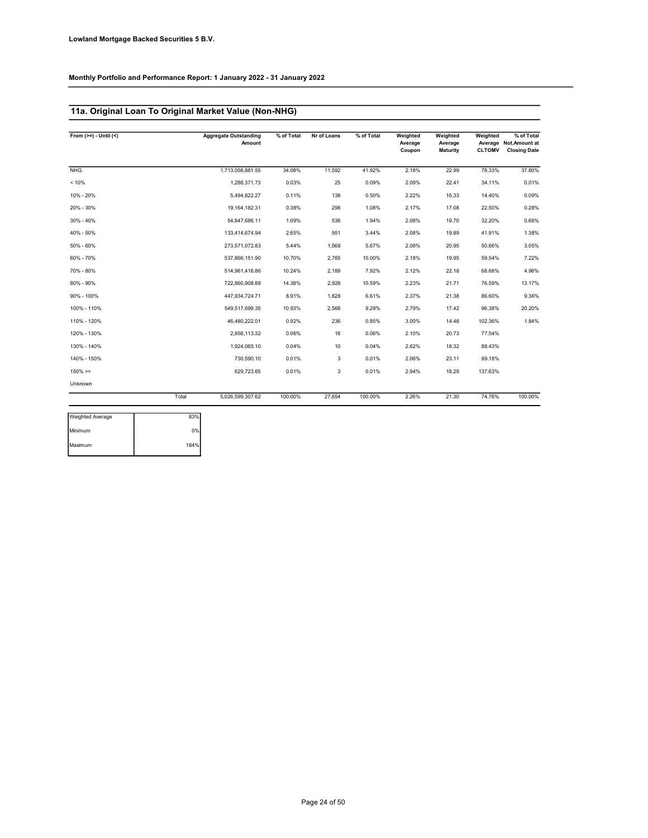### 11a. Original Loan To Original Market Value (Non-NHG)

| From $(>=) - Uniti(<)$ |       | <b>Aggregate Outstanding</b><br>Amount | % of Total | Nr of Loans | % of Total | Weighted<br>Average<br>Coupon | Weighted<br>Average<br>Maturity | Weighted<br><b>CLTOMV</b> | % of Total<br>Average Not.Amount at<br><b>Closing Date</b> |
|------------------------|-------|----------------------------------------|------------|-------------|------------|-------------------------------|---------------------------------|---------------------------|------------------------------------------------------------|
| <b>NHG</b>             |       | 1,713,056,881.55                       | 34.08%     | 11,592      | 41.92%     | 2.18%                         | 22.99                           | 78.33%                    | 37.80%                                                     |
| < 10%                  |       | 1,288,371.73                           | 0.03%      | 25          | 0.09%      | 2.09%                         | 22.41                           | 34.11%                    | 0.01%                                                      |
| 10% - 20%              |       | 5,494,822.27                           | 0.11%      | 138         | 0.50%      | 2.22%                         | 16.33                           | 14.40%                    | 0.09%                                                      |
| 20% - 30%              |       | 19,164,182.31                          | 0.38%      | 298         | 1.08%      | 2.17%                         | 17.08                           | 22.50%                    | 0.28%                                                      |
| 30% - 40%              |       | 54,847,686.11                          | 1.09%      | 536         | 1.94%      | 2.08%                         | 19.70                           | 32.20%                    | 0.66%                                                      |
| 40% - 50%              |       | 133,414,674.94                         | 2.65%      | 951         | 3.44%      | 2.08%                         | 19.89                           | 41.91%                    | 1.38%                                                      |
| $50\% - 60\%$          |       | 273,571,072.83                         | 5.44%      | 1,568       | 5.67%      | 2.08%                         | 20.95                           | 50.66%                    | 3.05%                                                      |
| 60% - 70%              |       | 537,866,151.90                         | 10.70%     | 2,765       | 10.00%     | 2.18%                         | 19.95                           | 59.54%                    | 7.22%                                                      |
| 70% - 80%              |       | 514.961.416.86                         | 10.24%     | 2,189       | 7.92%      | 2.12%                         | 22.18                           | 68.68%                    | 4.96%                                                      |
| 80% - 90%              |       | 722,860,908.88                         | 14.38%     | 2,928       | 10.59%     | 2.23%                         | 21.71                           | 76.59%                    | 13.17%                                                     |
| 90% - 100%             |       | 447,934,724.71                         | 8.91%      | 1,828       | 6.61%      | 2.37%                         | 21.38                           | 86.60%                    | 9.36%                                                      |
| 100% - 110%            |       | 549,517,699.35                         | 10.93%     | 2,568       | 9.29%      | 2.79%                         | 17.42                           | 96.38%                    | 20.20%                                                     |
| 110% - 120%            |       | 46,480,222.01                          | 0.92%      | 236         | 0.85%      | 3.00%                         | 14.48                           | 102.36%                   | 1.84%                                                      |
| 120% - 130%            |       | 2,856,113.32                           | 0.06%      | 16          | 0.06%      | 2.10%                         | 20.73                           | 77.54%                    |                                                            |
| 130% - 140%            |       | 1.924.065.10                           | 0.04%      | 10          | 0.04%      | 2.62%                         | 18.32                           | 88.43%                    |                                                            |
| 140% - 150%            |       | 730,590.10                             | 0.01%      | 3           | 0.01%      | 2.06%                         | 23.11                           | 99.18%                    |                                                            |
| $150\% > =$            |       | 629,723.65                             | 0.01%      | 3           | 0.01%      | 2.94%                         | 18.29                           | 137.63%                   |                                                            |
| Unknown                |       |                                        |            |             |            |                               |                                 |                           |                                                            |
|                        | Total | 5,026,599,307.62                       | 100.00%    | 27.654      | 100.00%    | 2.26%                         | 21.30                           | 74.76%                    | 100.00%                                                    |

| 83%  |
|------|
| 0%   |
| 184% |
|      |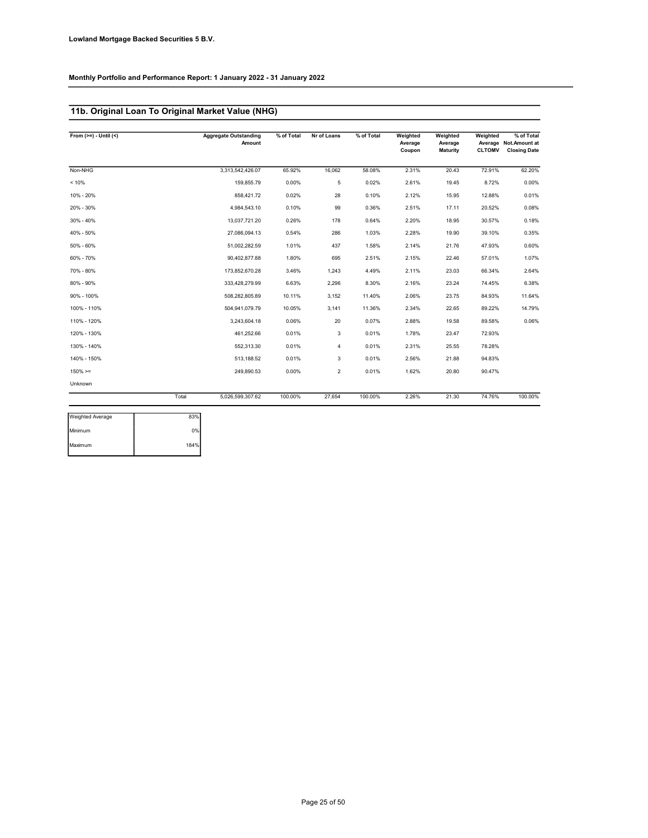### 11b. Original Loan To Original Market Value (NHG)

| From $(>=) -$ Until $($ |       | <b>Aggregate Outstanding</b><br>Amount | % of Total | Nr of Loans    | % of Total | Weighted<br>Average<br>Coupon | Weighted<br>Average<br><b>Maturity</b> | Weighted<br><b>CLTOMV</b> | % of Total<br>Average Not.Amount at<br><b>Closing Date</b> |
|-------------------------|-------|----------------------------------------|------------|----------------|------------|-------------------------------|----------------------------------------|---------------------------|------------------------------------------------------------|
| Non-NHG                 |       | 3,313,542,426.07                       | 65.92%     | 16,062         | 58.08%     | 2.31%                         | 20.43                                  | 72.91%                    | 62.20%                                                     |
| < 10%                   |       | 159.855.79                             | 0.00%      | 5              | 0.02%      | 2.61%                         | 19.45                                  | 8.72%                     | 0.00%                                                      |
| 10% - 20%               |       | 858,421.72                             | 0.02%      | 28             | 0.10%      | 2.12%                         | 15.95                                  | 12.88%                    | 0.01%                                                      |
| 20% - 30%               |       | 4,984,543.10                           | 0.10%      | 99             | 0.36%      | 2.51%                         | 17.11                                  | 20.52%                    | 0.08%                                                      |
| 30% - 40%               |       | 13,037,721.20                          | 0.26%      | 178            | 0.64%      | 2.20%                         | 18.95                                  | 30.57%                    | 0.18%                                                      |
| 40% - 50%               |       | 27,086,094.13                          | 0.54%      | 286            | 1.03%      | 2.28%                         | 19.90                                  | 39.10%                    | 0.35%                                                      |
| $50\% - 60\%$           |       | 51,002,282.59                          | 1.01%      | 437            | 1.58%      | 2.14%                         | 21.76                                  | 47.93%                    | 0.60%                                                      |
| 60% - 70%               |       | 90,402,877.88                          | 1.80%      | 695            | 2.51%      | 2.15%                         | 22.46                                  | 57.01%                    | 1.07%                                                      |
| 70% - 80%               |       | 173,852,670.28                         | 3.46%      | 1,243          | 4.49%      | 2.11%                         | 23.03                                  | 66.34%                    | 2.64%                                                      |
| 80% - 90%               |       | 333,428,279.99                         | 6.63%      | 2,296          | 8.30%      | 2.16%                         | 23.24                                  | 74.45%                    | 6.38%                                                      |
| 90% - 100%              |       | 508,282,805.89                         | 10.11%     | 3,152          | 11.40%     | 2.06%                         | 23.75                                  | 84.93%                    | 11.64%                                                     |
| 100% - 110%             |       | 504,941,079.79                         | 10.05%     | 3,141          | 11.36%     | 2.34%                         | 22.65                                  | 89.22%                    | 14.79%                                                     |
| 110% - 120%             |       | 3,243,604.18                           | 0.06%      | 20             | 0.07%      | 2.88%                         | 19.58                                  | 89.58%                    | 0.06%                                                      |
| 120% - 130%             |       | 461.252.66                             | 0.01%      | 3              | 0.01%      | 1.78%                         | 23.47                                  | 72.93%                    |                                                            |
| 130% - 140%             |       | 552,313.30                             | 0.01%      | $\overline{4}$ | 0.01%      | 2.31%                         | 25.55                                  | 78.28%                    |                                                            |
| 140% - 150%             |       | 513.188.52                             | 0.01%      | 3              | 0.01%      | 2.56%                         | 21.88                                  | 94.83%                    |                                                            |
| $150\%>=$               |       | 249,890.53                             | 0.00%      | $\overline{2}$ | 0.01%      | 1.62%                         | 20.80                                  | 90.47%                    |                                                            |
| Unknown                 |       |                                        |            |                |            |                               |                                        |                           |                                                            |
|                         | Total | 5,026,599,307.62                       | 100.00%    | 27,654         | 100.00%    | 2.26%                         | 21.30                                  | 74.76%                    | 100.00%                                                    |

| 83%  |
|------|
| 0%   |
| 184% |
|      |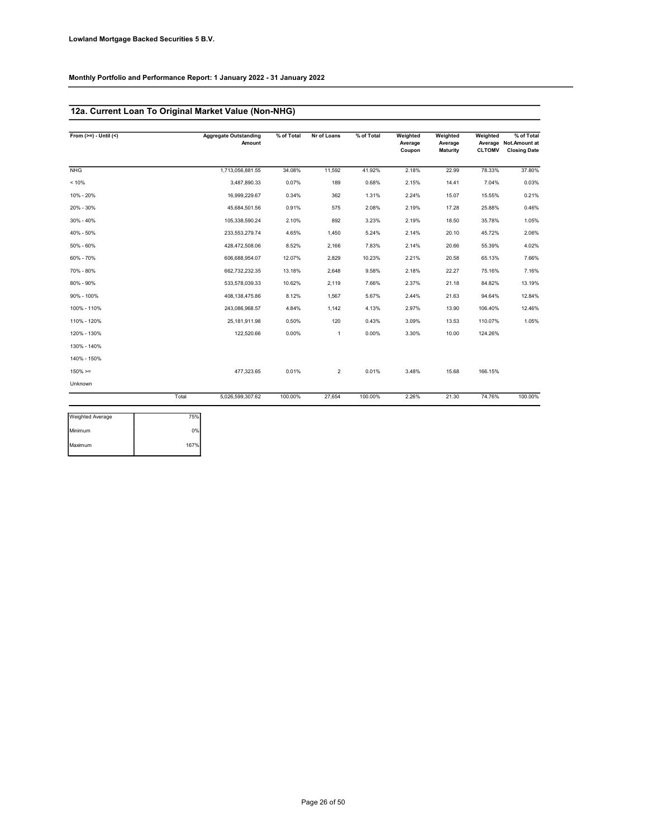### 12a. Current Loan To Original Market Value (Non-NHG)

| From $(>=) - Uniti(<)$ |       | <b>Aggregate Outstanding</b><br>Amount | % of Total | Nr of Loans    | % of Total | Weighted<br>Average<br>Coupon | Weighted<br>Average<br><b>Maturity</b> | Weighted<br><b>CLTOMV</b> | % of Total<br>Average Not.Amount at<br><b>Closing Date</b> |
|------------------------|-------|----------------------------------------|------------|----------------|------------|-------------------------------|----------------------------------------|---------------------------|------------------------------------------------------------|
| <b>NHG</b>             |       | 1,713,056,881.55                       | 34.08%     | 11.592         | 41.92%     | 2.18%                         | 22.99                                  | 78.33%                    | 37.80%                                                     |
| < 10%                  |       | 3,487,890.33                           | 0.07%      | 189            | 0.68%      | 2.15%                         | 14.41                                  | 7.04%                     | 0.03%                                                      |
| 10% - 20%              |       | 16,999,229.67                          | 0.34%      | 362            | 1.31%      | 2.24%                         | 15.07                                  | 15.55%                    | 0.21%                                                      |
| 20% - 30%              |       | 45,684,501.56                          | 0.91%      | 575            | 2.08%      | 2.19%                         | 17.28                                  | 25.88%                    | 0.46%                                                      |
| 30% - 40%              |       | 105.338.590.24                         | 2.10%      | 892            | 3.23%      | 2.19%                         | 18.50                                  | 35.78%                    | 1.05%                                                      |
| 40% - 50%              |       | 233.553.279.74                         | 4.65%      | 1.450          | 5.24%      | 2.14%                         | 20.10                                  | 45.72%                    | 2.06%                                                      |
| $50\% - 60\%$          |       | 428,472,508.06                         | 8.52%      | 2,166          | 7.83%      | 2.14%                         | 20.66                                  | 55.39%                    | 4.02%                                                      |
| 60% - 70%              |       | 606,688,954.07                         | 12.07%     | 2,829          | 10.23%     | 2.21%                         | 20.58                                  | 65.13%                    | 7.66%                                                      |
| 70% - 80%              |       | 662.732.232.35                         | 13.18%     | 2,648          | 9.58%      | 2.18%                         | 22.27                                  | 75.16%                    | 7.16%                                                      |
| 80% - 90%              |       | 533,578,039.33                         | 10.62%     | 2,119          | 7.66%      | 2.37%                         | 21.18                                  | 84.82%                    | 13.19%                                                     |
| 90% - 100%             |       | 408,138,475.86                         | 8.12%      | 1,567          | 5.67%      | 2.44%                         | 21.63                                  | 94.64%                    | 12.84%                                                     |
| 100% - 110%            |       | 243.086.968.57                         | 4.84%      | 1,142          | 4.13%      | 2.97%                         | 13.90                                  | 106.40%                   | 12.46%                                                     |
| 110% - 120%            |       | 25,181,911.98                          | 0.50%      | 120            | 0.43%      | 3.09%                         | 13.53                                  | 110.07%                   | 1.05%                                                      |
| 120% - 130%            |       | 122,520.66                             | 0.00%      | $\mathbf{1}$   | 0.00%      | 3.30%                         | 10.00                                  | 124.26%                   |                                                            |
| 130% - 140%            |       |                                        |            |                |            |                               |                                        |                           |                                                            |
| 140% - 150%            |       |                                        |            |                |            |                               |                                        |                           |                                                            |
| $150\% > =$            |       | 477,323.65                             | 0.01%      | $\overline{2}$ | 0.01%      | 3.48%                         | 15.68                                  | 166.15%                   |                                                            |
| Unknown                |       |                                        |            |                |            |                               |                                        |                           |                                                            |
|                        | Total | 5,026,599,307.62                       | 100.00%    | 27,654         | 100.00%    | 2.26%                         | 21.30                                  | 74.76%                    | 100.00%                                                    |

| Weighted Average | 75%  |
|------------------|------|
| Minimum          | 0%   |
| Maximum          | 167% |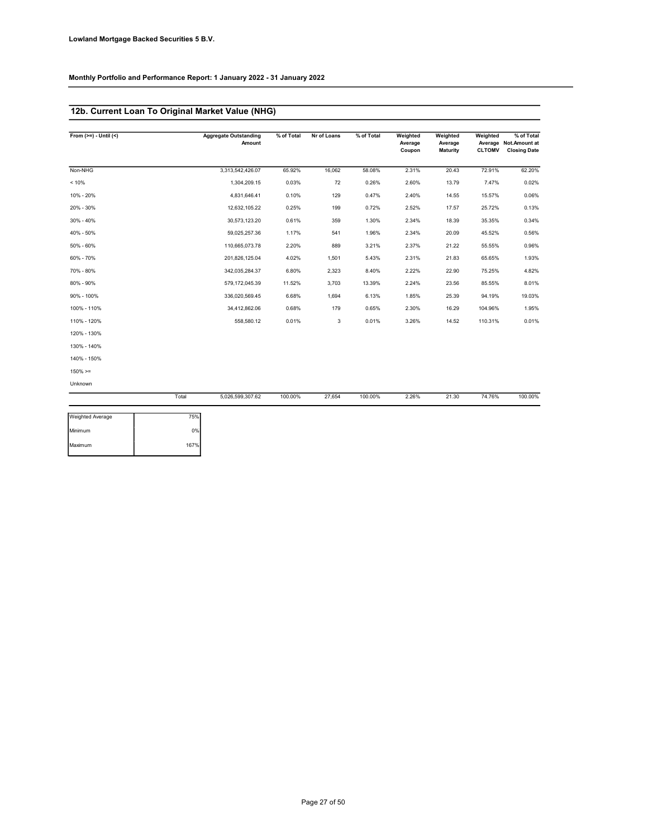### 12b. Current Loan To Original Market Value (NHG)

| From $(>=) -$ Until $($ |       | <b>Aggregate Outstanding</b><br>Amount | % of Total | Nr of Loans | % of Total | Weighted<br>Average<br>Coupon | Weighted<br>Average<br>Maturity | Weighted<br><b>CLTOMV</b> | % of Total<br>Average Not.Amount at<br><b>Closing Date</b> |
|-------------------------|-------|----------------------------------------|------------|-------------|------------|-------------------------------|---------------------------------|---------------------------|------------------------------------------------------------|
| Non-NHG                 |       | 3,313,542,426.07                       | 65.92%     | 16.062      | 58.08%     | 2.31%                         | 20.43                           | 72.91%                    | 62.20%                                                     |
| < 10%                   |       | 1,304,209.15                           | 0.03%      | 72          | 0.26%      | 2.60%                         | 13.79                           | 7.47%                     | 0.02%                                                      |
| 10% - 20%               |       | 4,831,646.41                           | 0.10%      | 129         | 0.47%      | 2.40%                         | 14.55                           | 15.57%                    | 0.06%                                                      |
| 20% - 30%               |       | 12,632,105.22                          | 0.25%      | 199         | 0.72%      | 2.52%                         | 17.57                           | 25.72%                    | 0.13%                                                      |
| 30% - 40%               |       | 30,573,123.20                          | 0.61%      | 359         | 1.30%      | 2.34%                         | 18.39                           | 35.35%                    | 0.34%                                                      |
| 40% - 50%               |       | 59,025,257.36                          | 1.17%      | 541         | 1.96%      | 2.34%                         | 20.09                           | 45.52%                    | 0.56%                                                      |
| $50\% - 60\%$           |       | 110,665,073.78                         | 2.20%      | 889         | 3.21%      | 2.37%                         | 21.22                           | 55.55%                    | 0.96%                                                      |
| 60% - 70%               |       | 201,826,125.04                         | 4.02%      | 1,501       | 5.43%      | 2.31%                         | 21.83                           | 65.65%                    | 1.93%                                                      |
| 70% - 80%               |       | 342,035,284.37                         | 6.80%      | 2,323       | 8.40%      | 2.22%                         | 22.90                           | 75.25%                    | 4.82%                                                      |
| 80% - 90%               |       | 579,172,045.39                         | 11.52%     | 3,703       | 13.39%     | 2.24%                         | 23.56                           | 85.55%                    | 8.01%                                                      |
| 90% - 100%              |       | 336,020,569.45                         | 6.68%      | 1,694       | 6.13%      | 1.85%                         | 25.39                           | 94.19%                    | 19.03%                                                     |
| 100% - 110%             |       | 34,412,862.06                          | 0.68%      | 179         | 0.65%      | 2.30%                         | 16.29                           | 104.96%                   | 1.95%                                                      |
| 110% - 120%             |       | 558,580.12                             | 0.01%      | 3           | 0.01%      | 3.26%                         | 14.52                           | 110.31%                   | 0.01%                                                      |
| 120% - 130%             |       |                                        |            |             |            |                               |                                 |                           |                                                            |
| 130% - 140%             |       |                                        |            |             |            |                               |                                 |                           |                                                            |
| 140% - 150%             |       |                                        |            |             |            |                               |                                 |                           |                                                            |
| $150\% > =$             |       |                                        |            |             |            |                               |                                 |                           |                                                            |
| Unknown                 |       |                                        |            |             |            |                               |                                 |                           |                                                            |
|                         | Total | 5,026,599,307.62                       | 100.00%    | 27.654      | 100.00%    | 2.26%                         | 21.30                           | 74.76%                    | 100.00%                                                    |
| Weighted Average        | 75%   |                                        |            |             |            |                               |                                 |                           |                                                            |

| <b>Weighted Average</b> | 75%  |
|-------------------------|------|
| Minimum                 | 0%   |
| Maximum                 | 167% |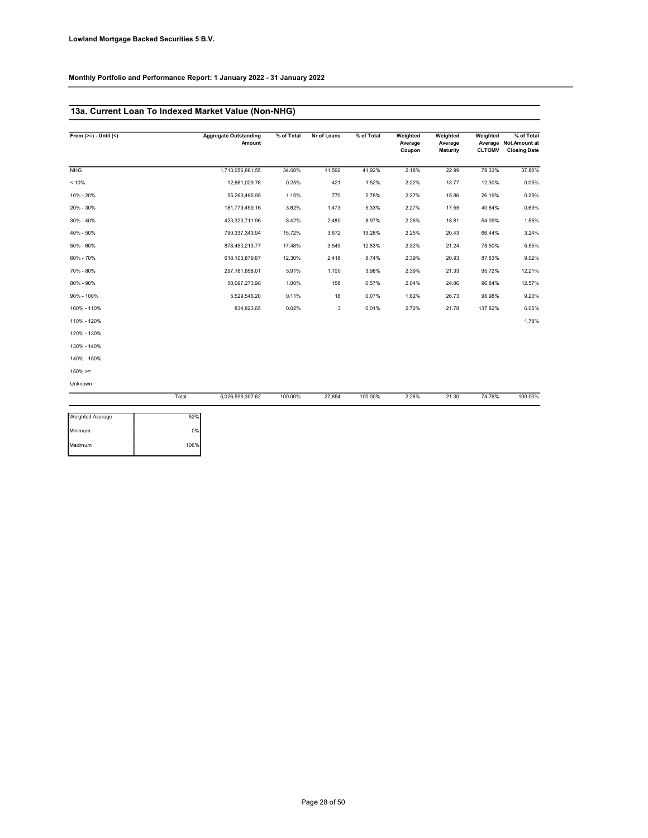### 13a. Current Loan To Indexed Market Value (Non-NHG)

| From $(>=) -$ Until $($ |       | <b>Aggregate Outstanding</b><br>Amount | % of Total | Nr of Loans | % of Total | Weighted<br>Average<br>Coupon | Weighted<br>Average<br><b>Maturity</b> | Weighted<br><b>CLTOMV</b> | % of Total<br>Average Not.Amount at<br><b>Closing Date</b> |
|-------------------------|-------|----------------------------------------|------------|-------------|------------|-------------------------------|----------------------------------------|---------------------------|------------------------------------------------------------|
| <b>NHG</b>              |       | 1,713,056,881.55                       | 34.08%     | 11,592      | 41.92%     | 2.18%                         | 22.99                                  | 78.33%                    | 37.80%                                                     |
| < 10%                   |       | 12,661,029.78                          | 0.25%      | 421         | 1.52%      | 2.22%                         | 13.77                                  | 12.30%                    | 0.05%                                                      |
| 10% - 20%               |       | 55,263,485.95                          | 1.10%      | 770         | 2.78%      | 2.27%                         | 15.86                                  | 26.19%                    | 0.29%                                                      |
| 20% - 30%               |       | 181,779,459.16                         | 3.62%      | 1,473       | 5.33%      | 2.27%                         | 17.55                                  | 40.64%                    | 0.69%                                                      |
| $30\% - 40\%$           |       | 423,323,711.96                         | 8.42%      | 2,480       | 8.97%      | 2.26%                         | 18.81                                  | 54.09%                    | 1.55%                                                      |
| 40% - 50%               |       | 790,337,343.94                         | 15.72%     | 3,672       | 13.28%     | 2.25%                         | 20.43                                  | 66.44%                    | 3.24%                                                      |
| 50% - 60%               |       | 878,450,213.77                         | 17.48%     | 3,549       | 12.83%     | 2.32%                         | 21.24                                  | 78.50%                    | 5.55%                                                      |
| 60% - 70%               |       | 618,103,879.67                         | 12.30%     | 2,418       | 8.74%      | 2.39%                         | 20.93                                  | 87.83%                    | 9.02%                                                      |
| 70% - 80%               |       | 297, 161, 658.01                       | 5.91%      | 1,100       | 3.98%      | 2.39%                         | 21.33                                  | 95.72%                    | 12.21%                                                     |
| 80% - 90%               |       | 50,097,273.98                          | 1.00%      | 158         | 0.57%      | 2.04%                         | 24.86                                  | 96.84%                    | 12.57%                                                     |
| 90% - 100%              |       | 5,529,546.20                           | 0.11%      | 18          | 0.07%      | 1.82%                         | 26.73                                  | 96.98%                    | 9.20%                                                      |
| 100% - 110%             |       | 834,823.65                             | 0.02%      | 3           | 0.01%      | 2.72%                         | 21.78                                  | 137.82%                   | 6.05%                                                      |
| 110% - 120%             |       |                                        |            |             |            |                               |                                        |                           | 1.78%                                                      |
| 120% - 130%             |       |                                        |            |             |            |                               |                                        |                           |                                                            |
| 130% - 140%             |       |                                        |            |             |            |                               |                                        |                           |                                                            |
| 140% - 150%             |       |                                        |            |             |            |                               |                                        |                           |                                                            |
| $150\% > =$             |       |                                        |            |             |            |                               |                                        |                           |                                                            |
| Unknown                 |       |                                        |            |             |            |                               |                                        |                           |                                                            |
|                         | Total | 5,026,599,307.62                       | 100.00%    | 27,654      | 100.00%    | 2.26%                         | 21.30                                  | 74.76%                    | 100.00%                                                    |
| <b>Weighted Average</b> | 52%   |                                        |            |             |            |                               |                                        |                           |                                                            |

| <b>Weighted Average</b> | 52%  |  |
|-------------------------|------|--|
| Minimum                 | 0%   |  |
| Maximum                 | 106% |  |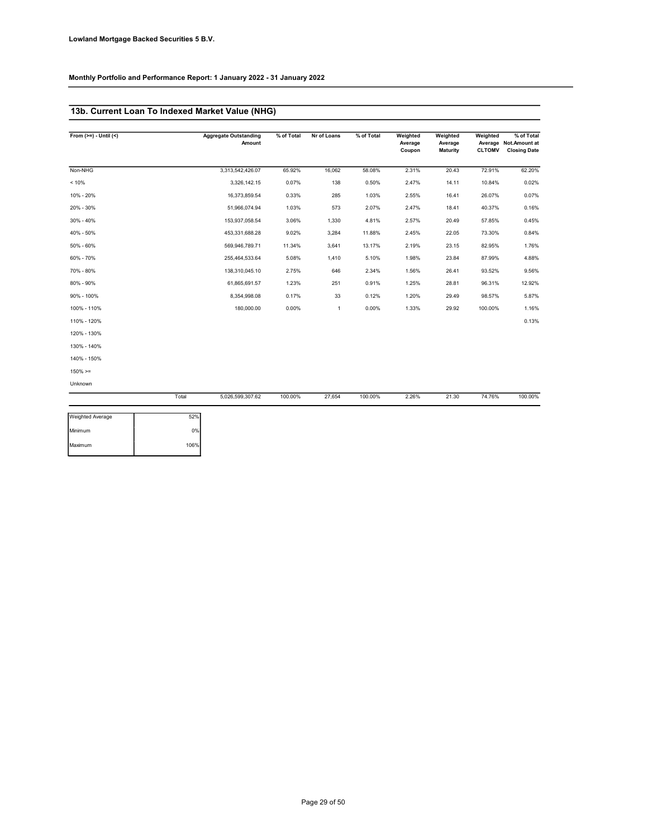### 13b. Current Loan To Indexed Market Value (NHG)

| From $(>=) -$ Until $($ |       | <b>Aggregate Outstanding</b><br>Amount | % of Total | Nr of Loans    | % of Total | Weighted<br>Average<br>Coupon | Weighted<br>Average<br><b>Maturity</b> | Weighted<br><b>CLTOMV</b> | % of Total<br>Average Not.Amount at<br><b>Closing Date</b> |
|-------------------------|-------|----------------------------------------|------------|----------------|------------|-------------------------------|----------------------------------------|---------------------------|------------------------------------------------------------|
| Non-NHG                 |       | 3,313,542,426.07                       | 65.92%     | 16,062         | 58.08%     | 2.31%                         | 20.43                                  | 72.91%                    | 62.20%                                                     |
| < 10%                   |       | 3,326,142.15                           | 0.07%      | 138            | 0.50%      | 2.47%                         | 14.11                                  | 10.84%                    | 0.02%                                                      |
| 10% - 20%               |       | 16,373,859.54                          | 0.33%      | 285            | 1.03%      | 2.55%                         | 16.41                                  | 26.07%                    | 0.07%                                                      |
| 20% - 30%               |       | 51,966,074.94                          | 1.03%      | 573            | 2.07%      | 2.47%                         | 18.41                                  | 40.37%                    | 0.16%                                                      |
| 30% - 40%               |       | 153,937,058.54                         | 3.06%      | 1,330          | 4.81%      | 2.57%                         | 20.49                                  | 57.85%                    | 0.45%                                                      |
| 40% - 50%               |       | 453,331,688.28                         | 9.02%      | 3,284          | 11.88%     | 2.45%                         | 22.05                                  | 73.30%                    | 0.84%                                                      |
| 50% - 60%               |       | 569,946,789.71                         | 11.34%     | 3,641          | 13.17%     | 2.19%                         | 23.15                                  | 82.95%                    | 1.76%                                                      |
| 60% - 70%               |       | 255,464,533.64                         | 5.08%      | 1,410          | 5.10%      | 1.98%                         | 23.84                                  | 87.99%                    | 4.88%                                                      |
| 70% - 80%               |       | 138,310,045.10                         | 2.75%      | 646            | 2.34%      | 1.56%                         | 26.41                                  | 93.52%                    | 9.56%                                                      |
| 80% - 90%               |       | 61,865,691.57                          | 1.23%      | 251            | 0.91%      | 1.25%                         | 28.81                                  | 96.31%                    | 12.92%                                                     |
| 90% - 100%              |       | 8,354,998.08                           | 0.17%      | 33             | 0.12%      | 1.20%                         | 29.49                                  | 98.57%                    | 5.87%                                                      |
| 100% - 110%             |       | 180,000.00                             | 0.00%      | $\overline{1}$ | 0.00%      | 1.33%                         | 29.92                                  | 100.00%                   | 1.16%                                                      |
| 110% - 120%             |       |                                        |            |                |            |                               |                                        |                           | 0.13%                                                      |
| 120% - 130%             |       |                                        |            |                |            |                               |                                        |                           |                                                            |
| 130% - 140%             |       |                                        |            |                |            |                               |                                        |                           |                                                            |
| 140% - 150%             |       |                                        |            |                |            |                               |                                        |                           |                                                            |
| $150\% > =$             |       |                                        |            |                |            |                               |                                        |                           |                                                            |
| Unknown                 |       |                                        |            |                |            |                               |                                        |                           |                                                            |
|                         | Total | 5,026,599,307.62                       | 100.00%    | 27,654         | 100.00%    | 2.26%                         | 21.30                                  | 74.76%                    | 100.00%                                                    |
| <b>Weighted Average</b> | 52%   |                                        |            |                |            |                               |                                        |                           |                                                            |

| 52%  |
|------|
| 0%   |
| 106% |
|      |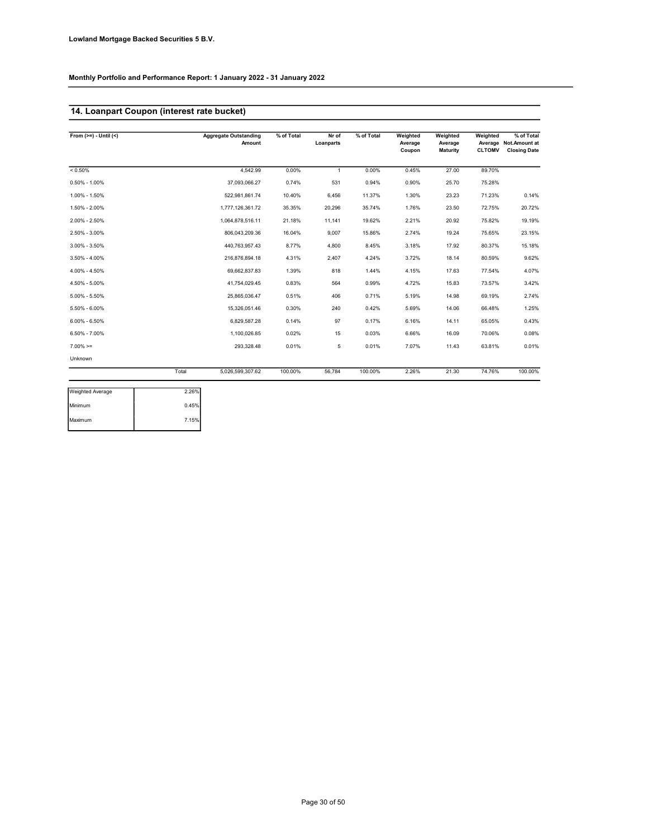# 14. Loanpart Coupon (interest rate bucket)

| From $(>=) -$ Until $($ |       | <b>Aggregate Outstanding</b><br>Amount | % of Total | Nr of<br>Loanparts | % of Total | Weighted<br>Average<br>Coupon | Weighted<br>Average<br><b>Maturity</b> | Weighted<br><b>CLTOMV</b> | % of Total<br>Average Not.Amount at<br><b>Closing Date</b> |
|-------------------------|-------|----------------------------------------|------------|--------------------|------------|-------------------------------|----------------------------------------|---------------------------|------------------------------------------------------------|
| $< 0.50\%$              |       | 4.542.99                               | 0.00%      | $\overline{1}$     | 0.00%      | 0.45%                         | 27.00                                  | 89.70%                    |                                                            |
| $0.50\% - 1.00\%$       |       | 37.093.066.27                          | 0.74%      | 531                | 0.94%      | 0.90%                         | 25.70                                  | 75.28%                    |                                                            |
| 1.00% - 1.50%           |       | 522,981,861.74                         | 10.40%     | 6,456              | 11.37%     | 1.30%                         | 23.23                                  | 71.23%                    | 0.14%                                                      |
| 1.50% - 2.00%           |       | 1,777,126,361.72                       | 35.35%     | 20,296             | 35.74%     | 1.76%                         | 23.50                                  | 72.75%                    | 20.72%                                                     |
| 2.00% - 2.50%           |       | 1,064,878,516.11                       | 21.18%     | 11,141             | 19.62%     | 2.21%                         | 20.92                                  | 75.82%                    | 19.19%                                                     |
| 2.50% - 3.00%           |       | 806,043,209.36                         | 16.04%     | 9.007              | 15.86%     | 2.74%                         | 19.24                                  | 75.65%                    | 23.15%                                                     |
| $3.00\% - 3.50\%$       |       | 440,763,957.43                         | 8.77%      | 4,800              | 8.45%      | 3.18%                         | 17.92                                  | 80.37%                    | 15.18%                                                     |
| $3.50\% - 4.00\%$       |       | 216,876,894.18                         | 4.31%      | 2,407              | 4.24%      | 3.72%                         | 18.14                                  | 80.59%                    | 9.62%                                                      |
| 4.00% - 4.50%           |       | 69,662,837.83                          | 1.39%      | 818                | 1.44%      | 4.15%                         | 17.63                                  | 77.54%                    | 4.07%                                                      |
| 4.50% - 5.00%           |       | 41.754.029.45                          | 0.83%      | 564                | 0.99%      | 4.72%                         | 15.83                                  | 73.57%                    | 3.42%                                                      |
| $5.00\% - 5.50\%$       |       | 25.865.036.47                          | 0.51%      | 406                | 0.71%      | 5.19%                         | 14.98                                  | 69.19%                    | 2.74%                                                      |
| 5.50% - 6.00%           |       | 15,326,051.46                          | 0.30%      | 240                | 0.42%      | 5.69%                         | 14.06                                  | 66.48%                    | 1.25%                                                      |
| $6.00\% - 6.50\%$       |       | 6,829,587.28                           | 0.14%      | 97                 | 0.17%      | 6.16%                         | 14.11                                  | 65.05%                    | 0.43%                                                      |
| $6.50\% - 7.00\%$       |       | 1,100,026.85                           | 0.02%      | 15                 | 0.03%      | 6.66%                         | 16.09                                  | 70.06%                    | 0.08%                                                      |
| $7.00\%$ >=             |       | 293,328.48                             | 0.01%      | 5                  | 0.01%      | 7.07%                         | 11.43                                  | 63.81%                    | 0.01%                                                      |
| Unknown                 |       |                                        |            |                    |            |                               |                                        |                           |                                                            |
|                         | Total | 5,026,599,307.62                       | 100.00%    | 56,784             | 100.00%    | 2.26%                         | 21.30                                  | 74.76%                    | 100.00%                                                    |

| 2.26% |
|-------|
| 0.45% |
| 7.15% |
|       |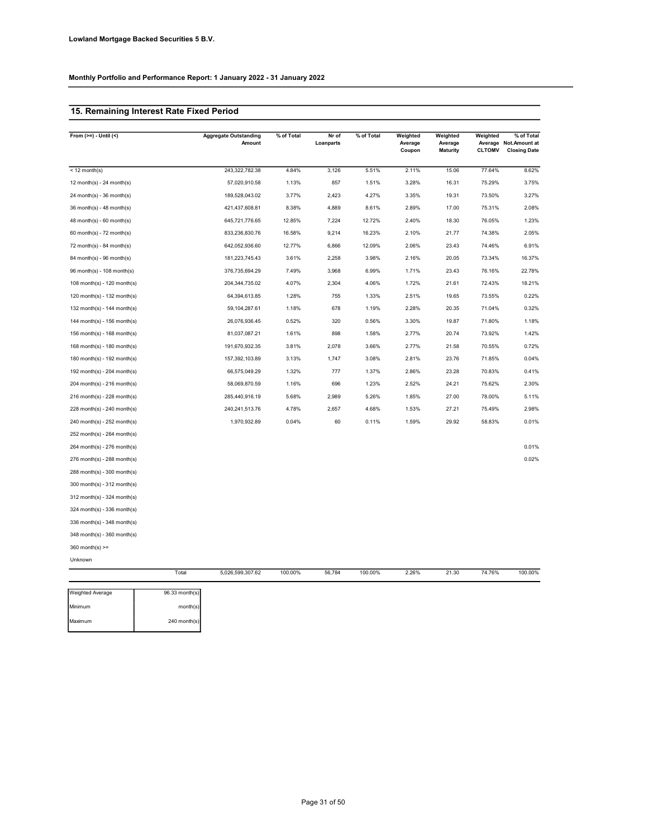### 15. Remaining Interest Rate Fixed Period

| From $(>=) -$ Until $($     | <b>Aggregate Outstanding</b><br>Amount | % of Total | Nr of<br>Loanparts | % of Total | Weighted<br>Average<br>Coupon | Weighted<br>Average<br><b>Maturity</b> | Weighted<br>Average<br><b>CLTOMV</b> | % of Total<br>Not.Amount at<br><b>Closing Date</b> |
|-----------------------------|----------------------------------------|------------|--------------------|------------|-------------------------------|----------------------------------------|--------------------------------------|----------------------------------------------------|
| $<$ 12 month(s)             | 243,322,782.38                         | 4.84%      | 3,126              | 5.51%      | 2.11%                         | 15.06                                  | 77.64%                               | 8.62%                                              |
| 12 month(s) - 24 month(s)   | 57,020,910.58                          | 1.13%      | 857                | 1.51%      | 3.28%                         | 16.31                                  | 75.29%                               | 3.75%                                              |
| $24$ month(s) - 36 month(s) | 189,528,043.02                         | 3.77%      | 2,423              | 4.27%      | 3.35%                         | 19.31                                  | 73.50%                               | 3.27%                                              |
| 36 month(s) - 48 month(s)   | 421,437,608.81                         | 8.38%      | 4,889              | 8.61%      | 2.89%                         | 17.00                                  | 75.31%                               | 2.08%                                              |
| $48$ month(s) - 60 month(s) | 645,721,776.65                         | 12.85%     | 7,224              | 12.72%     | 2.40%                         | 18.30                                  | 76.05%                               | 1.23%                                              |
| $60$ month(s) - 72 month(s) | 833,236,830.76                         | 16.58%     | 9,214              | 16.23%     | 2.10%                         | 21.77                                  | 74.38%                               | 2.05%                                              |
| $72$ month(s) - 84 month(s) | 642,052,936.60                         | 12.77%     | 6,866              | 12.09%     | 2.06%                         | 23.43                                  | 74.46%                               | 6.91%                                              |
| 84 month(s) - 96 month(s)   | 181,223,745.43                         | 3.61%      | 2,258              | 3.98%      | 2.16%                         | 20.05                                  | 73.34%                               | 16.37%                                             |
| 96 month(s) - 108 month(s)  | 376,735,694.29                         | 7.49%      | 3,968              | 6.99%      | 1.71%                         | 23.43                                  | 76.16%                               | 22.78%                                             |
| 108 month(s) - 120 month(s) | 204,344,735.02                         | 4.07%      | 2,304              | 4.06%      | 1.72%                         | 21.61                                  | 72.43%                               | 18.21%                                             |
| 120 month(s) - 132 month(s) | 64,394,613.85                          | 1.28%      | 755                | 1.33%      | 2.51%                         | 19.65                                  | 73.55%                               | 0.22%                                              |
| 132 month(s) - 144 month(s) | 59,104,287.61                          | 1.18%      | 678                | 1.19%      | 2.28%                         | 20.35                                  | 71.04%                               | 0.32%                                              |
| 144 month(s) - 156 month(s) | 26,076,936.45                          | 0.52%      | 320                | 0.56%      | 3.30%                         | 19.87                                  | 71.80%                               | 1.18%                                              |
| 156 month(s) - 168 month(s) | 81,037,087.21                          | 1.61%      | 898                | 1.58%      | 2.77%                         | 20.74                                  | 73.92%                               | 1.42%                                              |
| 168 month(s) - 180 month(s) | 191,670,932.35                         | 3.81%      | 2,078              | 3.66%      | 2.77%                         | 21.58                                  | 70.55%                               | 0.72%                                              |
| 180 month(s) - 192 month(s) | 157,392,103.89                         | 3.13%      | 1,747              | 3.08%      | 2.81%                         | 23.76                                  | 71.85%                               | 0.04%                                              |
| 192 month(s) - 204 month(s) | 66,575,049.29                          | 1.32%      | 777                | 1.37%      | 2.86%                         | 23.28                                  | 70.83%                               | 0.41%                                              |
| 204 month(s) - 216 month(s) | 58,069,870.59                          | 1.16%      | 696                | 1.23%      | 2.52%                         | 24.21                                  | 75.62%                               | 2.30%                                              |
| 216 month(s) - 228 month(s) | 285,440,916.19                         | 5.68%      | 2,989              | 5.26%      | 1.85%                         | 27.00                                  | 78.00%                               | 5.11%                                              |
| 228 month(s) - 240 month(s) | 240,241,513.76                         | 4.78%      | 2,657              | 4.68%      | 1.53%                         | 27.21                                  | 75.49%                               | 2.98%                                              |
| 240 month(s) - 252 month(s) | 1,970,932.89                           | 0.04%      | 60                 | 0.11%      | 1.59%                         | 29.92                                  | 58.83%                               | 0.01%                                              |
| 252 month(s) - 264 month(s) |                                        |            |                    |            |                               |                                        |                                      |                                                    |
| 264 month(s) - 276 month(s) |                                        |            |                    |            |                               |                                        |                                      | 0.01%                                              |
| 276 month(s) - 288 month(s) |                                        |            |                    |            |                               |                                        |                                      | 0.02%                                              |
| 288 month(s) - 300 month(s) |                                        |            |                    |            |                               |                                        |                                      |                                                    |
| 300 month(s) - 312 month(s) |                                        |            |                    |            |                               |                                        |                                      |                                                    |
| 312 month(s) - 324 month(s) |                                        |            |                    |            |                               |                                        |                                      |                                                    |
| 324 month(s) - 336 month(s) |                                        |            |                    |            |                               |                                        |                                      |                                                    |
| 336 month(s) - 348 month(s) |                                        |            |                    |            |                               |                                        |                                      |                                                    |
| 348 month(s) - 360 month(s) |                                        |            |                    |            |                               |                                        |                                      |                                                    |
| $360$ month(s) >=           |                                        |            |                    |            |                               |                                        |                                      |                                                    |
| Unknown                     |                                        |            |                    |            |                               |                                        |                                      |                                                    |
|                             | Total<br>5,026,599,307.62              | 100.00%    | 56,784             | 100.00%    | 2.26%                         | 21.30                                  | 74.76%                               | 100.00%                                            |
| Weighted Average            | 96.33 month(s)                         |            |                    |            |                               |                                        |                                      |                                                    |

| <b>Weighted Average</b> | $96.33$ month(s) |
|-------------------------|------------------|
| Minimum                 | month(s)         |
| Maximum                 | $240$ month(s)   |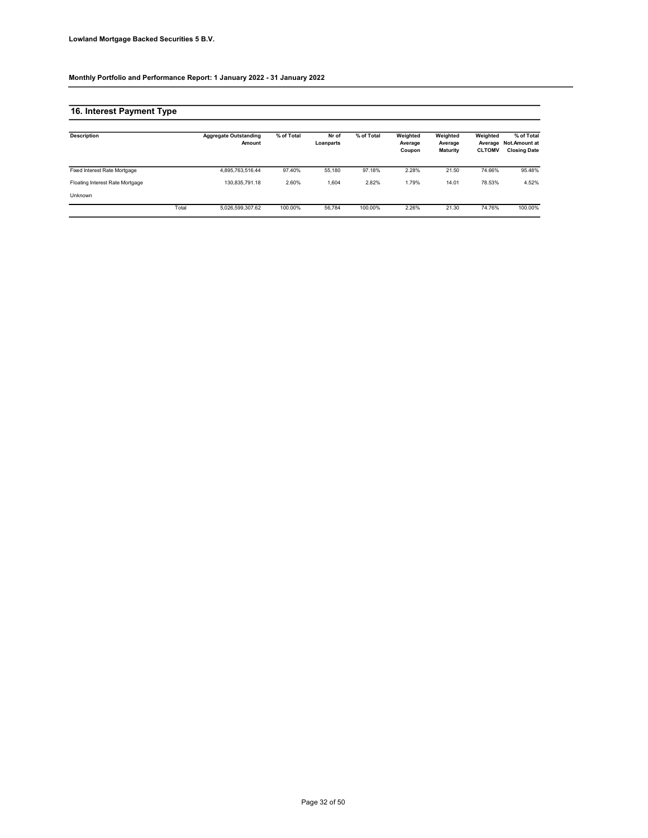# 16. Interest Payment Type

| <b>Description</b>              |       | <b>Aggregate Outstanding</b><br>Amount | % of Total | Nr of<br>Loanparts | % of Total | Weighted<br>Average<br>Coupon | Weighted<br>Average<br><b>Maturity</b> | Weighted<br><b>CLTOMV</b> | % of Total<br>Average Not.Amount at<br><b>Closing Date</b> |
|---------------------------------|-------|----------------------------------------|------------|--------------------|------------|-------------------------------|----------------------------------------|---------------------------|------------------------------------------------------------|
| Fixed Interest Rate Mortgage    |       | 4.895.763.516.44                       | 97.40%     | 55.180             | 97.18%     | 2.28%                         | 21.50                                  | 74.66%                    | 95.48%                                                     |
| Floating Interest Rate Mortgage |       | 130.835.791.18                         | 2.60%      | 1,604              | 2.82%      | 1.79%                         | 14.01                                  | 78.53%                    | 4.52%                                                      |
| <b>Unknown</b>                  |       |                                        |            |                    |            |                               |                                        |                           |                                                            |
|                                 | Total | 5.026.599.307.62                       | 100.00%    | 56.784             | 100.00%    | 2.26%                         | 21.30                                  | 74.76%                    | 100.00%                                                    |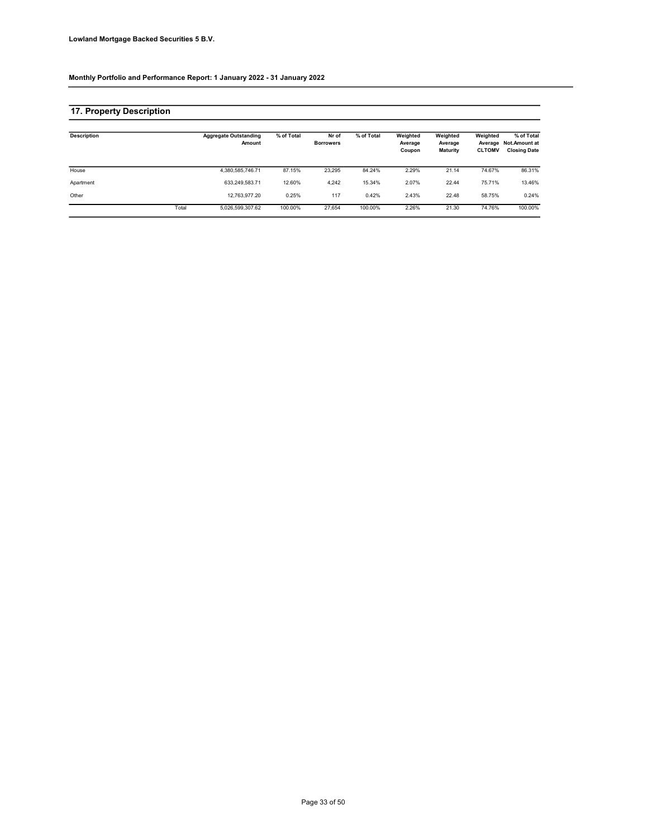### 17. Property Description

| <b>Description</b> |       | <b>Aggregate Outstanding</b><br>Amount | % of Total | Nr of<br><b>Borrowers</b> | % of Total | Weighted<br>Average<br>Coupon | Weighted<br>Average<br><b>Maturity</b> | Weighted<br><b>CLTOMV</b> | % of Total<br>Average Not.Amount at<br><b>Closing Date</b> |
|--------------------|-------|----------------------------------------|------------|---------------------------|------------|-------------------------------|----------------------------------------|---------------------------|------------------------------------------------------------|
| House              |       | 4,380,585,746.71                       | 87.15%     | 23.295                    | 84.24%     | 2.29%                         | 21.14                                  | 74.67%                    | 86.31%                                                     |
| Apartment          |       | 633.249.583.71                         | 12.60%     | 4.242                     | 15.34%     | 2.07%                         | 22.44                                  | 75.71%                    | 13.46%                                                     |
| Other              |       | 12.763.977.20                          | 0.25%      | 117                       | 0.42%      | 2.43%                         | 22.48                                  | 58.75%                    | 0.24%                                                      |
|                    | Total | 5,026,599,307.62                       | 100.00%    | 27.654                    | 100.00%    | 2.26%                         | 21.30                                  | 74.76%                    | 100.00%                                                    |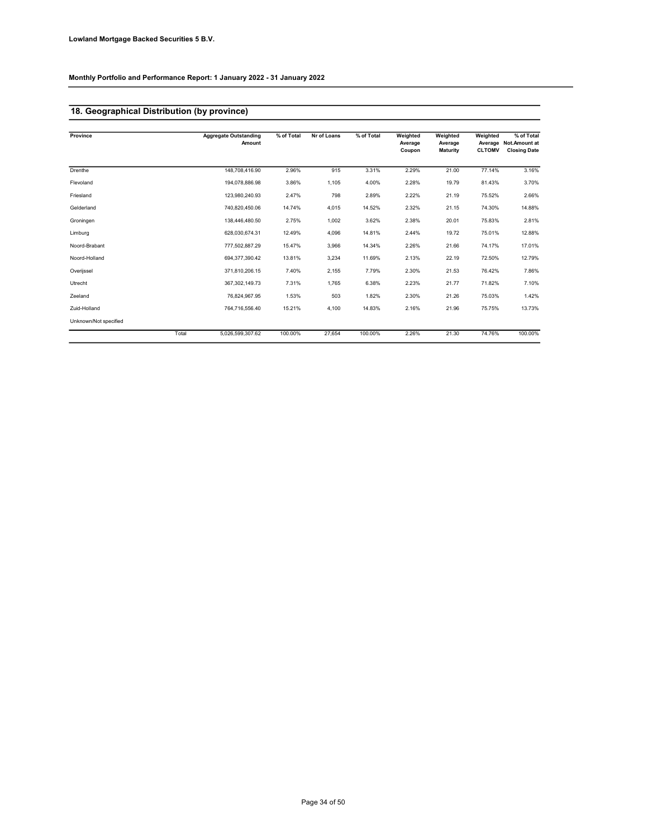# 18. Geographical Distribution (by province)

| Province              | <b>Aggregate Outstanding</b><br>Amount | % of Total | Nr of Loans | % of Total | Weighted<br>Average<br>Coupon | Weighted<br>Average<br><b>Maturity</b> | Weighted<br><b>CLTOMV</b> | % of Total<br>Average Not.Amount at<br><b>Closing Date</b> |
|-----------------------|----------------------------------------|------------|-------------|------------|-------------------------------|----------------------------------------|---------------------------|------------------------------------------------------------|
| Drenthe               | 148.708.416.90                         | 2.96%      | 915         | 3.31%      | 2.29%                         | 21.00                                  | 77.14%                    | 3.16%                                                      |
|                       |                                        |            |             |            |                               |                                        |                           |                                                            |
| Flevoland             | 194.078.886.98                         | 3.86%      | 1.105       | 4.00%      | 2.28%                         | 19.79                                  | 81.43%                    | 3.70%                                                      |
| Friesland             | 123,980,240.93                         | 2.47%      | 798         | 2.89%      | 2.22%                         | 21.19                                  | 75.52%                    | 2.66%                                                      |
| Gelderland            | 740.820.450.06                         | 14.74%     | 4.015       | 14.52%     | 2.32%                         | 21.15                                  | 74.30%                    | 14.88%                                                     |
| Groningen             | 138,446,480.50                         | 2.75%      | 1,002       | 3.62%      | 2.38%                         | 20.01                                  | 75.83%                    | 2.81%                                                      |
| Limburg               | 628,030,674.31                         | 12.49%     | 4,096       | 14.81%     | 2.44%                         | 19.72                                  | 75.01%                    | 12.88%                                                     |
| Noord-Brabant         | 777.502.887.29                         | 15.47%     | 3,966       | 14.34%     | 2.26%                         | 21.66                                  | 74.17%                    | 17.01%                                                     |
| Noord-Holland         | 694,377,390.42                         | 13.81%     | 3,234       | 11.69%     | 2.13%                         | 22.19                                  | 72.50%                    | 12.79%                                                     |
| Overijssel            | 371,810,206.15                         | 7.40%      | 2,155       | 7.79%      | 2.30%                         | 21.53                                  | 76.42%                    | 7.86%                                                      |
| Utrecht               | 367.302.149.73                         | 7.31%      | 1.765       | 6.38%      | 2.23%                         | 21.77                                  | 71.82%                    | 7.10%                                                      |
| Zeeland               | 76,824,967.95                          | 1.53%      | 503         | 1.82%      | 2.30%                         | 21.26                                  | 75.03%                    | 1.42%                                                      |
| Zuid-Holland          | 764.716.556.40                         | 15.21%     | 4.100       | 14.83%     | 2.16%                         | 21.96                                  | 75.75%                    | 13.73%                                                     |
| Unknown/Not specified |                                        |            |             |            |                               |                                        |                           |                                                            |
|                       | Total<br>5,026,599,307.62              | 100.00%    | 27,654      | 100.00%    | 2.26%                         | 21.30                                  | 74.76%                    | 100.00%                                                    |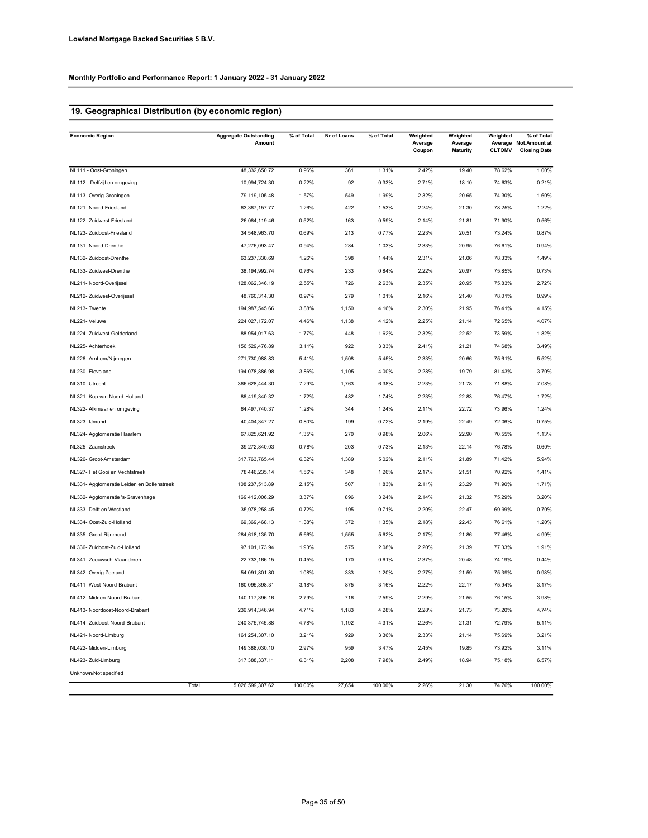# 19. Geographical Distribution (by economic region)

| <b>Economic Region</b>                     | <b>Aggregate Outstanding</b><br>Amount | % of Total | Nr of Loans | % of Total | Weighted<br>Average<br>Coupon | Weighted<br>Average<br><b>Maturity</b> | Weighted<br>Average<br><b>CLTOMV</b> | % of Total<br>Not.Amount at<br><b>Closing Date</b> |
|--------------------------------------------|----------------------------------------|------------|-------------|------------|-------------------------------|----------------------------------------|--------------------------------------|----------------------------------------------------|
| NL111 - Oost-Groningen                     | 48,332,650.72                          | 0.96%      | 361         | 1.31%      | 2.42%                         | 19.40                                  | 78.62%                               | 1.00%                                              |
| NL112 - Delfzijl en omgeving               | 10,994,724.30                          | 0.22%      | 92          | 0.33%      | 2.71%                         | 18.10                                  | 74.63%                               | 0.21%                                              |
| NL113- Overig Groningen                    | 79,119,105.48                          | 1.57%      | 549         | 1.99%      | 2.32%                         | 20.65                                  | 74.30%                               | 1.60%                                              |
| NL121- Noord-Friesland                     | 63,367,157.77                          | 1.26%      | 422         | 1.53%      | 2.24%                         | 21.30                                  | 78.25%                               | 1.22%                                              |
| NL122- Zuidwest-Friesland                  | 26,064,119.46                          | 0.52%      | 163         | 0.59%      | 2.14%                         | 21.81                                  | 71.90%                               | 0.56%                                              |
| NL123- Zuidoost-Friesland                  | 34,548,963.70                          | 0.69%      | 213         | 0.77%      | 2.23%                         | 20.51                                  | 73.24%                               | 0.87%                                              |
| NL131- Noord-Drenthe                       | 47,276,093.47                          | 0.94%      | 284         | 1.03%      | 2.33%                         | 20.95                                  | 76.61%                               | 0.94%                                              |
| NL132- Zuidoost-Drenthe                    | 63,237,330.69                          | 1.26%      | 398         | 1.44%      | 2.31%                         | 21.06                                  | 78.33%                               | 1.49%                                              |
| NL133- Zuidwest-Drenthe                    | 38,194,992.74                          | 0.76%      | 233         | 0.84%      | 2.22%                         | 20.97                                  | 75.85%                               | 0.73%                                              |
| NL211- Noord-Overijssel                    | 128,062,346.19                         | 2.55%      | 726         | 2.63%      | 2.35%                         | 20.95                                  | 75.83%                               | 2.72%                                              |
| NL212- Zuidwest-Overijssel                 | 48,760,314.30                          | 0.97%      | 279         | 1.01%      | 2.16%                         | 21.40                                  | 78.01%                               | 0.99%                                              |
| NL213- Twente                              | 194,987,545.66                         | 3.88%      | 1,150       | 4.16%      | 2.30%                         | 21.95                                  | 76.41%                               | 4.15%                                              |
| NL221- Veluwe                              | 224,027,172.07                         | 4.46%      | 1,138       | 4.12%      | 2.25%                         | 21.14                                  | 72.65%                               | 4.07%                                              |
| NL224- Zuidwest-Gelderland                 | 88,954,017.63                          | 1.77%      | 448         | 1.62%      | 2.32%                         | 22.52                                  | 73.59%                               | 1.82%                                              |
| NL225- Achterhoek                          | 156,529,476.89                         | 3.11%      | 922         | 3.33%      | 2.41%                         | 21.21                                  | 74.68%                               | 3.49%                                              |
| NL226- Arnhem/Nijmegen                     | 271,730,988.83                         | 5.41%      | 1,508       | 5.45%      | 2.33%                         | 20.66                                  | 75.61%                               | 5.52%                                              |
| NL230- Flevoland                           | 194,078,886.98                         | 3.86%      | 1,105       | 4.00%      | 2.28%                         | 19.79                                  | 81.43%                               | 3.70%                                              |
| NL310- Utrecht                             | 366,628,444.30                         | 7.29%      | 1,763       | 6.38%      | 2.23%                         | 21.78                                  | 71.88%                               | 7.08%                                              |
| NL321- Kop van Noord-Holland               | 86,419,340.32                          | 1.72%      | 482         | 1.74%      | 2.23%                         | 22.83                                  | 76.47%                               | 1.72%                                              |
| NL322- Alkmaar en omgeving                 | 64,497,740.37                          | 1.28%      | 344         | 1.24%      | 2.11%                         | 22.72                                  | 73.96%                               | 1.24%                                              |
| NL323- IJmond                              | 40,404,347.27                          | 0.80%      | 199         | 0.72%      | 2.19%                         | 22.49                                  | 72.06%                               | 0.75%                                              |
| NL324- Agglomeratie Haarlem                | 67,825,621.92                          | 1.35%      | 270         | 0.98%      | 2.06%                         | 22.90                                  | 70.55%                               | 1.13%                                              |
| NL325- Zaanstreek                          | 39,272,840.03                          | 0.78%      | 203         | 0.73%      | 2.13%                         | 22.14                                  | 76.78%                               | 0.60%                                              |
| NL326- Groot-Amsterdam                     | 317,763,765.44                         | 6.32%      | 1,389       | 5.02%      | 2.11%                         | 21.89                                  | 71.42%                               | 5.94%                                              |
| NL327- Het Gooi en Vechtstreek             | 78,446,235.14                          | 1.56%      | 348         | 1.26%      | 2.17%                         | 21.51                                  | 70.92%                               | 1.41%                                              |
| NL331- Agglomeratie Leiden en Bollenstreek | 108,237,513.89                         | 2.15%      | 507         | 1.83%      | 2.11%                         | 23.29                                  | 71.90%                               | 1.71%                                              |
| NL332- Agglomeratie 's-Gravenhage          | 169,412,006.29                         | 3.37%      | 896         | 3.24%      | 2.14%                         | 21.32                                  | 75.29%                               | 3.20%                                              |
| NL333- Delft en Westland                   | 35,978,258.45                          | 0.72%      | 195         | 0.71%      | 2.20%                         | 22.47                                  | 69.99%                               | 0.70%                                              |
| NL334- Oost-Zuid-Holland                   | 69,369,468.13                          | 1.38%      | 372         | 1.35%      | 2.18%                         | 22.43                                  | 76.61%                               | 1.20%                                              |
| NL335- Groot-Rijnmond                      | 284,618,135.70                         | 5.66%      | 1,555       | 5.62%      | 2.17%                         | 21.86                                  | 77.46%                               | 4.99%                                              |
| NL336- Zuidoost-Zuid-Holland               | 97,101,173.94                          | 1.93%      | 575         | 2.08%      | 2.20%                         | 21.39                                  | 77.33%                               | 1.91%                                              |
| NL341- Zeeuwsch-Vlaanderen                 | 22,733,166.15                          | 0.45%      | 170         | 0.61%      | 2.37%                         | 20.48                                  | 74.19%                               | 0.44%                                              |
| NL342- Overig Zeeland                      | 54,091,801.80                          | 1.08%      | 333         | 1.20%      | 2.27%                         | 21.59                                  | 75.39%                               | 0.98%                                              |
| NL411- West-Noord-Brabant                  | 160,095,398.31                         | 3.18%      | 875         | 3.16%      | 2.22%                         | 22.17                                  | 75.94%                               | 3.17%                                              |
| NL412- Midden-Noord-Brabant                | 140,117,396.16                         | 2.79%      | 716         | 2.59%      | 2.29%                         | 21.55                                  | 76.15%                               | 3.98%                                              |
| NL413- Noordoost-Noord-Brabant             | 236,914,346.94                         | 4.71%      | 1,183       | 4.28%      | 2.28%                         | 21.73                                  | 73.20%                               | 4.74%                                              |
| NL414- Zuidoost-Noord-Brabant              | 240,375,745.88                         | 4.78%      | 1,192       | 4.31%      | 2.26%                         | 21.31                                  | 72.79%                               | 5.11%                                              |
| NL421- Noord-Limburg                       | 161,254,307.10                         | 3.21%      | 929         | 3.36%      | 2.33%                         | 21.14                                  | 75.69%                               | 3.21%                                              |
| NL422- Midden-Limburg                      | 149,388,030.10                         | 2.97%      | 959         | 3.47%      | 2.45%                         | 19.85                                  | 73.92%                               | 3.11%                                              |
| NL423- Zuid-Limburg                        | 317,388,337.11                         | 6.31%      | 2,208       | 7.98%      | 2.49%                         | 18.94                                  | 75.18%                               | 6.57%                                              |
| Unknown/Not specified                      |                                        |            |             |            |                               |                                        |                                      |                                                    |
|                                            | Total<br>5,026,599,307.62              | 100.00%    | 27,654      | 100.00%    | 2.26%                         | 21.30                                  | 74.76%                               | 100.00%                                            |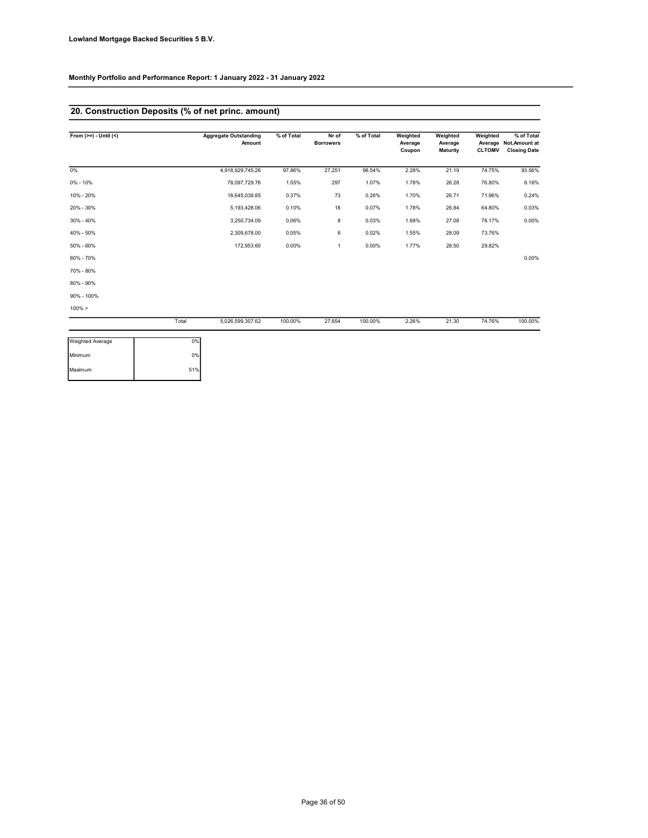### 20. Construction Deposits (% of net princ. amount)

| From $(>=) - Uniti(<)$  |       | <b>Aggregate Outstanding</b><br>Amount | % of Total | Nr of<br><b>Borrowers</b> | % of Total | Weighted<br>Average<br>Coupon | Weighted<br>Average<br><b>Maturity</b> | Weighted<br><b>CLTOMV</b> | % of Total<br>Average Not.Amount at<br><b>Closing Date</b> |
|-------------------------|-------|----------------------------------------|------------|---------------------------|------------|-------------------------------|----------------------------------------|---------------------------|------------------------------------------------------------|
| $0\%$                   |       | 4,918,929,745.26                       | 97.86%     | 27,251                    | 98.54%     | 2.28%                         | 21.19                                  | 74.75%                    | 93.56%                                                     |
| $0\% - 10\%$            |       | 78,097,729.76                          | 1.55%      | 297                       | 1.07%      | 1.78%                         | 26.28                                  | 76.80%                    | 6.16%                                                      |
| 10% - 20%               |       | 18,645,038.85                          | 0.37%      | 73                        | 0.26%      | 1.70%                         | 26.71                                  | 71.96%                    | 0.24%                                                      |
| 20% - 30%               |       | 5,193,428.06                           | 0.10%      | 18                        | 0.07%      | 1.78%                         | 26.84                                  | 64.80%                    | 0.03%                                                      |
| 30% - 40%               |       | 3,250,734.09                           | 0.06%      | 8                         | 0.03%      | 1.68%                         | 27.08                                  | 76.17%                    | 0.00%                                                      |
| 40% - 50%               |       | 2,309,678.00                           | 0.05%      | 6                         | 0.02%      | 1.55%                         | 28.09                                  | 73.76%                    |                                                            |
| 50% - 60%               |       | 172,953.60                             | 0.00%      | $\mathbf{1}$              | 0.00%      | 1.77%                         | 28.50                                  | 29.82%                    |                                                            |
| 60% - 70%               |       |                                        |            |                           |            |                               |                                        |                           | 0.00%                                                      |
| 70% - 80%               |       |                                        |            |                           |            |                               |                                        |                           |                                                            |
| 80% - 90%               |       |                                        |            |                           |            |                               |                                        |                           |                                                            |
| 90% - 100%              |       |                                        |            |                           |            |                               |                                        |                           |                                                            |
| $100\% >$               |       |                                        |            |                           |            |                               |                                        |                           |                                                            |
|                         | Total | 5,026,599,307.62                       | 100.00%    | 27,654                    | 100.00%    | 2.26%                         | 21.30                                  | 74.76%                    | 100.00%                                                    |
| <b>Weighted Average</b> | 0%    |                                        |            |                           |            |                               |                                        |                           |                                                            |
| Minimum                 | 0%    |                                        |            |                           |            |                               |                                        |                           |                                                            |
| Maximum                 | 51%   |                                        |            |                           |            |                               |                                        |                           |                                                            |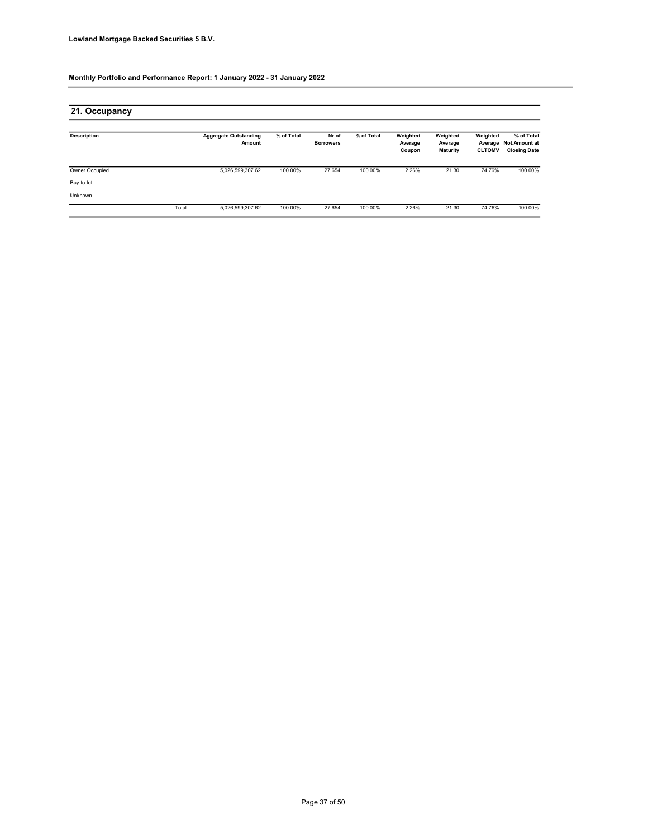| 21. Occupancy      |       |                                        |            |                           |            |                               |                                        |                           |                                                            |
|--------------------|-------|----------------------------------------|------------|---------------------------|------------|-------------------------------|----------------------------------------|---------------------------|------------------------------------------------------------|
| <b>Description</b> |       | <b>Aggregate Outstanding</b><br>Amount | % of Total | Nr of<br><b>Borrowers</b> | % of Total | Weighted<br>Average<br>Coupon | Weighted<br>Average<br><b>Maturity</b> | Weighted<br><b>CLTOMV</b> | % of Total<br>Average Not.Amount at<br><b>Closing Date</b> |
| Owner Occupied     |       | 5,026,599,307.62                       | 100.00%    | 27,654                    | 100.00%    | 2.26%                         | 21.30                                  | 74.76%                    | 100.00%                                                    |
| Buy-to-let         |       |                                        |            |                           |            |                               |                                        |                           |                                                            |
| Unknown            |       |                                        |            |                           |            |                               |                                        |                           |                                                            |
|                    | Total | 5,026,599,307.62                       | 100.00%    | 27,654                    | 100.00%    | 2.26%                         | 21.30                                  | 74.76%                    | 100.00%                                                    |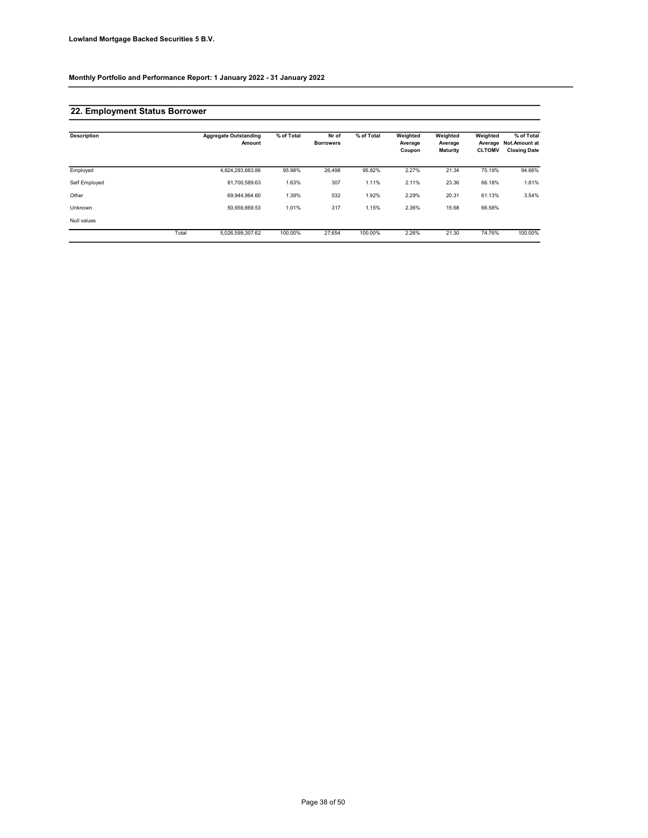### 22. Employment Status Borrower

| <b>Description</b> |       | <b>Aggregate Outstanding</b><br>Amount | % of Total | Nr of<br><b>Borrowers</b> | % of Total | Weighted<br>Average<br>Coupon | Weighted<br>Average<br><b>Maturity</b> | Weighted<br>Average<br><b>CLTOMV</b> | % of Total<br><b>Not.Amount at</b><br><b>Closing Date</b> |
|--------------------|-------|----------------------------------------|------------|---------------------------|------------|-------------------------------|----------------------------------------|--------------------------------------|-----------------------------------------------------------|
| Employed           |       | 4,824,293,883.86                       | 95.98%     | 26,498                    | 95.82%     | 2.27%                         | 21.34                                  | 75.19%                               | 94.66%                                                    |
| Self Employed      |       | 81.700.589.63                          | 1.63%      | 307                       | 1.11%      | 2.11%                         | 23.36                                  | 66.18%                               | 1.81%                                                     |
| Other              |       | 69.944.964.60                          | 1.39%      | 532                       | 1.92%      | 2.29%                         | 20.31                                  | 61.13%                               | 3.54%                                                     |
| Unknown            |       | 50.659.869.53                          | 1.01%      | 317                       | 1.15%      | 2.36%                         | 15.68                                  | 66.58%                               |                                                           |
| Null values        |       |                                        |            |                           |            |                               |                                        |                                      |                                                           |
|                    | Total | 5.026.599.307.62                       | 100.00%    | 27.654                    | 100.00%    | 2.26%                         | 21.30                                  | 74.76%                               | 100.00%                                                   |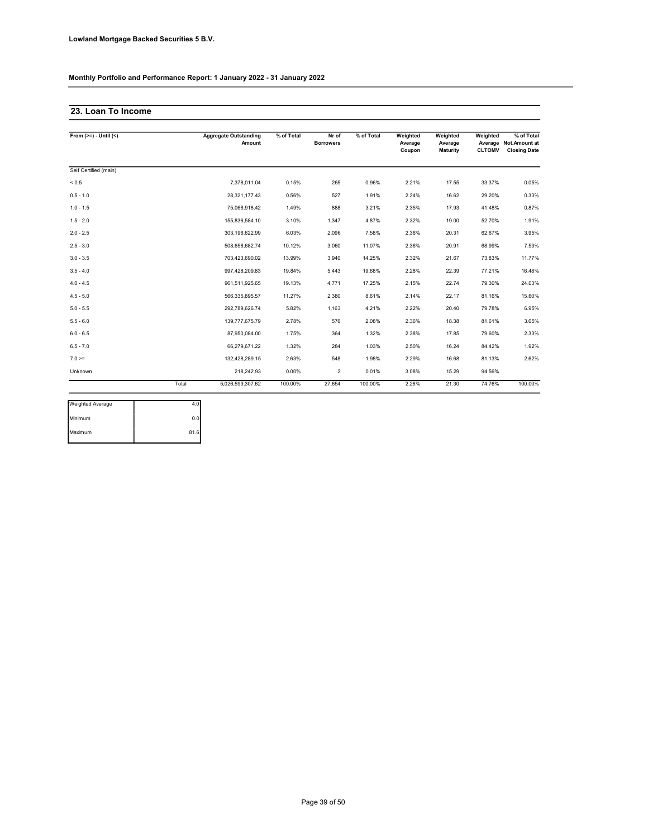### 23. Loan To Income

| From $(>=) -$ Until $($ |       | <b>Aggregate Outstanding</b><br>Amount | % of Total | Nr of<br><b>Borrowers</b> | % of Total | Weighted<br>Average<br>Coupon | Weighted<br>Average<br>Maturity | Weighted<br><b>CLTOMV</b> | % of Total<br>Average Not.Amount at<br><b>Closing Date</b> |
|-------------------------|-------|----------------------------------------|------------|---------------------------|------------|-------------------------------|---------------------------------|---------------------------|------------------------------------------------------------|
| Self Certified (main)   |       |                                        |            |                           |            |                               |                                 |                           |                                                            |
| ${}_{0.5}$              |       | 7.378.011.04                           | 0.15%      | 265                       | 0.96%      | 2.21%                         | 17.55                           | 33.37%                    | 0.05%                                                      |
| $0.5 - 1.0$             |       | 28,321,177.43                          | 0.56%      | 527                       | 1.91%      | 2.24%                         | 16.62                           | 29.20%                    | 0.33%                                                      |
| $1.0 - 1.5$             |       | 75,066,918.42                          | 1.49%      | 888                       | 3.21%      | 2.35%                         | 17.93                           | 41.48%                    | 0.87%                                                      |
| $1.5 - 2.0$             |       | 155,836,584.10                         | 3.10%      | 1,347                     | 4.87%      | 2.32%                         | 19.00                           | 52.70%                    | 1.91%                                                      |
| $2.0 - 2.5$             |       | 303.196.622.99                         | 6.03%      | 2,096                     | 7.58%      | 2.36%                         | 20.31                           | 62.67%                    | 3.95%                                                      |
| $2.5 - 3.0$             |       | 508,656,682.74                         | 10.12%     | 3.060                     | 11.07%     | 2.36%                         | 20.91                           | 68.99%                    | 7.53%                                                      |
| $3.0 - 3.5$             |       | 703.423.690.02                         | 13.99%     | 3.940                     | 14.25%     | 2.32%                         | 21.67                           | 73.83%                    | 11.77%                                                     |
| $3.5 - 4.0$             |       | 997,428,209.83                         | 19.84%     | 5.443                     | 19.68%     | 2.28%                         | 22.39                           | 77.21%                    | 16.48%                                                     |
| $4.0 - 4.5$             |       | 961,511,925.65                         | 19.13%     | 4,771                     | 17.25%     | 2.15%                         | 22.74                           | 79.30%                    | 24.03%                                                     |
| $4.5 - 5.0$             |       | 566,335,895.57                         | 11.27%     | 2,380                     | 8.61%      | 2.14%                         | 22.17                           | 81.16%                    | 15.60%                                                     |
| $5.0 - 5.5$             |       | 292,789,626.74                         | 5.82%      | 1,163                     | 4.21%      | 2.22%                         | 20.40                           | 79.78%                    | 6.95%                                                      |
| $5.5 - 6.0$             |       | 139,777,675.79                         | 2.78%      | 576                       | 2.08%      | 2.36%                         | 18.38                           | 81.61%                    | 3.65%                                                      |
| $6.0 - 6.5$             |       | 87,950,084.00                          | 1.75%      | 364                       | 1.32%      | 2.38%                         | 17.85                           | 79.60%                    | 2.33%                                                      |
| $6.5 - 7.0$             |       | 66,279,671.22                          | 1.32%      | 284                       | 1.03%      | 2.50%                         | 16.24                           | 84.42%                    | 1.92%                                                      |
| $7.0 =$                 |       | 132,428,289.15                         | 2.63%      | 548                       | 1.98%      | 2.29%                         | 16.68                           | 81.13%                    | 2.62%                                                      |
| Unknown                 |       | 218,242.93                             | 0.00%      | $\overline{2}$            | 0.01%      | 3.08%                         | 15.29                           | 94.56%                    |                                                            |
|                         | Total | 5,026,599,307.62                       | 100.00%    | 27,654                    | 100.00%    | 2.26%                         | 21.30                           | 74.76%                    | 100.00%                                                    |

| Weighted Average |      |
|------------------|------|
| Minimum          | 0.0  |
| Maximum          | 81.6 |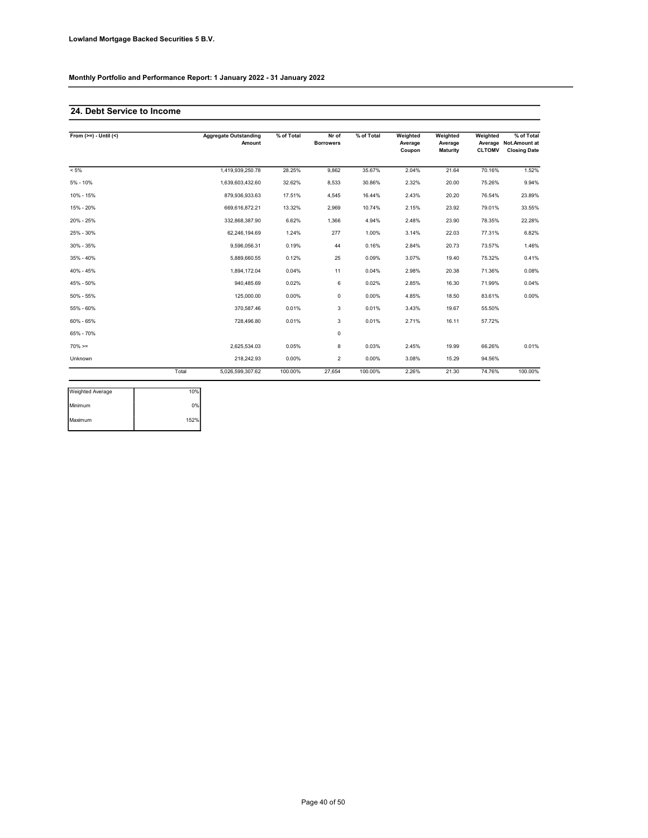### 24. Debt Service to Income

| From $(>=) -$ Until $($ |       | <b>Aggregate Outstanding</b><br>Amount | % of Total | Nr of<br><b>Borrowers</b> | % of Total | Weighted<br>Average<br>Coupon | Weighted<br>Average<br><b>Maturity</b> | Weighted<br><b>CLTOMV</b> | % of Total<br>Average Not.Amount at<br><b>Closing Date</b> |
|-------------------------|-------|----------------------------------------|------------|---------------------------|------------|-------------------------------|----------------------------------------|---------------------------|------------------------------------------------------------|
| $< 5\%$                 |       | 1,419,939,250.78                       | 28.25%     | 9.862                     | 35.67%     | 2.04%                         | 21.64                                  | 70.16%                    | 1.52%                                                      |
| $5% - 10%$              |       | 1.639.603.432.60                       | 32.62%     | 8,533                     | 30.86%     | 2.32%                         | 20.00                                  | 75.26%                    | 9.94%                                                      |
| 10% - 15%               |       | 879,936,933.63                         | 17.51%     | 4,545                     | 16.44%     | 2.43%                         | 20.20                                  | 76.54%                    | 23.89%                                                     |
| 15% - 20%               |       | 669,616,872.21                         | 13.32%     | 2,969                     | 10.74%     | 2.15%                         | 23.92                                  | 79.01%                    | 33.55%                                                     |
| 20% - 25%               |       | 332,868,387.90                         | 6.62%      | 1,366                     | 4.94%      | 2.48%                         | 23.90                                  | 78.35%                    | 22.28%                                                     |
| 25% - 30%               |       | 62,246,194.69                          | 1.24%      | 277                       | 1.00%      | 3.14%                         | 22.03                                  | 77.31%                    | 6.82%                                                      |
| 30% - 35%               |       | 9,596,056.31                           | 0.19%      | 44                        | 0.16%      | 2.84%                         | 20.73                                  | 73.57%                    | 1.46%                                                      |
| 35% - 40%               |       | 5,889,660.55                           | 0.12%      | 25                        | 0.09%      | 3.07%                         | 19.40                                  | 75.32%                    | 0.41%                                                      |
| 40% - 45%               |       | 1.894.172.04                           | 0.04%      | 11                        | 0.04%      | 2.98%                         | 20.38                                  | 71.36%                    | 0.08%                                                      |
| 45% - 50%               |       | 940,485.69                             | 0.02%      | 6                         | 0.02%      | 2.85%                         | 16.30                                  | 71.99%                    | 0.04%                                                      |
| 50% - 55%               |       | 125,000.00                             | 0.00%      | $\mathsf 0$               | 0.00%      | 4.85%                         | 18.50                                  | 83.61%                    | 0.00%                                                      |
| 55% - 60%               |       | 370,587.46                             | 0.01%      | 3                         | 0.01%      | 3.43%                         | 19.67                                  | 55.50%                    |                                                            |
| 60% - 65%               |       | 728,496.80                             | 0.01%      | 3                         | 0.01%      | 2.71%                         | 16.11                                  | 57.72%                    |                                                            |
| 65% - 70%               |       |                                        |            | $\mathsf 0$               |            |                               |                                        |                           |                                                            |
| $70\%>=$                |       | 2.625.534.03                           | 0.05%      | 8                         | 0.03%      | 2.45%                         | 19.99                                  | 66.26%                    | 0.01%                                                      |
| Unknown                 |       | 218.242.93                             | 0.00%      | $\overline{2}$            | 0.00%      | 3.08%                         | 15.29                                  | 94.56%                    |                                                            |
|                         | Total | 5,026,599,307.62                       | 100.00%    | 27,654                    | 100.00%    | 2.26%                         | 21.30                                  | 74.76%                    | 100.00%                                                    |

| Weighted Average | 10%  |
|------------------|------|
| Minimum          | 0%   |
| Maximum          | 152% |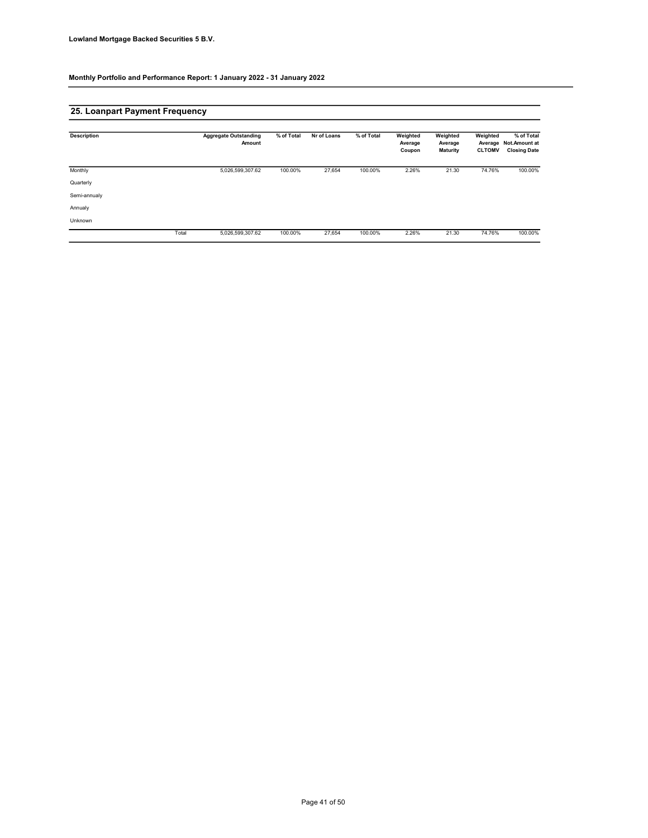### 25. Loanpart Payment Frequency

| <b>Description</b> |       | <b>Aggregate Outstanding</b><br>Amount | % of Total | Nr of Loans | % of Total | Weighted<br>Average<br>Coupon | Weighted<br>Average<br><b>Maturity</b> | Weighted<br><b>CLTOMV</b> | % of Total<br>Average Not.Amount at<br><b>Closing Date</b> |
|--------------------|-------|----------------------------------------|------------|-------------|------------|-------------------------------|----------------------------------------|---------------------------|------------------------------------------------------------|
| Monthly            |       | 5,026,599,307.62                       | 100.00%    | 27,654      | 100.00%    | 2.26%                         | 21.30                                  | 74.76%                    | 100.00%                                                    |
| Quarterly          |       |                                        |            |             |            |                               |                                        |                           |                                                            |
| Semi-annualy       |       |                                        |            |             |            |                               |                                        |                           |                                                            |
| Annualy            |       |                                        |            |             |            |                               |                                        |                           |                                                            |
| Unknown            |       |                                        |            |             |            |                               |                                        |                           |                                                            |
|                    | Total | 5,026,599,307.62                       | 100.00%    | 27,654      | 100.00%    | 2.26%                         | 21.30                                  | 74.76%                    | 100.00%                                                    |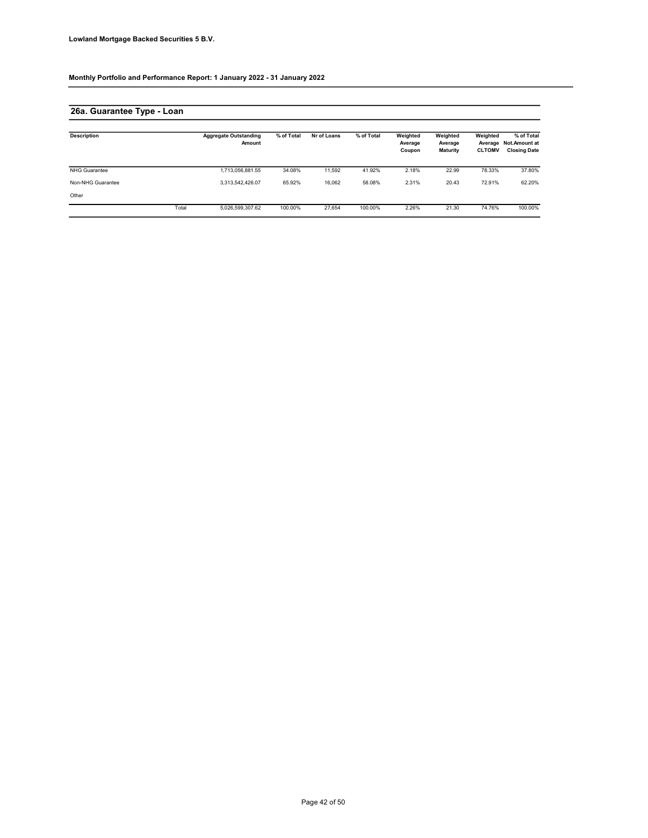# 26a. Guarantee Type - Loan

| <b>Description</b>   |       | <b>Aggregate Outstanding</b><br>Amount | % of Total | Nr of Loans | % of Total | Weighted<br>Average<br>Coupon | Weighted<br>Average<br><b>Maturity</b> | Weighted<br><b>CLTOMV</b> | % of Total<br>Average Not.Amount at<br><b>Closing Date</b> |
|----------------------|-------|----------------------------------------|------------|-------------|------------|-------------------------------|----------------------------------------|---------------------------|------------------------------------------------------------|
| <b>NHG Guarantee</b> |       | 1,713,056,881.55                       | 34.08%     | 11.592      | 41.92%     | 2.18%                         | 22.99                                  | 78.33%                    | 37.80%                                                     |
| Non-NHG Guarantee    |       | 3,313,542,426.07                       | 65.92%     | 16.062      | 58.08%     | 2.31%                         | 20.43                                  | 72.91%                    | 62.20%                                                     |
| Other                |       |                                        |            |             |            |                               |                                        |                           |                                                            |
|                      | Total | 5,026,599,307.62                       | 100.00%    | 27.654      | 100.00%    | 2.26%                         | 21.30                                  | 74.76%                    | 100.00%                                                    |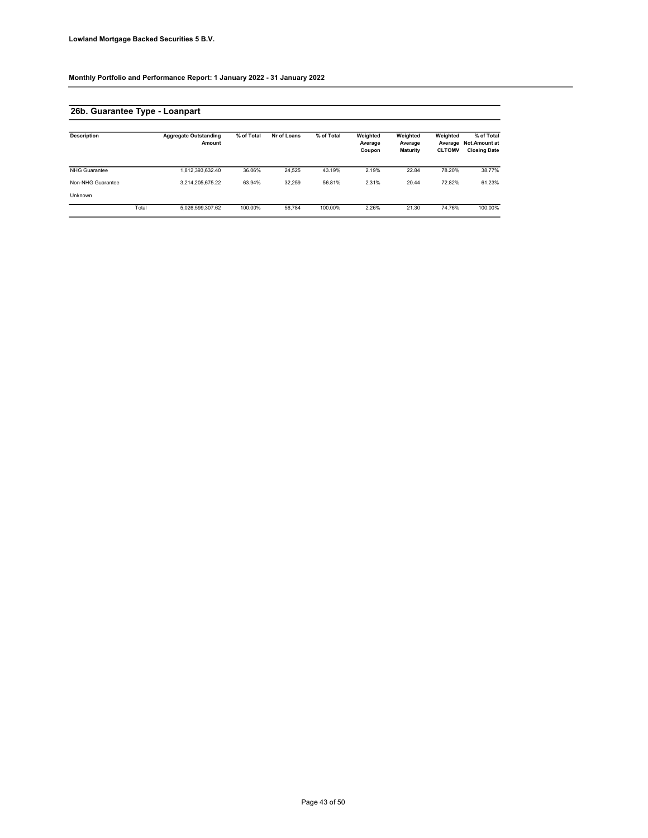# 26b. Guarantee Type - Loanpart

| <b>Description</b>   |       | <b>Aggregate Outstanding</b><br>Amount | % of Total | Nr of Loans | % of Total | Weighted<br>Average<br>Coupon | Weighted<br>Average<br><b>Maturity</b> | Weighted<br>Average<br><b>CLTOMV</b> | % of Total<br><b>Not.Amount at</b><br><b>Closing Date</b> |
|----------------------|-------|----------------------------------------|------------|-------------|------------|-------------------------------|----------------------------------------|--------------------------------------|-----------------------------------------------------------|
| <b>NHG Guarantee</b> |       | 1,812,393,632.40                       | 36.06%     | 24.525      | 43.19%     | 2.19%                         | 22.84                                  | 78.20%                               | 38.77%                                                    |
| Non-NHG Guarantee    |       | 3.214.205.675.22                       | 63.94%     | 32.259      | 56.81%     | 2.31%                         | 20.44                                  | 72.82%                               | 61.23%                                                    |
| Unknown              |       |                                        |            |             |            |                               |                                        |                                      |                                                           |
|                      | Total | 5,026,599,307.62                       | 100.00%    | 56.784      | 100.00%    | 2.26%                         | 21.30                                  | 74.76%                               | 100.00%                                                   |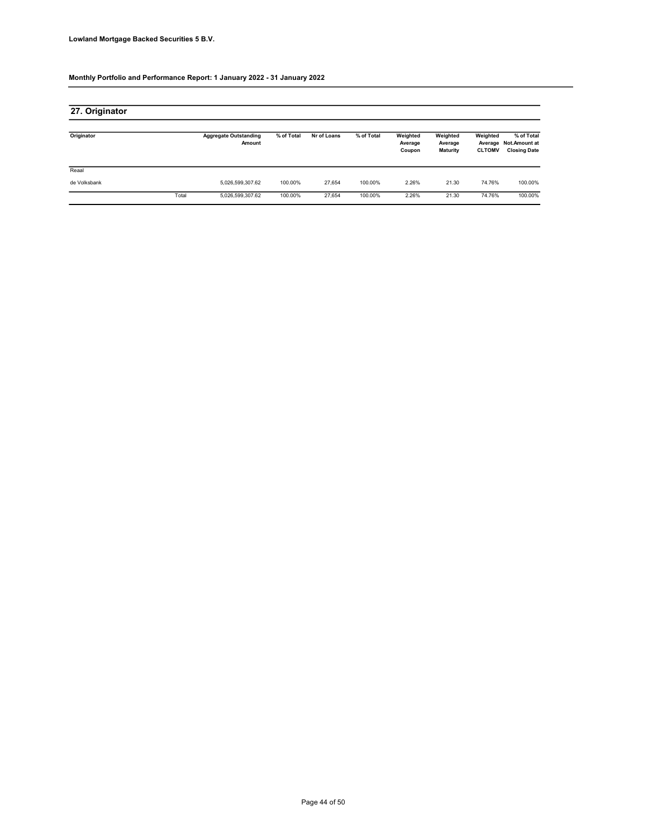| 27. Originator |       |                                        |            |             |            |                               |                                        |                           |                                                            |
|----------------|-------|----------------------------------------|------------|-------------|------------|-------------------------------|----------------------------------------|---------------------------|------------------------------------------------------------|
| Originator     |       | <b>Aggregate Outstanding</b><br>Amount | % of Total | Nr of Loans | % of Total | Weighted<br>Average<br>Coupon | Weighted<br>Average<br><b>Maturity</b> | Weighted<br><b>CLTOMV</b> | % of Total<br>Average Not.Amount at<br><b>Closing Date</b> |
| Reaal          |       |                                        |            |             |            |                               |                                        |                           |                                                            |
| de Volksbank   |       | 5,026,599,307.62                       | 100.00%    | 27.654      | 100.00%    | 2.26%                         | 21.30                                  | 74.76%                    | 100.00%                                                    |
|                | Total | 5,026,599,307.62                       | 100.00%    | 27.654      | 100.00%    | 2.26%                         | 21.30                                  | 74.76%                    | 100.00%                                                    |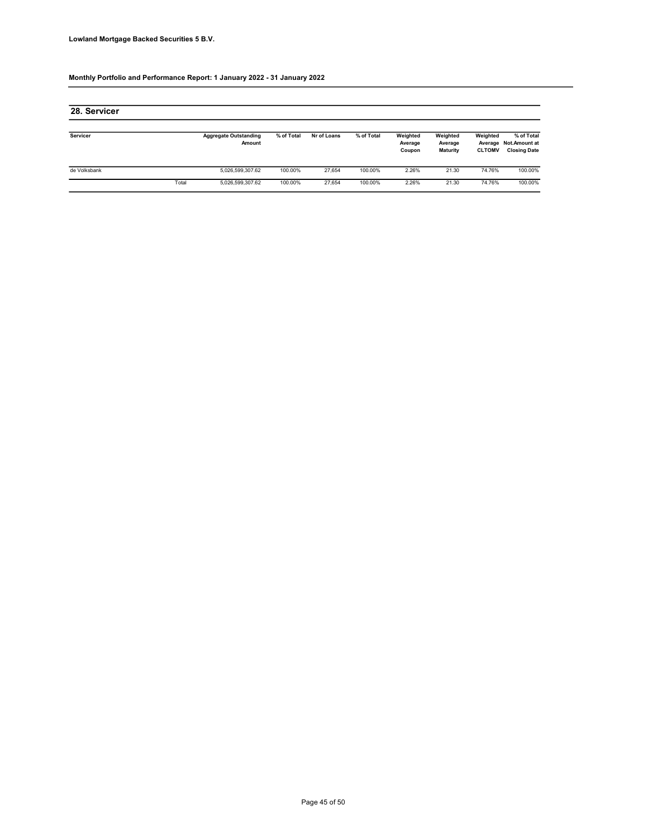| 28. Servicer |       |                                        |            |             |            |                               |                                        |                           |                                                            |
|--------------|-------|----------------------------------------|------------|-------------|------------|-------------------------------|----------------------------------------|---------------------------|------------------------------------------------------------|
| Servicer     |       | <b>Aggregate Outstanding</b><br>Amount | % of Total | Nr of Loans | % of Total | Weighted<br>Average<br>Coupon | Weighted<br>Average<br><b>Maturity</b> | Weighted<br><b>CLTOMV</b> | % of Total<br>Average Not.Amount at<br><b>Closing Date</b> |
| de Volksbank |       | 5,026,599,307.62                       | 100.00%    | 27.654      | 100.00%    | 2.26%                         | 21.30                                  | 74.76%                    | 100.00%                                                    |
|              | Total | 5,026,599,307.62                       | 100.00%    | 27.654      | 100.00%    | 2.26%                         | 21.30                                  | 74.76%                    | 100.00%                                                    |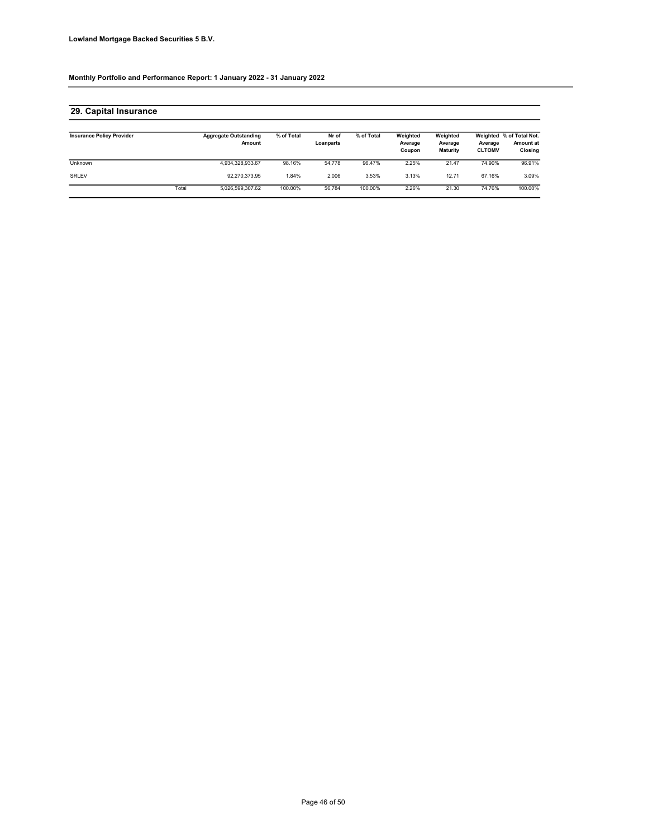### 29. Capital Insurance

| <b>Insurance Policy Provider</b> |       | <b>Aggregate Outstanding</b><br>Amount | % of Total | Nr of<br>Loanparts | % of Total | Weighted<br>Average<br>Coupon | Weighted<br>Average<br><b>Maturity</b> | Average<br><b>CLTOMV</b> | Weighted % of Total Not.<br>Amount at<br>Closing |
|----------------------------------|-------|----------------------------------------|------------|--------------------|------------|-------------------------------|----------------------------------------|--------------------------|--------------------------------------------------|
| Unknown                          |       | 4.934.328.933.67                       | 98.16%     | 54.778             | 96.47%     | 2.25%                         | 21.47                                  | 74.90%                   | 96.91%                                           |
| <b>SRLEV</b>                     |       | 92.270.373.95                          | .84%       | 2.006              | 3.53%      | 3.13%                         | 12.71                                  | 67.16%                   | 3.09%                                            |
|                                  | Total | 5.026.599.307.62                       | 100.00%    | 56.784             | 100.00%    | 2.26%                         | 21.30                                  | 74.76%                   | 100.00%                                          |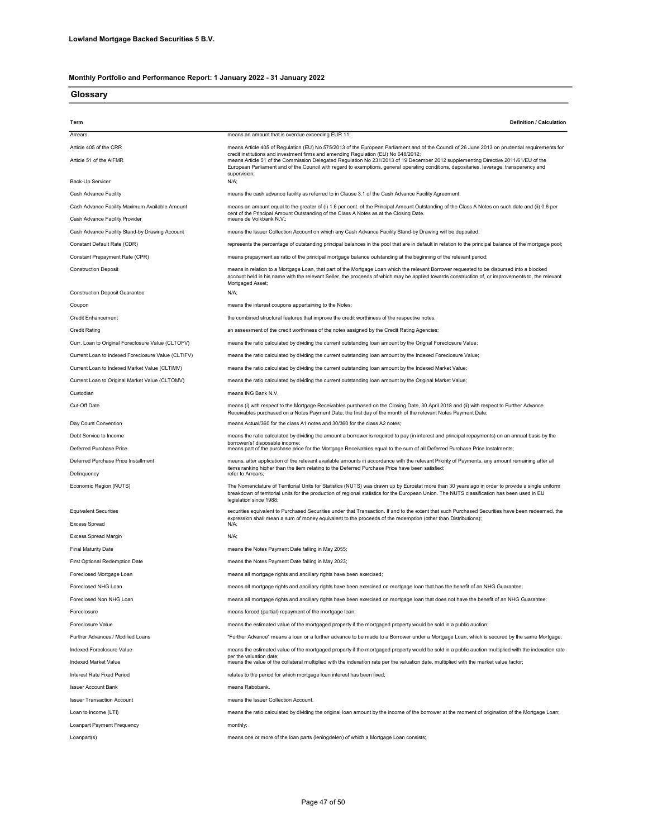**Glossary** 

| Term                                               | <b>Definition / Calculation</b>                                                                                                                                                                                                                                                                                             |
|----------------------------------------------------|-----------------------------------------------------------------------------------------------------------------------------------------------------------------------------------------------------------------------------------------------------------------------------------------------------------------------------|
| Arrears                                            | means an amount that is overdue exceeding EUR 11;                                                                                                                                                                                                                                                                           |
| Article 405 of the CRR                             | means Article 405 of Regulation (EU) No 575/2013 of the European Parliament and of the Council of 26 June 2013 on prudential requirements for<br>credit institutions and investment firms and amending Regulation (EU) No 648/2012;                                                                                         |
| Article 51 of the AIFMR                            | means Article 51 of the Commission Delegated Regulation No 231/2013 of 19 December 2012 supplementing Directive 2011/61/EU of the<br>European Parliament and of the Council with regard to exemptions, general operating conditions, depositaries, leverage, transparency and<br>supervision;                               |
| Back-Up Servicer                                   | N/A;                                                                                                                                                                                                                                                                                                                        |
| Cash Advance Facility                              | means the cash advance facility as referred to in Clause 3.1 of the Cash Advance Facility Agreement;                                                                                                                                                                                                                        |
| Cash Advance Facility Maximum Available Amount     | means an amount equal to the greater of (i) 1.6 per cent. of the Principal Amount Outstanding of the Class A Notes on such date and (ii) 0.6 per<br>cent of the Principal Amount Outstanding of the Class A Notes as at the Closing Date.                                                                                   |
| Cash Advance Facility Provider                     | means de Volkbank N.V.;                                                                                                                                                                                                                                                                                                     |
| Cash Advance Facility Stand-by Drawing Account     | means the Issuer Collection Account on which any Cash Advance Facility Stand-by Drawing will be deposited;                                                                                                                                                                                                                  |
| Constant Default Rate (CDR)                        | represents the percentage of outstanding principal balances in the pool that are in default in relation to the principal balance of the mortgage pool;                                                                                                                                                                      |
| Constant Prepayment Rate (CPR)                     | means prepayment as ratio of the principal mortgage balance outstanding at the beginning of the relevant period;                                                                                                                                                                                                            |
| <b>Construction Deposit</b>                        | means in relation to a Mortgage Loan, that part of the Mortgage Loan which the relevant Borrower requested to be disbursed into a blocked<br>account held in his name with the relevant Seller, the proceeds of which may be applied towards construction of, or improvements to, the relevant<br>Mortgaged Asset;          |
| <b>Construction Deposit Guarantee</b>              | N/A;                                                                                                                                                                                                                                                                                                                        |
| Coupon                                             | means the interest coupons appertaining to the Notes;                                                                                                                                                                                                                                                                       |
| Credit Enhancement                                 | the combined structural features that improve the credit worthiness of the respective notes.                                                                                                                                                                                                                                |
| <b>Credit Rating</b>                               | an assessment of the credit worthiness of the notes assigned by the Credit Rating Agencies;                                                                                                                                                                                                                                 |
| Curr. Loan to Original Foreclosure Value (CLTOFV)  | means the ratio calculated by dividing the current outstanding loan amount by the Orignal Foreclosure Value;                                                                                                                                                                                                                |
| Current Loan to Indexed Foreclosure Value (CLTIFV) | means the ratio calculated by dividing the current outstanding loan amount by the Indexed Foreclosure Value;                                                                                                                                                                                                                |
| Current Loan to Indexed Market Value (CLTIMV)      | means the ratio calculated by dividing the current outstanding loan amount by the Indexed Market Value;                                                                                                                                                                                                                     |
| Current Loan to Original Market Value (CLTOMV)     | means the ratio calculated by dividing the current outstanding loan amount by the Original Market Value;                                                                                                                                                                                                                    |
| Custodian                                          | means ING Bank N.V.                                                                                                                                                                                                                                                                                                         |
| Cut-Off Date                                       | means (i) with respect to the Mortgage Receivables purchased on the Closing Date, 30 April 2018 and (ii) with respect to Further Advance<br>Receivables purchased on a Notes Payment Date, the first day of the month of the relevant Notes Payment Date;                                                                   |
| Day Count Convention                               | means Actual/360 for the class A1 notes and 30/360 for the class A2 notes;                                                                                                                                                                                                                                                  |
| Debt Service to Income                             | means the ratio calculated by dividing the amount a borrower is required to pay (in interest and principal repayments) on an annual basis by the<br>borrower(s) disposable income;                                                                                                                                          |
| Deferred Purchase Price                            | means part of the purchase price for the Mortgage Receivables equal to the sum of all Deferred Purchase Price Instalments;                                                                                                                                                                                                  |
| Deferred Purchase Price Installment                | means, after application of the relevant available amounts in accordance with the relevant Priority of Payments, any amount remaining after all<br>items ranking higher than the item relating to the Deferred Purchase Price have been satisfied:                                                                          |
| Delinquency                                        | refer to Arrears;                                                                                                                                                                                                                                                                                                           |
| Economic Region (NUTS)                             | The Nomenclature of Territorial Units for Statistics (NUTS) was drawn up by Eurostat more than 30 years ago in order to provide a single uniform<br>breakdown of territorial units for the production of regional statistics for the European Union. The NUTS classification has been used in EU<br>legislation since 1988; |
| <b>Equivalent Securities</b>                       | securities equivalent to Purchased Securities under that Transaction. If and to the extent that such Purchased Securities have been redeemed, the                                                                                                                                                                           |
| <b>Excess Spread</b>                               | expression shall mean a sum of money equivalent to the proceeds of the redemption (other than Distributions);<br>N/A;                                                                                                                                                                                                       |
| Excess Spread Margin                               | N/A:                                                                                                                                                                                                                                                                                                                        |
| Final Maturity Date                                | means the Notes Payment Date falling in May 2055;                                                                                                                                                                                                                                                                           |
| First Optional Redemption Date                     | means the Notes Payment Date falling in May 2023;                                                                                                                                                                                                                                                                           |
| Foreclosed Mortgage Loan                           | means all mortgage rights and ancillary rights have been exercised;                                                                                                                                                                                                                                                         |
| Foreclosed NHG Loan                                | means all mortgage rights and ancillary rights have been exercised on mortgage loan that has the benefit of an NHG Guarantee;                                                                                                                                                                                               |
| Foreclosed Non NHG Loan                            | means all mortgage rights and ancillary rights have been exercised on mortgage loan that does not have the benefit of an NHG Guarantee;                                                                                                                                                                                     |
| Foreclosure                                        | means forced (partial) repayment of the mortgage loan;                                                                                                                                                                                                                                                                      |
| Foreclosure Value                                  | means the estimated value of the mortgaged property if the mortgaged property would be sold in a public auction;                                                                                                                                                                                                            |
| Further Advances / Modified Loans                  | "Further Advance" means a loan or a further advance to be made to a Borrower under a Mortgage Loan, which is secured by the same Mortgage;                                                                                                                                                                                  |
| Indexed Foreclosure Value                          | means the estimated value of the mortgaged property if the mortgaged property would be sold in a public auction multiplied with the indexation rate                                                                                                                                                                         |
| Indexed Market Value                               | per the valuation date;<br>means the value of the collateral multiplied with the indexation rate per the valuation date, multiplied with the market value factor;                                                                                                                                                           |
| Interest Rate Fixed Period                         | relates to the period for which mortgage loan interest has been fixed;                                                                                                                                                                                                                                                      |
| <b>Issuer Account Bank</b>                         | means Rabobank.                                                                                                                                                                                                                                                                                                             |
| <b>Issuer Transaction Account</b>                  | means the Issuer Collection Account.                                                                                                                                                                                                                                                                                        |
| Loan to Income (LTI)                               | means the ratio calculated by dividing the original loan amount by the income of the borrower at the moment of origination of the Mortgage Loan;                                                                                                                                                                            |
| Loanpart Payment Frequency                         | monthly;                                                                                                                                                                                                                                                                                                                    |
| Loanpart(s)                                        | means one or more of the loan parts (leningdelen) of which a Mortgage Loan consists;                                                                                                                                                                                                                                        |
|                                                    |                                                                                                                                                                                                                                                                                                                             |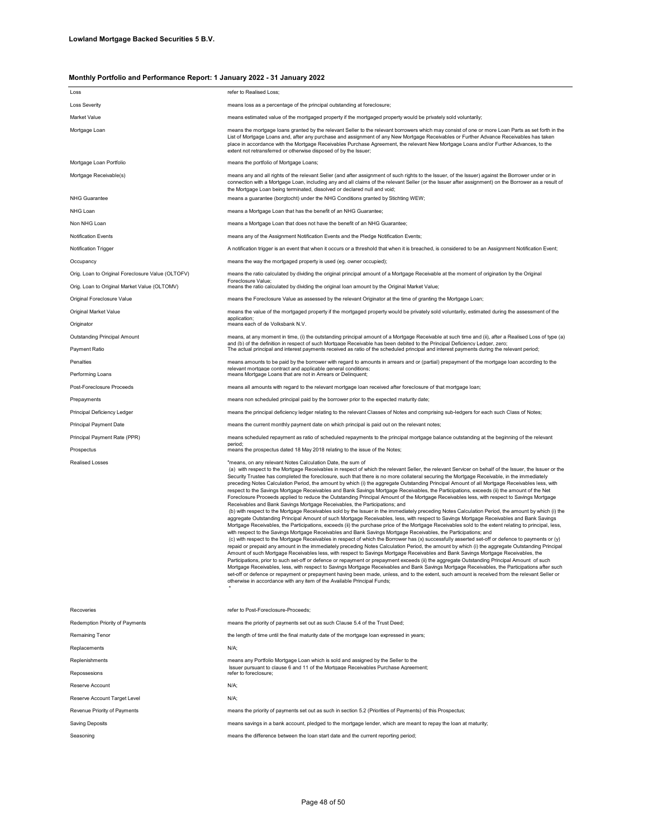| Loss                                              | refer to Realised Loss;                                                                                                                                                                                                                                                                                                                                                                                                                                                                                                                                                                                                                                                                                                                                                                                                                                                                                                                                                                                                                                                                                                                                                                                                                                                                                                                                                                                                                                                                                                                                                                                                                                                                                                                                                                                                                                                                                                                                                                                                                                                                                                                                                                                                                                                                                                                                                                                                                              |
|---------------------------------------------------|------------------------------------------------------------------------------------------------------------------------------------------------------------------------------------------------------------------------------------------------------------------------------------------------------------------------------------------------------------------------------------------------------------------------------------------------------------------------------------------------------------------------------------------------------------------------------------------------------------------------------------------------------------------------------------------------------------------------------------------------------------------------------------------------------------------------------------------------------------------------------------------------------------------------------------------------------------------------------------------------------------------------------------------------------------------------------------------------------------------------------------------------------------------------------------------------------------------------------------------------------------------------------------------------------------------------------------------------------------------------------------------------------------------------------------------------------------------------------------------------------------------------------------------------------------------------------------------------------------------------------------------------------------------------------------------------------------------------------------------------------------------------------------------------------------------------------------------------------------------------------------------------------------------------------------------------------------------------------------------------------------------------------------------------------------------------------------------------------------------------------------------------------------------------------------------------------------------------------------------------------------------------------------------------------------------------------------------------------------------------------------------------------------------------------------------------------|
| Loss Severity                                     | means loss as a percentage of the principal outstanding at foreclosure;                                                                                                                                                                                                                                                                                                                                                                                                                                                                                                                                                                                                                                                                                                                                                                                                                                                                                                                                                                                                                                                                                                                                                                                                                                                                                                                                                                                                                                                                                                                                                                                                                                                                                                                                                                                                                                                                                                                                                                                                                                                                                                                                                                                                                                                                                                                                                                              |
| Market Value                                      | means estimated value of the mortgaged property if the mortgaged property would be privately sold voluntarily;                                                                                                                                                                                                                                                                                                                                                                                                                                                                                                                                                                                                                                                                                                                                                                                                                                                                                                                                                                                                                                                                                                                                                                                                                                                                                                                                                                                                                                                                                                                                                                                                                                                                                                                                                                                                                                                                                                                                                                                                                                                                                                                                                                                                                                                                                                                                       |
| Mortgage Loan                                     | means the mortgage loans granted by the relevant Seller to the relevant borrowers which may consist of one or more Loan Parts as set forth in the<br>List of Mortgage Loans and, after any purchase and assignment of any New Mortgage Receivables or Further Advance Receivables has taken<br>place in accordance with the Mortgage Receivables Purchase Agreement, the relevant New Mortgage Loans and/or Further Advances, to the<br>extent not retransferred or otherwise disposed of by the Issuer;                                                                                                                                                                                                                                                                                                                                                                                                                                                                                                                                                                                                                                                                                                                                                                                                                                                                                                                                                                                                                                                                                                                                                                                                                                                                                                                                                                                                                                                                                                                                                                                                                                                                                                                                                                                                                                                                                                                                             |
| Mortgage Loan Portfolio                           | means the portfolio of Mortgage Loans;                                                                                                                                                                                                                                                                                                                                                                                                                                                                                                                                                                                                                                                                                                                                                                                                                                                                                                                                                                                                                                                                                                                                                                                                                                                                                                                                                                                                                                                                                                                                                                                                                                                                                                                                                                                                                                                                                                                                                                                                                                                                                                                                                                                                                                                                                                                                                                                                               |
| Mortgage Receivable(s)                            | means any and all rights of the relevant Seller (and after assignment of such rights to the Issuer, of the Issuer) against the Borrower under or in<br>connection with a Mortgage Loan, including any and all claims of the relevant Seller (or the Issuer after assignment) on the Borrower as a result of<br>the Mortgage Loan being terminated, dissolved or declared null and void;                                                                                                                                                                                                                                                                                                                                                                                                                                                                                                                                                                                                                                                                                                                                                                                                                                                                                                                                                                                                                                                                                                                                                                                                                                                                                                                                                                                                                                                                                                                                                                                                                                                                                                                                                                                                                                                                                                                                                                                                                                                              |
| <b>NHG Guarantee</b>                              | means a guarantee (borgtocht) under the NHG Conditions granted by Stichting WEW;                                                                                                                                                                                                                                                                                                                                                                                                                                                                                                                                                                                                                                                                                                                                                                                                                                                                                                                                                                                                                                                                                                                                                                                                                                                                                                                                                                                                                                                                                                                                                                                                                                                                                                                                                                                                                                                                                                                                                                                                                                                                                                                                                                                                                                                                                                                                                                     |
| NHG Loan                                          | means a Mortgage Loan that has the benefit of an NHG Guarantee;                                                                                                                                                                                                                                                                                                                                                                                                                                                                                                                                                                                                                                                                                                                                                                                                                                                                                                                                                                                                                                                                                                                                                                                                                                                                                                                                                                                                                                                                                                                                                                                                                                                                                                                                                                                                                                                                                                                                                                                                                                                                                                                                                                                                                                                                                                                                                                                      |
| Non NHG Loan                                      | means a Mortgage Loan that does not have the benefit of an NHG Guarantee;                                                                                                                                                                                                                                                                                                                                                                                                                                                                                                                                                                                                                                                                                                                                                                                                                                                                                                                                                                                                                                                                                                                                                                                                                                                                                                                                                                                                                                                                                                                                                                                                                                                                                                                                                                                                                                                                                                                                                                                                                                                                                                                                                                                                                                                                                                                                                                            |
| Notification Events                               | means any of the Assignment Notification Events and the Pledge Notification Events;                                                                                                                                                                                                                                                                                                                                                                                                                                                                                                                                                                                                                                                                                                                                                                                                                                                                                                                                                                                                                                                                                                                                                                                                                                                                                                                                                                                                                                                                                                                                                                                                                                                                                                                                                                                                                                                                                                                                                                                                                                                                                                                                                                                                                                                                                                                                                                  |
| Notification Trigger                              | A notification trigger is an event that when it occurs or a threshold that when it is breached, is considered to be an Assignment Notification Event;                                                                                                                                                                                                                                                                                                                                                                                                                                                                                                                                                                                                                                                                                                                                                                                                                                                                                                                                                                                                                                                                                                                                                                                                                                                                                                                                                                                                                                                                                                                                                                                                                                                                                                                                                                                                                                                                                                                                                                                                                                                                                                                                                                                                                                                                                                |
| Occupancy                                         | means the way the mortgaged property is used (eg. owner occupied);                                                                                                                                                                                                                                                                                                                                                                                                                                                                                                                                                                                                                                                                                                                                                                                                                                                                                                                                                                                                                                                                                                                                                                                                                                                                                                                                                                                                                                                                                                                                                                                                                                                                                                                                                                                                                                                                                                                                                                                                                                                                                                                                                                                                                                                                                                                                                                                   |
| Orig. Loan to Original Foreclosure Value (OLTOFV) | means the ratio calculated by dividing the original principal amount of a Mortgage Receivable at the moment of origination by the Original<br>Foreclosure Value:                                                                                                                                                                                                                                                                                                                                                                                                                                                                                                                                                                                                                                                                                                                                                                                                                                                                                                                                                                                                                                                                                                                                                                                                                                                                                                                                                                                                                                                                                                                                                                                                                                                                                                                                                                                                                                                                                                                                                                                                                                                                                                                                                                                                                                                                                     |
| Orig. Loan to Original Market Value (OLTOMV)      | means the ratio calculated by dividing the original loan amount by the Original Market Value;                                                                                                                                                                                                                                                                                                                                                                                                                                                                                                                                                                                                                                                                                                                                                                                                                                                                                                                                                                                                                                                                                                                                                                                                                                                                                                                                                                                                                                                                                                                                                                                                                                                                                                                                                                                                                                                                                                                                                                                                                                                                                                                                                                                                                                                                                                                                                        |
| Original Foreclosure Value                        | means the Foreclosure Value as assessed by the relevant Originator at the time of granting the Mortgage Loan;                                                                                                                                                                                                                                                                                                                                                                                                                                                                                                                                                                                                                                                                                                                                                                                                                                                                                                                                                                                                                                                                                                                                                                                                                                                                                                                                                                                                                                                                                                                                                                                                                                                                                                                                                                                                                                                                                                                                                                                                                                                                                                                                                                                                                                                                                                                                        |
| Original Market Value                             | means the value of the mortgaged property if the mortgaged property would be privately sold voluntarily, estimated during the assessment of the<br>application:                                                                                                                                                                                                                                                                                                                                                                                                                                                                                                                                                                                                                                                                                                                                                                                                                                                                                                                                                                                                                                                                                                                                                                                                                                                                                                                                                                                                                                                                                                                                                                                                                                                                                                                                                                                                                                                                                                                                                                                                                                                                                                                                                                                                                                                                                      |
| Originator                                        | means each of de Volksbank N.V.                                                                                                                                                                                                                                                                                                                                                                                                                                                                                                                                                                                                                                                                                                                                                                                                                                                                                                                                                                                                                                                                                                                                                                                                                                                                                                                                                                                                                                                                                                                                                                                                                                                                                                                                                                                                                                                                                                                                                                                                                                                                                                                                                                                                                                                                                                                                                                                                                      |
| Outstanding Principal Amount                      | means, at any moment in time, (i) the outstanding principal amount of a Mortgage Receivable at such time and (ii), after a Realised Loss of type (a)<br>and (b) of the definition in respect of such Mortgage Receivable has been debited to the Principal Deficiency Ledger, zero;                                                                                                                                                                                                                                                                                                                                                                                                                                                                                                                                                                                                                                                                                                                                                                                                                                                                                                                                                                                                                                                                                                                                                                                                                                                                                                                                                                                                                                                                                                                                                                                                                                                                                                                                                                                                                                                                                                                                                                                                                                                                                                                                                                  |
| Payment Ratio                                     | The actual principal and interest payments received as ratio of the scheduled principal and interest payments during the relevant period;                                                                                                                                                                                                                                                                                                                                                                                                                                                                                                                                                                                                                                                                                                                                                                                                                                                                                                                                                                                                                                                                                                                                                                                                                                                                                                                                                                                                                                                                                                                                                                                                                                                                                                                                                                                                                                                                                                                                                                                                                                                                                                                                                                                                                                                                                                            |
| Penalties                                         | means amounts to be paid by the borrower with regard to amounts in arrears and or (partial) prepayment of the mortgage loan according to the                                                                                                                                                                                                                                                                                                                                                                                                                                                                                                                                                                                                                                                                                                                                                                                                                                                                                                                                                                                                                                                                                                                                                                                                                                                                                                                                                                                                                                                                                                                                                                                                                                                                                                                                                                                                                                                                                                                                                                                                                                                                                                                                                                                                                                                                                                         |
| Performing Loans                                  | relevant mortgage contract and applicable general conditions;<br>means Mortgage Loans that are not in Arrears or Delinquent;                                                                                                                                                                                                                                                                                                                                                                                                                                                                                                                                                                                                                                                                                                                                                                                                                                                                                                                                                                                                                                                                                                                                                                                                                                                                                                                                                                                                                                                                                                                                                                                                                                                                                                                                                                                                                                                                                                                                                                                                                                                                                                                                                                                                                                                                                                                         |
| Post-Foreclosure Proceeds                         | means all amounts with regard to the relevant mortgage loan received after foreclosure of that mortgage loan;                                                                                                                                                                                                                                                                                                                                                                                                                                                                                                                                                                                                                                                                                                                                                                                                                                                                                                                                                                                                                                                                                                                                                                                                                                                                                                                                                                                                                                                                                                                                                                                                                                                                                                                                                                                                                                                                                                                                                                                                                                                                                                                                                                                                                                                                                                                                        |
| Prepayments                                       | means non scheduled principal paid by the borrower prior to the expected maturity date;                                                                                                                                                                                                                                                                                                                                                                                                                                                                                                                                                                                                                                                                                                                                                                                                                                                                                                                                                                                                                                                                                                                                                                                                                                                                                                                                                                                                                                                                                                                                                                                                                                                                                                                                                                                                                                                                                                                                                                                                                                                                                                                                                                                                                                                                                                                                                              |
| Principal Deficiency Ledger                       | means the principal deficiency ledger relating to the relevant Classes of Notes and comprising sub-ledgers for each such Class of Notes;                                                                                                                                                                                                                                                                                                                                                                                                                                                                                                                                                                                                                                                                                                                                                                                                                                                                                                                                                                                                                                                                                                                                                                                                                                                                                                                                                                                                                                                                                                                                                                                                                                                                                                                                                                                                                                                                                                                                                                                                                                                                                                                                                                                                                                                                                                             |
| Principal Payment Date                            | means the current monthly payment date on which principal is paid out on the relevant notes;                                                                                                                                                                                                                                                                                                                                                                                                                                                                                                                                                                                                                                                                                                                                                                                                                                                                                                                                                                                                                                                                                                                                                                                                                                                                                                                                                                                                                                                                                                                                                                                                                                                                                                                                                                                                                                                                                                                                                                                                                                                                                                                                                                                                                                                                                                                                                         |
| Principal Payment Rate (PPR)                      | means scheduled repayment as ratio of scheduled repayments to the principal mortgage balance outstanding at the beginning of the relevant                                                                                                                                                                                                                                                                                                                                                                                                                                                                                                                                                                                                                                                                                                                                                                                                                                                                                                                                                                                                                                                                                                                                                                                                                                                                                                                                                                                                                                                                                                                                                                                                                                                                                                                                                                                                                                                                                                                                                                                                                                                                                                                                                                                                                                                                                                            |
| Prospectus                                        | period:<br>means the prospectus dated 18 May 2018 relating to the issue of the Notes;                                                                                                                                                                                                                                                                                                                                                                                                                                                                                                                                                                                                                                                                                                                                                                                                                                                                                                                                                                                                                                                                                                                                                                                                                                                                                                                                                                                                                                                                                                                                                                                                                                                                                                                                                                                                                                                                                                                                                                                                                                                                                                                                                                                                                                                                                                                                                                |
| Realised Losses                                   | "means, on any relevant Notes Calculation Date, the sum of<br>(a) with respect to the Mortgage Receivables in respect of which the relevant Seller, the relevant Servicer on behalf of the Issuer, the Issuer or the<br>Security Trustee has completed the foreclosure, such that there is no more collateral securing the Mortgage Receivable, in the immediately<br>preceding Notes Calculation Period, the amount by which (i) the aggregate Outstanding Principal Amount of all Mortgage Receivables less, with<br>respect to the Savings Mortgage Receivables and Bank Savings Mortgage Receivables, the Participations, exceeds (ii) the amount of the Net<br>Foreclosure Proceeds applied to reduce the Outstanding Principal Amount of the Mortgage Receivables less, with respect to Savings Mortgage<br>Receivables and Bank Savings Mortgage Receivables, the Participations; and<br>(b) with respect to the Mortgage Receivables sold by the Issuer in the immediately preceding Notes Calculation Period, the amount by which (i) the<br>aggregate Outstanding Principal Amount of such Mortgage Receivables, less, with respect to Savings Mortgage Receivables and Bank Savings<br>Mortgage Receivables, the Participations, exceeds (ii) the purchase price of the Mortgage Receivables sold to the extent relating to principal, less,<br>with respect to the Savings Mortgage Receivables and Bank Savings Mortgage Receivables, the Participations; and<br>(c) with respect to the Mortgage Receivables in respect of which the Borrower has (x) successfully asserted set-off or defence to payments or (y)<br>repaid or prepaid any amount in the immediately preceding Notes Calculation Period, the amount by which (i) the aggregate Outstanding Principal<br>Amount of such Mortgage Receivables less, with respect to Savings Mortgage Receivables and Bank Savings Mortgage Receivables, the<br>Participations, prior to such set-off or defence or repayment or prepayment exceeds (ii) the aggregate Outstanding Principal Amount of such<br>Mortgage Receivables, less, with respect to Savings Mortgage Receivables and Bank Savings Mortgage Receivables, the Participations after such<br>set-off or defence or repayment or prepayment having been made, unless, and to the extent, such amount is received from the relevant Seller or<br>otherwise in accordance with any item of the Available Principal Funds; |
| Recoveries                                        | refer to Post-Foreclosure-Proceeds;                                                                                                                                                                                                                                                                                                                                                                                                                                                                                                                                                                                                                                                                                                                                                                                                                                                                                                                                                                                                                                                                                                                                                                                                                                                                                                                                                                                                                                                                                                                                                                                                                                                                                                                                                                                                                                                                                                                                                                                                                                                                                                                                                                                                                                                                                                                                                                                                                  |
| Redemption Priority of Payments                   | means the priority of payments set out as such Clause 5.4 of the Trust Deed;                                                                                                                                                                                                                                                                                                                                                                                                                                                                                                                                                                                                                                                                                                                                                                                                                                                                                                                                                                                                                                                                                                                                                                                                                                                                                                                                                                                                                                                                                                                                                                                                                                                                                                                                                                                                                                                                                                                                                                                                                                                                                                                                                                                                                                                                                                                                                                         |
| Remaining Tenor                                   | the length of time until the final maturity date of the mortgage loan expressed in years;                                                                                                                                                                                                                                                                                                                                                                                                                                                                                                                                                                                                                                                                                                                                                                                                                                                                                                                                                                                                                                                                                                                                                                                                                                                                                                                                                                                                                                                                                                                                                                                                                                                                                                                                                                                                                                                                                                                                                                                                                                                                                                                                                                                                                                                                                                                                                            |
| Replacements                                      | $N/A$ ;                                                                                                                                                                                                                                                                                                                                                                                                                                                                                                                                                                                                                                                                                                                                                                                                                                                                                                                                                                                                                                                                                                                                                                                                                                                                                                                                                                                                                                                                                                                                                                                                                                                                                                                                                                                                                                                                                                                                                                                                                                                                                                                                                                                                                                                                                                                                                                                                                                              |
| Replenishments                                    | means any Portfolio Mortgage Loan which is sold and assigned by the Seller to the                                                                                                                                                                                                                                                                                                                                                                                                                                                                                                                                                                                                                                                                                                                                                                                                                                                                                                                                                                                                                                                                                                                                                                                                                                                                                                                                                                                                                                                                                                                                                                                                                                                                                                                                                                                                                                                                                                                                                                                                                                                                                                                                                                                                                                                                                                                                                                    |
| Repossesions                                      | Issuer pursuant to clause 6 and 11 of the Mortgage Receivables Purchase Agreement;<br>refer to foreclosure;                                                                                                                                                                                                                                                                                                                                                                                                                                                                                                                                                                                                                                                                                                                                                                                                                                                                                                                                                                                                                                                                                                                                                                                                                                                                                                                                                                                                                                                                                                                                                                                                                                                                                                                                                                                                                                                                                                                                                                                                                                                                                                                                                                                                                                                                                                                                          |
| Reserve Account                                   | N/A;                                                                                                                                                                                                                                                                                                                                                                                                                                                                                                                                                                                                                                                                                                                                                                                                                                                                                                                                                                                                                                                                                                                                                                                                                                                                                                                                                                                                                                                                                                                                                                                                                                                                                                                                                                                                                                                                                                                                                                                                                                                                                                                                                                                                                                                                                                                                                                                                                                                 |
| Reserve Account Target Level                      | N/A;                                                                                                                                                                                                                                                                                                                                                                                                                                                                                                                                                                                                                                                                                                                                                                                                                                                                                                                                                                                                                                                                                                                                                                                                                                                                                                                                                                                                                                                                                                                                                                                                                                                                                                                                                                                                                                                                                                                                                                                                                                                                                                                                                                                                                                                                                                                                                                                                                                                 |
| Revenue Priority of Payments                      | means the priority of payments set out as such in section 5.2 (Priorities of Payments) of this Prospectus;                                                                                                                                                                                                                                                                                                                                                                                                                                                                                                                                                                                                                                                                                                                                                                                                                                                                                                                                                                                                                                                                                                                                                                                                                                                                                                                                                                                                                                                                                                                                                                                                                                                                                                                                                                                                                                                                                                                                                                                                                                                                                                                                                                                                                                                                                                                                           |
| Saving Deposits                                   | means savings in a bank account, pledged to the mortgage lender, which are meant to repay the loan at maturity;                                                                                                                                                                                                                                                                                                                                                                                                                                                                                                                                                                                                                                                                                                                                                                                                                                                                                                                                                                                                                                                                                                                                                                                                                                                                                                                                                                                                                                                                                                                                                                                                                                                                                                                                                                                                                                                                                                                                                                                                                                                                                                                                                                                                                                                                                                                                      |
| Seasoning                                         | means the difference between the loan start date and the current reporting period;                                                                                                                                                                                                                                                                                                                                                                                                                                                                                                                                                                                                                                                                                                                                                                                                                                                                                                                                                                                                                                                                                                                                                                                                                                                                                                                                                                                                                                                                                                                                                                                                                                                                                                                                                                                                                                                                                                                                                                                                                                                                                                                                                                                                                                                                                                                                                                   |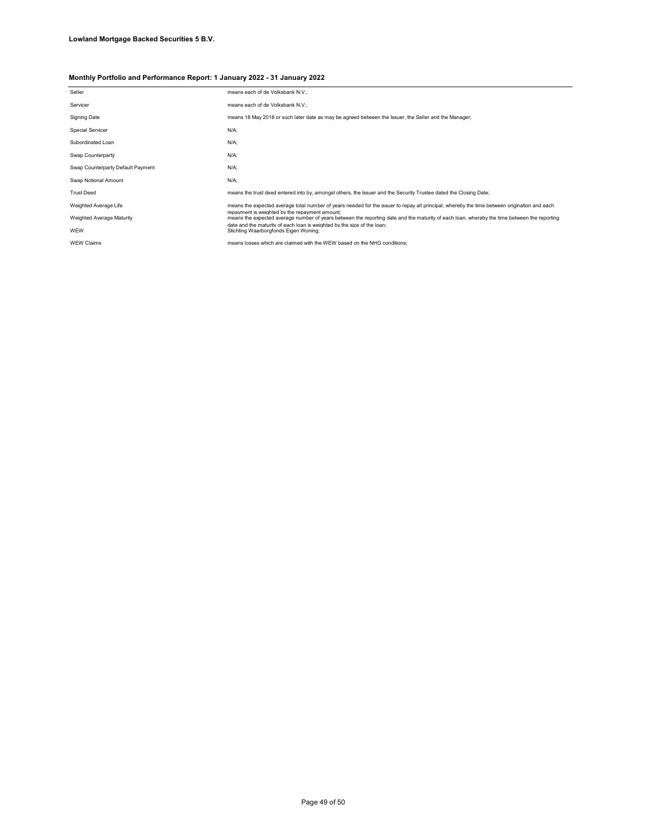| Seller                            | means each of de Volksbank N.V.;                                                                                                                                                              |
|-----------------------------------|-----------------------------------------------------------------------------------------------------------------------------------------------------------------------------------------------|
| Servicer                          | means each of de Volksbank N.V.;                                                                                                                                                              |
| Signing Date                      | means 18 May 2018 or such later date as may be agreed between the Issuer, the Seller and the Manager;                                                                                         |
| Special Servicer                  | $N/A$ ;                                                                                                                                                                                       |
| Subordinated Loan                 | $N/A$ ;                                                                                                                                                                                       |
| Swap Counterparty                 | $N/A$ ;                                                                                                                                                                                       |
| Swap Counterparty Default Payment | $N/A$ ;                                                                                                                                                                                       |
| Swap Notional Amount              | $N/A$ ;                                                                                                                                                                                       |
| <b>Trust Deed</b>                 | means the trust deed entered into by, amongst others, the Issuer and the Security Trustee dated the Closing Date;                                                                             |
| Weighted Average Life             | means the expected average total number of years needed for the issuer to repay all principal, whereby the time between origination and each                                                  |
| Weighted Average Maturity         | repayment is weighted by the repayment amount:<br>means the expected average number of years between the reporting date and the maturity of each loan, whereby the time between the reporting |
| WEW                               | date and the maturity of each loan is weighted by the size of the loan:<br>Stichting Waarborgfonds Eigen Woning;                                                                              |
| <b>WEW Claims</b>                 | means losses which are claimed with the WEW based on the NHG conditions:                                                                                                                      |